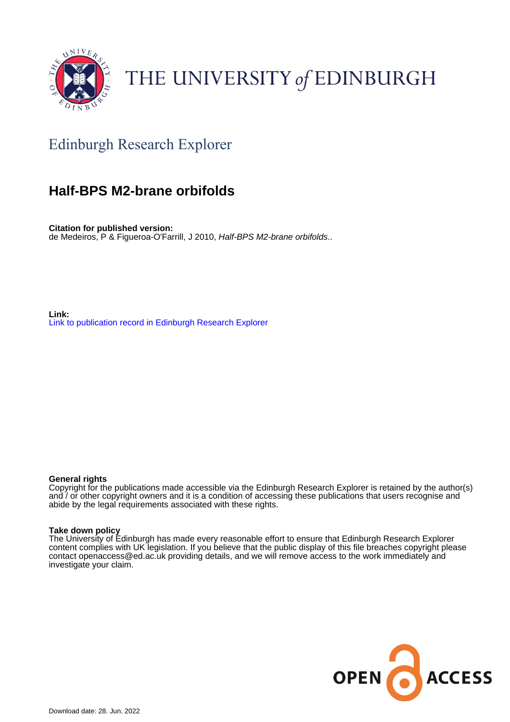

# THE UNIVERSITY of EDINBURGH

## Edinburgh Research Explorer

### **Half-BPS M2-brane orbifolds**

**Citation for published version:** de Medeiros, P & Figueroa-O'Farrill, J 2010, Half-BPS M2-brane orbifolds..

**Link:** [Link to publication record in Edinburgh Research Explorer](https://www.research.ed.ac.uk/en/publications/88e94145-f008-4de0-b42a-d417b5bd6a25)

#### **General rights**

Copyright for the publications made accessible via the Edinburgh Research Explorer is retained by the author(s) and / or other copyright owners and it is a condition of accessing these publications that users recognise and abide by the legal requirements associated with these rights.

#### **Take down policy**

The University of Edinburgh has made every reasonable effort to ensure that Edinburgh Research Explorer content complies with UK legislation. If you believe that the public display of this file breaches copyright please contact openaccess@ed.ac.uk providing details, and we will remove access to the work immediately and investigate your claim.

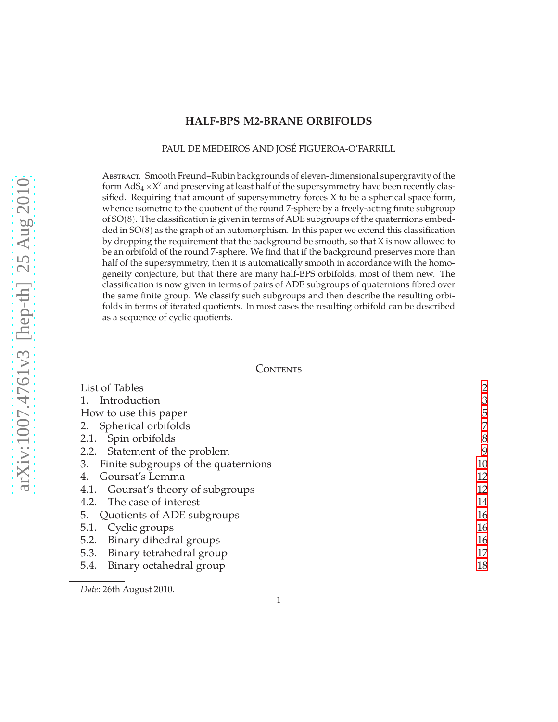#### **HALF-BPS M2-BRANE ORBIFOLDS**

#### PAUL DE MEDEIROS AND JOSÉ FIGUEROA-O'FARRILL

Abstract. Smooth Freund–Rubin backgrounds of eleven-dimensional supergravity of the form  $AdS_4 \times X^7$  and preserving at least half of the supersymmetry have been recently classified. Requiring that amount of supersymmetry forces X to be a spherical space form, whence isometric to the quotient of the round 7-sphere by a freely-acting finite subgroup of SO(8). The classification is given in terms of ADE subgroups of the quaternions embedded in  $SO(8)$  as the graph of an automorphism. In this paper we extend this classification by dropping the requirement that the background be smooth, so that X is now allowed to be an orbifold of the round 7-sphere. We find that if the background preserves more than half of the supersymmetry, then it is automatically smooth in accordance with the homogeneity conjecture, but that there are many half-BPS orbifolds, most of them new. The classification is now given in terms of pairs of ADE subgroups of quaternions fibred over the same finite group. We classify such subgroups and then describe the resulting orbifolds in terms of iterated quotients. In most cases the resulting orbifold can be described as a sequence of cyclic quotients.

#### **CONTENTS**

| List of Tables                            | $\overline{2}$ |
|-------------------------------------------|----------------|
| 1. Introduction                           | 3              |
| How to use this paper                     | 5              |
| 2. Spherical orbifolds                    | 7              |
| 2.1. Spin orbifolds                       | 8              |
| 2.2. Statement of the problem             | 9              |
| Finite subgroups of the quaternions<br>3. | 10             |
| Goursat's Lemma<br>4.                     | 12             |
| 4.1. Goursat's theory of subgroups        | 12             |
| 4.2. The case of interest                 | 14             |
| 5. Quotients of ADE subgroups             | 16             |
| 5.1. Cyclic groups                        | 16             |
| 5.2. Binary dihedral groups               | 16             |
| 5.3. Binary tetrahedral group             | 17             |
| 5.4. Binary octahedral group              | 18             |
|                                           |                |

*Date*: 26th August 2010.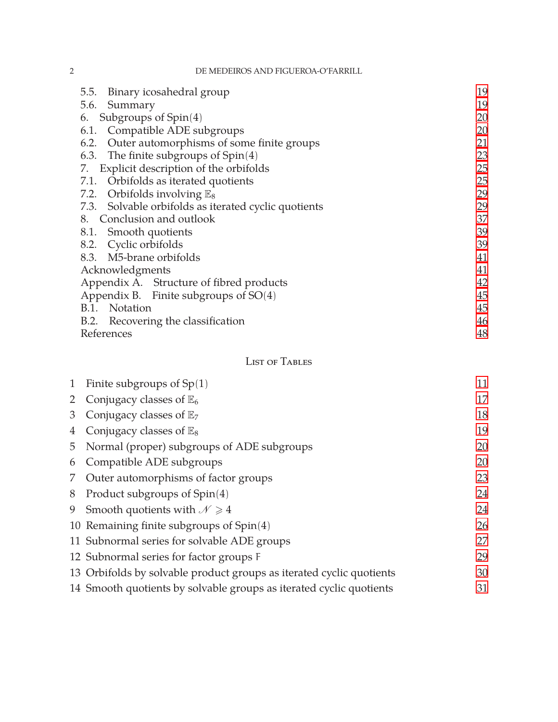2 DE MEDEIROS AND FIGUEROA-O'FARRILL

| Binary icosahedral group<br>5.5.                     | 19 |
|------------------------------------------------------|----|
| 5.6. Summary                                         | 19 |
| Subgroups of $Spin(4)$<br>6.                         | 20 |
| 6.1. Compatible ADE subgroups                        | 20 |
| 6.2. Outer automorphisms of some finite groups       | 21 |
| 6.3. The finite subgroups of $Spin(4)$               | 23 |
| Explicit description of the orbifolds<br>7.          | 25 |
| 7.1. Orbifolds as iterated quotients                 | 25 |
| 7.2. Orbifolds involving $\mathbb{E}_8$              | 29 |
| 7.3. Solvable orbifolds as iterated cyclic quotients | 29 |
| 8. Conclusion and outlook                            | 37 |
| 8.1. Smooth quotients                                | 39 |
| 8.2. Cyclic orbifolds                                | 39 |
| 8.3. M5-brane orbifolds                              | 41 |
| Acknowledgments                                      | 41 |
| Appendix A. Structure of fibred products             | 42 |
| Appendix B. Finite subgroups of SO(4)                | 45 |
| B.1. Notation                                        | 45 |
| B.2. Recovering the classification                   | 46 |
| References                                           | 48 |

### <span id="page-2-0"></span>List of Tables

| $\mathbf{1}$ | Finite subgroups of $Sp(1)$                                          | 11 |
|--------------|----------------------------------------------------------------------|----|
|              | Conjugacy classes of $\mathbb{E}_6$                                  | 17 |
| 3            | Conjugacy classes of $\mathbb{E}_7$                                  | 18 |
| 4            | Conjugacy classes of $\mathbb{E}_8$                                  | 19 |
| 5            | Normal (proper) subgroups of ADE subgroups                           | 20 |
| 6            | Compatible ADE subgroups                                             | 20 |
| 7            | Outer automorphisms of factor groups                                 | 23 |
| 8            | Product subgroups of $Spin(4)$                                       | 24 |
| 9            | Smooth quotients with $\mathcal{N} \geq 4$                           | 24 |
|              | 10 Remaining finite subgroups of $Spin(4)$                           | 26 |
|              | 11 Subnormal series for solvable ADE groups                          | 27 |
|              | 12 Subnormal series for factor groups F                              | 29 |
|              | 13 Orbifolds by solvable product groups as iterated cyclic quotients | 30 |
|              | 14 Smooth quotients by solvable groups as iterated cyclic quotients  | 31 |
|              |                                                                      |    |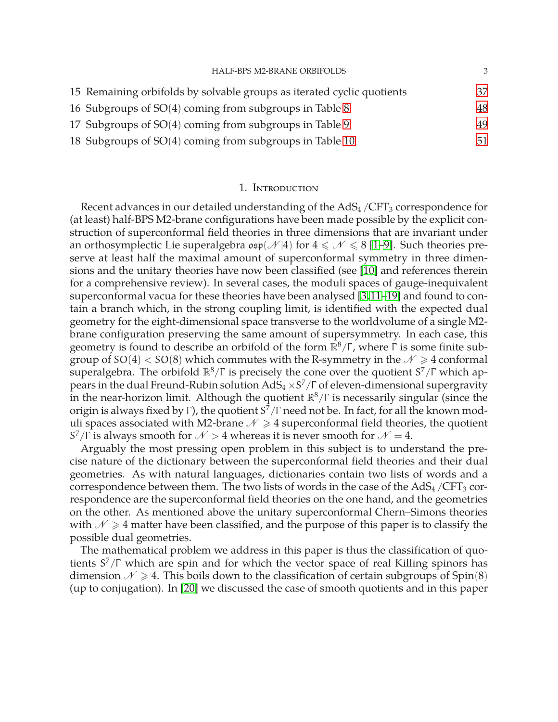| <b>HALF-BPS M2-BRANE ORBIFOLDS</b>                                     | 3  |
|------------------------------------------------------------------------|----|
| 15 Remaining orbifolds by solvable groups as iterated cyclic quotients | 37 |
| 16 Subgroups of SO(4) coming from subgroups in Table 8                 | 48 |
| 17 Subgroups of SO(4) coming from subgroups in Table 9                 | 49 |
| 18 Subgroups of SO(4) coming from subgroups in Table 10                | 51 |

#### 1. Introduction

<span id="page-3-0"></span>Recent advances in our detailed understanding of the  $AdS<sub>4</sub>/CFT<sub>3</sub>$  correspondence for (at least) half-BPS M2-brane configurations have been made possible by the explicit construction of superconformal field theories in three dimensions that are invariant under an orthosymplectic Lie superalgebra  $\epsilon \in \mathcal{N} \leq 8$  [\[1–](#page-48-2)[9\]](#page-49-1). Such theories preserve at least half the maximal amount of superconformal symmetry in three dimensions and the unitary theories have now been classified (see [\[10\]](#page-49-2) and references therein for a comprehensive review). In several cases, the moduli spaces of gauge-inequivalent superconformal vacua for these theories have been analysed [\[3,](#page-48-3)[11](#page-49-3)[–19\]](#page-49-4) and found to contain a branch which, in the strong coupling limit, is identified with the expected dual geometry for the eight-dimensional space transverse to the worldvolume of a single M2 brane configuration preserving the same amount of supersymmetry. In each case, this geometry is found to describe an orbifold of the form  $\mathbb{R}^8/\Gamma$ , where  $\Gamma$  is some finite subgroup of  $SO(4) < SO(8)$  which commutes with the R-symmetry in the  $\mathcal{N} \geq 4$  conformal superalgebra. The orbifold  $\mathbb{R}^8/\Gamma$  is precisely the cone over the quotient  $S^7/\Gamma$  which appears in the dual Freund-Rubin solution  $AdS_4 \times S^7/\Gamma$  of eleven-dimensional supergravity in the near-horizon limit. Although the quotient  $\mathbb{R}^8/\Gamma$  is necessarily singular (since the origin is always fixed by Γ), the quotient  $\textit{S}^7/\Gamma$  need not be. In fact, for all the known moduli spaces associated with M2-brane  $\mathcal{N} \geq 4$  superconformal field theories, the quotient S<sup>7</sup>/Γ is always smooth for  $N > 4$  whereas it is never smooth for  $N = 4$ .

Arguably the most pressing open problem in this subject is to understand the precise nature of the dictionary between the superconformal field theories and their dual geometries. As with natural languages, dictionaries contain two lists of words and a correspondence between them. The two lists of words in the case of the  $AdS_4/CFT_3$  correspondence are the superconformal field theories on the one hand, and the geometries on the other. As mentioned above the unitary superconformal Chern–Simons theories with  $\mathcal{N} \geq 4$  matter have been classified, and the purpose of this paper is to classify the possible dual geometries.

The mathematical problem we address in this paper is thus the classification of quotients  $S^7/\Gamma$  which are spin and for which the vector space of real Killing spinors has dimension  $\mathcal{N} \geq 4$ . This boils down to the classification of certain subgroups of Spin(8) (up to conjugation). In [\[20\]](#page-49-5) we discussed the case of smooth quotients and in this paper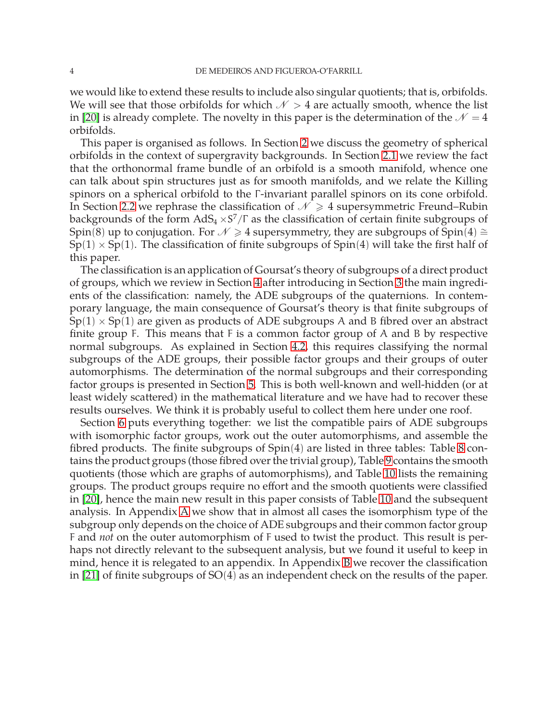we would like to extend these results to include also singular quotients; that is, orbifolds. We will see that those orbifolds for which  $N > 4$  are actually smooth, whence the list in [\[20\]](#page-49-5) is already complete. The novelty in this paper is the determination of the  $\mathcal{N} = 4$ orbifolds.

This paper is organised as follows. In Section [2](#page-7-0) we discuss the geometry of spherical orbifolds in the context of supergravity backgrounds. In Section [2.1](#page-8-0) we review the fact that the orthonormal frame bundle of an orbifold is a smooth manifold, whence one can talk about spin structures just as for smooth manifolds, and we relate the Killing spinors on a spherical orbifold to the Γ -invariant parallel spinors on its cone orbifold. In Section [2.2](#page-9-0) we rephrase the classification of  $\mathcal{N} \geq 4$  supersymmetric Freund–Rubin backgrounds of the form  $AdS_4 \times S^7/\Gamma$  as the classification of certain finite subgroups of Spin(8) up to conjugation. For  $\mathcal{N} \geq 4$  supersymmetry, they are subgroups of Spin(4)  $\cong$  $Sp(1) \times Sp(1)$ . The classification of finite subgroups of  $Spin(4)$  will take the first half of this paper.

The classification is an application of Goursat's theory of subgroups of a direct product of groups, which we review in Section [4](#page-12-0) after introducing in Section [3](#page-10-0) the main ingredients of the classification: namely, the ADE subgroups of the quaternions. In contemporary language, the main consequence of Goursat's theory is that finite subgroups of  $Sp(1) \times Sp(1)$  are given as products of ADE subgroups A and B fibred over an abstract finite group F. This means that  $F$  is a common factor group of A and B by respective normal subgroups. As explained in Section [4.2,](#page-14-0) this requires classifying the normal subgroups of the ADE groups, their possible factor groups and their groups of outer automorphisms. The determination of the normal subgroups and their corresponding factor groups is presented in Section [5.](#page-16-0) This is both well-known and well-hidden (or at least widely scattered) in the mathematical literature and we have had to recover these results ourselves. We think it is probably useful to collect them here under one roof.

Section [6](#page-20-0) puts everything together: we list the compatible pairs of ADE subgroups with isomorphic factor groups, work out the outer automorphisms, and assemble the fibred products. The finite subgroups of Spin(4) are listed in three tables: Table [8](#page-24-0) contains the product groups (those fibred over the trivial group), Table [9](#page-24-1) contains the smooth quotients (those which are graphs of automorphisms), and Table [10](#page-26-0) lists the remaining groups. The product groups require no effort and the smooth quotients were classified in [\[20\]](#page-49-5), hence the main new result in this paper consists of Table [10](#page-26-0) and the subsequent analysis. In Appendix [A](#page-42-0) we show that in almost all cases the isomorphism type of the subgroup only depends on the choice of ADE subgroups and their common factor group F and *not* on the outer automorphism of F used to twist the product. This result is perhaps not directly relevant to the subsequent analysis, but we found it useful to keep in mind, hence it is relegated to an appendix. In Appendix [B](#page-45-0) we recover the classification in [\[21\]](#page-50-0) of finite subgroups of SO(4) as an independent check on the results of the paper.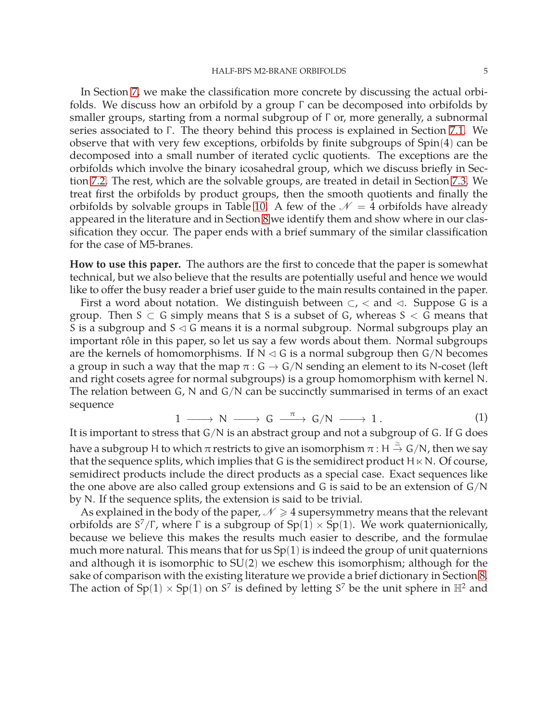In Section [7,](#page-25-0) we make the classification more concrete by discussing the actual orbifolds. We discuss how an orbifold by a group Γ can be decomposed into orbifolds by smaller groups, starting from a normal subgroup of Γ or, more generally, a subnormal series associated to Γ. The theory behind this process is explained in Section [7.1.](#page-25-1) We observe that with very few exceptions, orbifolds by finite subgroups of Spin(4) can be decomposed into a small number of iterated cyclic quotients. The exceptions are the orbifolds which involve the binary icosahedral group, which we discuss briefly in Section [7.2.](#page-29-0) The rest, which are the solvable groups, are treated in detail in Section [7.3.](#page-29-1) We treat first the orbifolds by product groups, then the smooth quotients and finally the orbifolds by solvable groups in Table [10.](#page-26-0) A few of the  $\mathcal{N} = 4$  orbifolds have already appeared in the literature and in Section [8](#page-37-0) we identify them and show where in our classification they occur. The paper ends with a brief summary of the similar classification for the case of M5-branes.

<span id="page-5-0"></span>**How to use this paper.** The authors are the first to concede that the paper is somewhat technical, but we also believe that the results are potentially useful and hence we would like to offer the busy reader a brief user guide to the main results contained in the paper.

First a word about notation. We distinguish between  $\subset$ ,  $\lt$  and  $\lt$ . Suppose G is a group. Then  $S \subset G$  simply means that S is a subset of G, whereas  $S \subset G$  means that S is a subgroup and  $S \triangleleft G$  means it is a normal subgroup. Normal subgroups play an important rôle in this paper, so let us say a few words about them. Normal subgroups are the kernels of homomorphisms. If  $N \lhd G$  is a normal subgroup then  $G/N$  becomes a group in such a way that the map  $\pi$  :  $G \rightarrow G/N$  sending an element to its N-coset (left and right cosets agree for normal subgroups) is a group homomorphism with kernel N. The relation between G, N and G/N can be succinctly summarised in terms of an exact sequence

$$
1 \longrightarrow N \longrightarrow G \stackrel{\pi}{\longrightarrow} G/N \longrightarrow 1. \tag{1}
$$

It is important to stress that G/N is an abstract group and not a subgroup of G. If G does have a subgroup H to which  $\pi$  restricts to give an isomorphism  $\pi$  : H  $\stackrel{\cong}{\to}$  G/N, then we say that the sequence splits, which implies that G is the semidirect product  $H \ltimes N$ . Of course, semidirect products include the direct products as a special case. Exact sequences like the one above are also called group extensions and G is said to be an extension of  $G/N$ by N. If the sequence splits, the extension is said to be trivial.

As explained in the body of the paper,  $\mathcal{N} \geq 4$  supersymmetry means that the relevant orbifolds are  $S^7/\Gamma$ , where  $\Gamma$  is a subgroup of  $Sp(1) \times Sp(1)$ . We work quaternionically, because we believe this makes the results much easier to describe, and the formulae much more natural. This means that for us  $Sp(1)$  is indeed the group of unit quaternions and although it is isomorphic to SU(2) we eschew this isomorphism; although for the sake of comparison with the existing literature we provide a brief dictionary in Section [8.](#page-37-0) The action of  $Sp(1) \times Sp(1)$  on  $S^7$  is defined by letting  $S^7$  be the unit sphere in  $\mathbb{H}^2$  and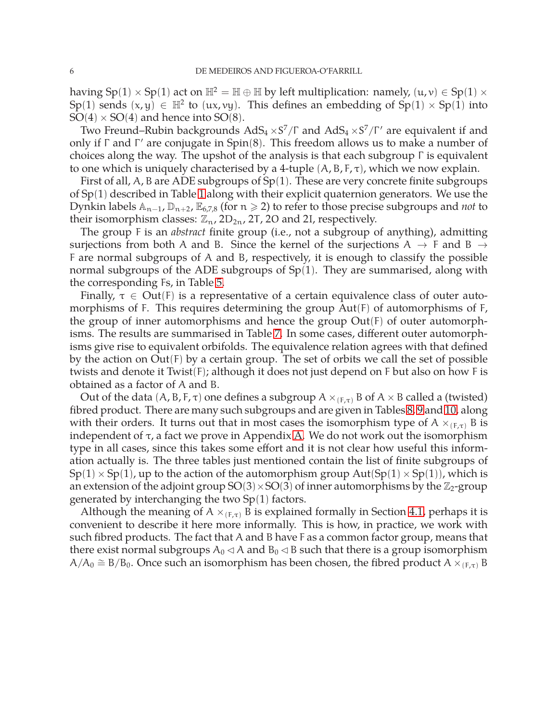having  $Sp(1) \times Sp(1)$  act on  $\mathbb{H}^2 = \mathbb{H} \oplus \mathbb{H}$  by left multiplication: namely,  $(u, v) \in Sp(1) \times$  $\text{Sp}(1)$  sends  $(x, y) \in \mathbb{H}^2$  to  $(ux, vy)$ . This defines an embedding of  $\text{Sp}(1) \times \text{Sp}(1)$  into  $SO(4) \times SO(4)$  and hence into  $SO(8)$ .

Two Freund–Rubin backgrounds  $AdS_4 \times S^7/\Gamma$  and  $AdS_4 \times S^7/\Gamma'$  are equivalent if and only if Γ and Γ ′ are conjugate in Spin(8). This freedom allows us to make a number of choices along the way. The upshot of the analysis is that each subgroup Γ is equivalent to one which is uniquely characterised by a 4-tuple  $(A, B, F, \tau)$ , which we now explain.

First of all, A, B are ADE subgroups of  $Sp(1)$ . These are very concrete finite subgroups of Sp(1) described in Table [1](#page-11-0) along with their explicit quaternion generators. We use the Dynkin labels An−<sup>1</sup>, Dn+<sup>2</sup>, E6,7,8 (for n > 2) to refer to those precise subgroups and *not* to their isomorphism classes:  $\mathbb{Z}_n$ , 2D<sub>2n</sub>, 2T, 2O and 2I, respectively.

The group F is an *abstract* finite group (i.e., not a subgroup of anything), admitting surjections from both A and B. Since the kernel of the surjections  $A \rightarrow F$  and B  $\rightarrow$ F are normal subgroups of A and B, respectively, it is enough to classify the possible normal subgroups of the ADE subgroups of Sp(1). They are summarised, along with the corresponding Fs, in Table [5.](#page-20-2)

Finally,  $\tau \in Out(F)$  is a representative of a certain equivalence class of outer automorphisms of F. This requires determining the group Aut(F) of automorphisms of F, the group of inner automorphisms and hence the group Out(F) of outer automorphisms. The results are summarised in Table [7.](#page-23-1) In some cases, different outer automorphisms give rise to equivalent orbifolds. The equivalence relation agrees with that defined by the action on  $Out(F)$  by a certain group. The set of orbits we call the set of possible twists and denote it Twist(F); although it does not just depend on F but also on how F is obtained as a factor of A and B.

Out of the data  $(A, B, F, \tau)$  one defines a subgroup  $A \times_{(F,\tau)} B$  of  $A \times B$  called a (twisted) fibred product. There are many such subgroups and are given in Tables [8,](#page-24-0) [9](#page-24-1) and [10,](#page-26-0) along with their orders. It turns out that in most cases the isomorphism type of  $A \times_{(F,\tau)} B$  is independent of  $\tau$ , a fact we prove in Appendix [A.](#page-42-0) We do not work out the isomorphism type in all cases, since this takes some effort and it is not clear how useful this information actually is. The three tables just mentioned contain the list of finite subgroups of  $Sp(1) \times Sp(1)$ , up to the action of the automorphism group  $Aut(Sp(1) \times Sp(1))$ , which is an extension of the adjoint group  $SO(3) \times SO(3)$  of inner automorphisms by the  $\mathbb{Z}_2$ -group generated by interchanging the two  $Sp(1)$  factors.

Although the meaning of  $A \times_{(F,\tau)} B$  is explained formally in Section [4.1,](#page-12-1) perhaps it is convenient to describe it here more informally. This is how, in practice, we work with such fibred products. The fact that A and B have F as a common factor group, means that there exist normal subgroups  $A_0 \triangleleft A$  and  $B_0 \triangleleft B$  such that there is a group isomorphism  $A/A_0 \cong B/B_0$ . Once such an isomorphism has been chosen, the fibred product A ×<sub>(F,τ)</sub> B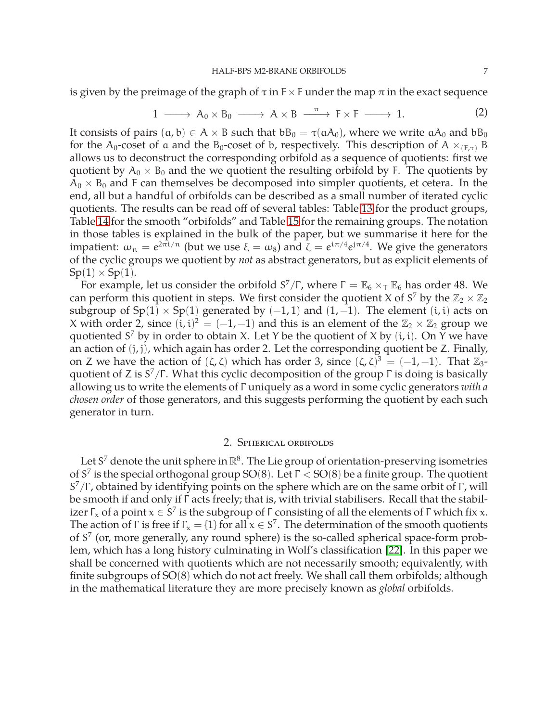is given by the preimage of the graph of  $\tau$  in  $F \times F$  under the map  $\pi$  in the exact sequence

$$
1 \longrightarrow A_0 \times B_0 \longrightarrow A \times B \longrightarrow F \times F \longrightarrow 1. \tag{2}
$$

It consists of pairs  $(a, b) \in A \times B$  such that  $bB_0 = \tau(aA_0)$ , where we write  $aA_0$  and  $bB_0$ for the A<sub>0</sub>-coset of a and the B<sub>0</sub>-coset of b, respectively. This description of A  $\times$ <sub>(E,τ)</sub> B allows us to deconstruct the corresponding orbifold as a sequence of quotients: first we quotient by  $A_0 \times B_0$  and the we quotient the resulting orbifold by F. The quotients by  $A_0 \times B_0$  and F can themselves be decomposed into simpler quotients, et cetera. In the end, all but a handful of orbifolds can be described as a small number of iterated cyclic quotients. The results can be read off of several tables: Table [13](#page-30-0) for the product groups, Table [14](#page-31-0) for the smooth "orbifolds" and Table [15](#page-37-1) for the remaining groups. The notation in those tables is explained in the bulk of the paper, but we summarise it here for the impatient:  $\omega_n = e^{2\pi i/n}$  (but we use  $\xi = \omega_8$ ) and  $\zeta = e^{i\pi/4}e^{j\pi/4}$ . We give the generators of the cyclic groups we quotient by *not* as abstract generators, but as explicit elements of  $Sp(1) \times Sp(1)$ .

For example, let us consider the orbifold  $S^7/\Gamma$ , where  $\Gamma = \mathbb{E}_6 \times_T \mathbb{E}_6$  has order 48. We can perform this quotient in steps. We first consider the quotient X of  $S^7$  by the  $\mathbb{Z}_2 \times \mathbb{Z}_2$ subgroup of  $Sp(1) \times Sp(1)$  generated by  $(-1,1)$  and  $(1,-1)$ . The element  $(i,i)$  acts on X with order 2, since  $(i, i)^2 = (-1, -1)$  and this is an element of the  $\mathbb{Z}_2 \times \mathbb{Z}_2$  group we quotiented  $S^7$  by in order to obtain X. Let Y be the quotient of X by  $(i, i)$ . On Y we have an action of  $(j, j)$ , which again has order 2. Let the corresponding quotient be Z. Finally, on Z we have the action of  $(\zeta, \zeta)$  which has order 3, since  $(\zeta, \zeta)^3 = (-1, -1)$ . That  $\mathbb{Z}_3$ quotient of Z is  $S^7/\Gamma$ . What this cyclic decomposition of the group  $\Gamma$  is doing is basically allowing us to write the elements of Γ uniquely as a word in some cyclic generators *with a chosen order* of those generators, and this suggests performing the quotient by each such generator in turn.

#### 2. Spherical orbifolds

<span id="page-7-0"></span>Let S<sup>7</sup> denote the unit sphere in  $\mathbb{R}^8$ . The Lie group of orientation-preserving isometries of S<sup>7</sup> is the special orthogonal group SO(8). Let  $\Gamma <$  SO(8) be a finite group. The quotient S<sup>7</sup>/Γ, obtained by identifying points on the sphere which are on the same orbit of Γ, will be smooth if and only if Γ acts freely; that is, with trivial stabilisers. Recall that the stabilizer  $\Gamma_x$  of a point  $x \in S^7$  is the subgroup of  $\Gamma$  consisting of all the elements of  $\Gamma$  which fix x. The action of  $\Gamma$  is free if  $\Gamma_x = \{1\}$  for all  $x \in S^7$ . The determination of the smooth quotients of  $S<sup>7</sup>$  (or, more generally, any round sphere) is the so-called spherical space-form problem, which has a long history culminating in Wolf's classification [\[22\]](#page-50-1). In this paper we shall be concerned with quotients which are not necessarily smooth; equivalently, with finite subgroups of SO(8) which do not act freely. We shall call them orbifolds; although in the mathematical literature they are more precisely known as *global* orbifolds.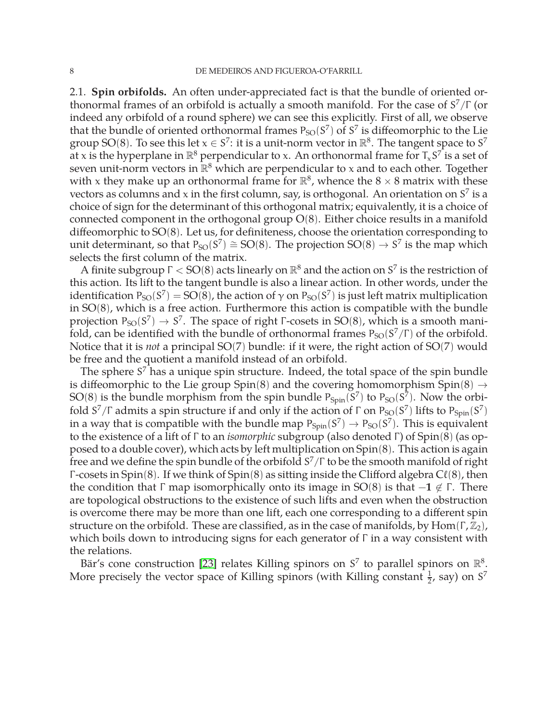<span id="page-8-0"></span>2.1. **Spin orbifolds.** An often under-appreciated fact is that the bundle of oriented orthonormal frames of an orbifold is actually a smooth manifold. For the case of  $S^7/\Gamma$  (or indeed any orbifold of a round sphere) we can see this explicitly. First of all, we observe that the bundle of oriented orthonormal frames  $P_{SO}(S^7)$  of  $S^7$  is diffeomorphic to the Lie group SO(8). To see this let  $x \in S^7$ : it is a unit-norm vector in  $\mathbb{R}^8$ . The tangent space to  $S^7$ at x is the hyperplane in  $\mathbb{R}^8$  perpendicular to x. An orthonormal frame for  $\mathsf{T}_\mathsf{x} \mathsf{S}^\mathcal{T}$  is a set of seven unit-norm vectors in  $\mathbb{R}^8$  which are perpendicular to x and to each other. Together with x they make up an orthonormal frame for  $\mathbb{R}^8$ , whence the  $8 \times 8$  matrix with these vectors as columns and x in the first column, say, is orthogonal. An orientation on  $S^7$  is a choice of sign for the determinant of this orthogonal matrix; equivalently, it is a choice of connected component in the orthogonal group  $O(8)$ . Either choice results in a manifold diffeomorphic to SO(8). Let us, for definiteness, choose the orientation corresponding to unit determinant, so that  $P_{SO}(S^7) \cong SO(8)$ . The projection  $SO(8) \rightarrow S^7$  is the map which selects the first column of the matrix.

A finite subgroup  $\Gamma <$  SO(8) acts linearly on  $\mathbb{R}^8$  and the action on  $S^7$  is the restriction of this action. Its lift to the tangent bundle is also a linear action. In other words, under the identification  $P_{SO}(S^7)=SO(8)$ , the action of  $\gamma$  on  $P_{SO}(S^7)$  is just left matrix multiplication in SO(8), which is a free action. Furthermore this action is compatible with the bundle projection  $P_{SO}(S^7) \rightarrow S^7$ . The space of right  $\Gamma$ -cosets in SO(8), which is a smooth manifold, can be identified with the bundle of orthonormal frames  $P_{SO}(S^7/\Gamma)$  of the orbifold. Notice that it is *not* a principal SO(7) bundle: if it were, the right action of SO(7) would be free and the quotient a manifold instead of an orbifold.

The sphere  $S<sup>7</sup>$  has a unique spin structure. Indeed, the total space of the spin bundle is diffeomorphic to the Lie group Spin(8) and the covering homomorphism Spin(8)  $\rightarrow$ SO(8) is the bundle morphism from the spin bundle  $P_{Spin}(S^7)$  to  $P_{SO}(S^7)$ . Now the orbifold S<sup>7</sup>/Γ admits a spin structure if and only if the action of Γ on P<sub>SO</sub>(S<sup>7</sup>) lifts to P<sub>Spin</sub>(S<sup>7</sup>) in a way that is compatible with the bundle map  $P_{Spin}(S^7) \to P_{SO}(S^7)$ . This is equivalent to the existence of a lift of Γ to an *isomorphic* subgroup (also denoted Γ) of Spin(8) (as opposed to a double cover), which acts by left multiplication on Spin(8). This action is again free and we define the spin bundle of the orbifold S $^{7}/\Gamma$  to be the smooth manifold of right  $\Gamma$ -cosets in Spin(8). If we think of Spin(8) as sitting inside the Clifford algebra  $C\ell(8)$ , then the condition that  $\Gamma$  map isomorphically onto its image in SO(8) is that  $-\mathbf{1} \notin \Gamma$ . There are topological obstructions to the existence of such lifts and even when the obstruction is overcome there may be more than one lift, each one corresponding to a different spin structure on the orbifold. These are classified, as in the case of manifolds, by Hom( $\Gamma$ ,  $\mathbb{Z}_2$ ), which boils down to introducing signs for each generator of Γ in a way consistent with the relations.

Bär's cone construction [\[23\]](#page-50-2) relates Killing spinors on  $S^7$  to parallel spinors on  $\mathbb{R}^8$ . More precisely the vector space of Killing spinors (with Killing constant  $\frac{1}{2}$ , say) on S<sup>7</sup>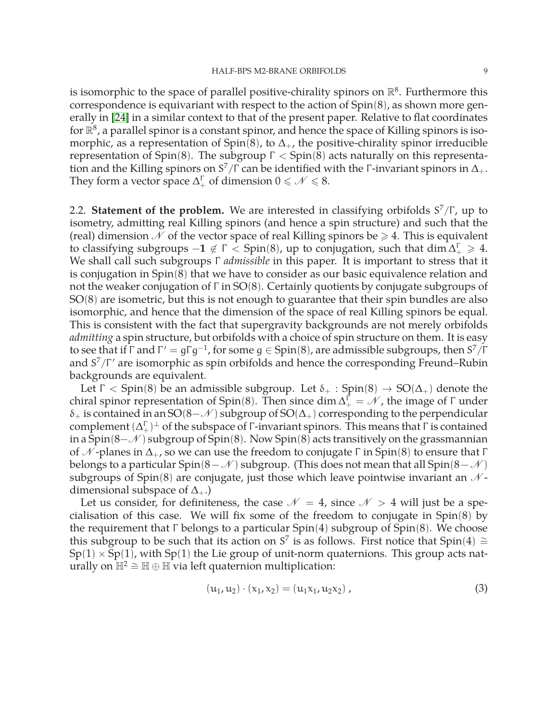is isomorphic to the space of parallel positive-chirality spinors on  $\mathbb{R}^8$ . Furthermore this correspondence is equivariant with respect to the action of Spin(8), as shown more generally in [\[24\]](#page-50-3) in a similar context to that of the present paper. Relative to flat coordinates for  $\mathbb{R}^8$ , a parallel spinor is a constant spinor, and hence the space of Killing spinors is isomorphic, as a representation of Spin(8), to  $\Delta_{+}$ , the positive-chirality spinor irreducible representation of Spin(8). The subgroup  $Γ <$  Spin(8) acts naturally on this representation and the Killing spinors on S $^7/\Gamma$  can be identified with the Γ-invariant spinors in  $\Delta_+.$ They form a vector space  $\Delta_+^{\Gamma}$  of dimension  $0 \leq \mathcal{N} \leq 8$ .

<span id="page-9-0"></span>2.2. **Statement of the problem.** We are interested in classifying orbifolds S<sup>7</sup>/Γ, up to isometry, admitting real Killing spinors (and hence a spin structure) and such that the (real) dimension  $\mathcal N$  of the vector space of real Killing spinors be  $\geq 4$ . This is equivalent to classifying subgroups  $-1 \notin \Gamma <$  Spin(8), up to conjugation, such that dim  $\Delta_{+}^{\Gamma} \geq 4$ . We shall call such subgroups Γ *admissible* in this paper. It is important to stress that it is conjugation in Spin(8) that we have to consider as our basic equivalence relation and not the weaker conjugation of Γ in SO(8). Certainly quotients by conjugate subgroups of SO(8) are isometric, but this is not enough to guarantee that their spin bundles are also isomorphic, and hence that the dimension of the space of real Killing spinors be equal. This is consistent with the fact that supergravity backgrounds are not merely orbifolds *admitting* a spin structure, but orbifolds with a choice of spin structure on them. It is easy to see that if  $\Gamma$  and  $\Gamma' = g\Gamma g^{-1}$ , for some  $g \in Spin(8)$ , are admissible subgroups, then  $S^7/\Gamma$ and  $S^7/\Gamma'$  are isomorphic as spin orbifolds and hence the corresponding Freund–Rubin backgrounds are equivalent.

Let  $\Gamma$  < Spin(8) be an admissible subgroup. Let  $\delta_+$ : Spin(8)  $\rightarrow SO(\Delta_+)$  denote the chiral spinor representation of Spin(8). Then since  $\dim \Delta_+^{\vec{\Gamma}} = \mathcal{N}$ , the image of  $\Gamma$  under  $\delta_+$  is contained in an SO(8−N) subgroup of SO( $\Delta_+$ ) corresponding to the perpendicular complement  $(\Delta_+^{\Gamma})^{\perp}$  of the subspace of  $\Gamma$ -invariant spinors. This means that  $\Gamma$  is contained in a Spin(8– $\mathcal{N}$ ) subgroup of Spin(8). Now Spin(8) acts transitively on the grassmannian of  $\mathcal N$ -planes in  $\Delta_+$ , so we can use the freedom to conjugate  $\Gamma$  in Spin(8) to ensure that  $\Gamma$ belongs to a particular Spin(8−N) subgroup. (This does not mean that all Spin(8−N) subgroups of Spin(8) are conjugate, just those which leave pointwise invariant an  $\mathcal{N}$ dimensional subspace of  $\Delta_{+}$ .)

Let us consider, for definiteness, the case  $\mathcal{N} = 4$ , since  $\mathcal{N} > 4$  will just be a specialisation of this case. We will fix some of the freedom to conjugate in Spin(8) by the requirement that Γ belongs to a particular  $Spin(4)$  subgroup of  $Spin(8)$ . We choose this subgroup to be such that its action on S<sup>7</sup> is as follows. First notice that Spin(4) ≅  $Sp(1) \times Sp(1)$ , with  $Sp(1)$  the Lie group of unit-norm quaternions. This group acts naturally on  $\mathbb{H}^2 \cong \mathbb{H} \oplus \mathbb{H}$  via left quaternion multiplication:

$$
(u_1, u_2) \cdot (x_1, x_2) = (u_1 x_1, u_2 x_2), \qquad (3)
$$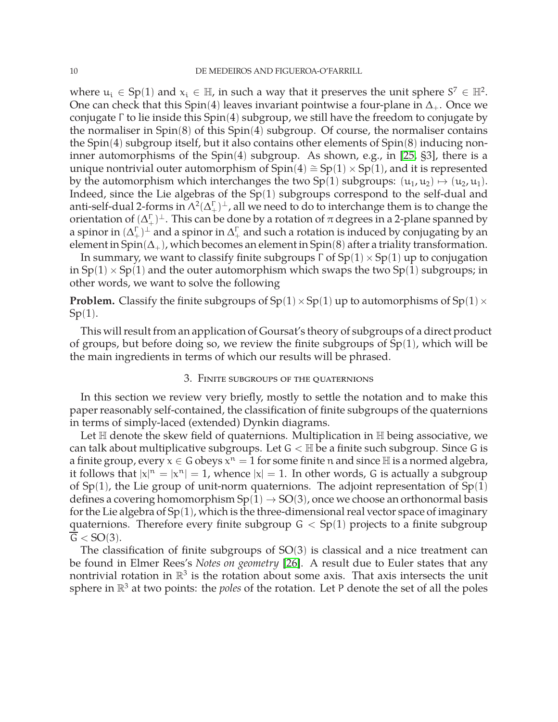where  $u_i \in Sp(1)$  and  $x_i \in \mathbb{H}$ , in such a way that it preserves the unit sphere  $S^7 \in \mathbb{H}^2$ . One can check that this Spin(4) leaves invariant pointwise a four-plane in  $\Delta_+$ . Once we conjugate Γ to lie inside this Spin(4) subgroup, we still have the freedom to conjugate by the normaliser in Spin(8) of this Spin(4) subgroup. Of course, the normaliser contains the Spin(4) subgroup itself, but it also contains other elements of Spin(8) inducing noninner automorphisms of the Spin(4) subgroup. As shown, e.g., in [\[25,](#page-50-4) §3], there is a unique nontrivial outer automorphism of  $Spin(4) \cong Sp(1) \times Sp(1)$ , and it is represented by the automorphism which interchanges the two Sp(1) subgroups:  $(u_1, u_2) \mapsto (u_2, u_1)$ . Indeed, since the Lie algebras of the Sp(1) subgroups correspond to the self-dual and anti-self-dual 2-forms in  $\Lambda^2(\Delta_+^\Gamma)^\perp$  , all we need to do to interchange them is to change the orientation of  $(\Delta_+^\Gamma)^\perp.$  This can be done by a rotation of  $\pi$  degrees in a 2-plane spanned by a spinor in  $(\Delta_+^\Gamma)^\perp$  and a spinor in  $\Delta_+^\Gamma$  and such a rotation is induced by conjugating by an element in Spin( $\Delta_{+}$ ), which becomes an element in Spin(8) after a triality transformation.

In summary, we want to classify finite subgroups  $\Gamma$  of  $Sp(1) \times Sp(1)$  up to conjugation in  $Sp(1) \times Sp(1)$  and the outer automorphism which swaps the two  $Sp(1)$  subgroups; in other words, we want to solve the following

**Problem.** Classify the finite subgroups of  $Sp(1) \times Sp(1)$  up to automorphisms of  $Sp(1) \times Sp(1)$ Sp(1).

This will result from an application of Goursat's theory of subgroups of a direct product of groups, but before doing so, we review the finite subgroups of  $Sp(1)$ , which will be the main ingredients in terms of which our results will be phrased.

#### 3. Finite subgroups of the quaternions

<span id="page-10-0"></span>In this section we review very briefly, mostly to settle the notation and to make this paper reasonably self-contained, the classification of finite subgroups of the quaternions in terms of simply-laced (extended) Dynkin diagrams.

Let  $\mathbb H$  denote the skew field of quaternions. Multiplication in  $\mathbb H$  being associative, we can talk about multiplicative subgroups. Let  $G < \mathbb{H}$  be a finite such subgroup. Since G is a finite group, every  $x \in G$  obeys  $x^n = 1$  for some finite n and since  $H$  is a normed algebra, it follows that  $|x|^n = |x^n| = 1$ , whence  $|x| = 1$ . In other words, G is actually a subgroup of  $Sp(1)$ , the Lie group of unit-norm quaternions. The adjoint representation of  $Sp(1)$ defines a covering homomorphism  $Sp(1) \rightarrow SO(3)$ , once we choose an orthonormal basis for the Lie algebra of  $Sp(1)$ , which is the three-dimensional real vector space of imaginary quaternions. Therefore every finite subgroup  $G < Sp(1)$  projects to a finite subgroup  $\overline{G}$  < SO(3).

The classification of finite subgroups of  $SO(3)$  is classical and a nice treatment can be found in Elmer Rees's *Notes on geometry* [\[26\]](#page-50-5). A result due to Euler states that any nontrivial rotation in  $\mathbb{R}^3$  is the rotation about some axis. That axis intersects the unit sphere in  $\mathbb{R}^3$  at two points: the *poles* of the rotation. Let P denote the set of all the poles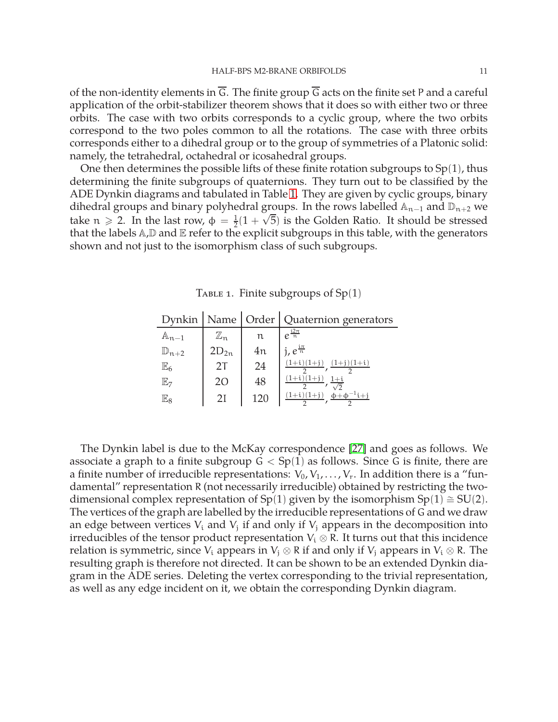of the non-identity elements in  $\overline{G}$ . The finite group  $\overline{G}$  acts on the finite set P and a careful application of the orbit-stabilizer theorem shows that it does so with either two or three orbits. The case with two orbits corresponds to a cyclic group, where the two orbits correspond to the two poles common to all the rotations. The case with three orbits corresponds either to a dihedral group or to the group of symmetries of a Platonic solid: namely, the tetrahedral, octahedral or icosahedral groups.

One then determines the possible lifts of these finite rotation subgroups to  $Sp(1)$ , thus determining the finite subgroups of quaternions. They turn out to be classified by the ADE Dynkin diagrams and tabulated in Table [1.](#page-11-0) They are given by cyclic groups, binary dihedral groups and binary polyhedral groups. In the rows labelled  $\mathbb{A}_{n-1}$  and  $\mathbb{D}_{n+2}$  we take  $n \geqslant 2$ . In the last row,  $\phi = \frac{1}{2}$  $\frac{1}{2}(1+\sqrt{5})$  is the Golden Ratio. It should be stressed that the labels  $A$ , $D$  and  $E$  refer to the explicit subgroups in this table, with the generators shown and not just to the isomorphism class of such subgroups.

<span id="page-11-0"></span>

|                    |                             |               | Dynkin   Name   Order   Quaternion generators |
|--------------------|-----------------------------|---------------|-----------------------------------------------|
| $\mathbb{A}_{n-1}$ | $\mathbb{Z}_{\mathfrak{n}}$ | $\mathfrak n$ | $e^{\frac{i2\pi}{n}}$                         |
| $\mathbb{D}_{n+2}$ | $2D_{2n}$                   | 4n            | $j, e^{\frac{i\pi}{n}}$                       |
| $\mathbb{E}_6$     | 2T                          | 24            | $(1+j)(1+i)$                                  |
| $\mathbb{E}_7$     | 20                          | 48            |                                               |
| $\mathbb{E}_8$     | 21                          | 120           | $^{-1}i+j$                                    |

The Dynkin label is due to the McKay correspondence [\[27\]](#page-50-6) and goes as follows. We associate a graph to a finite subgroup  $G < Sp(1)$  as follows. Since G is finite, there are a finite number of irreducible representations:  $V_0, V_1, \ldots, V_r$ . In addition there is a "fundamental" representation R (not necessarily irreducible) obtained by restricting the twodimensional complex representation of Sp(1) given by the isomorphism Sp(1)  $\cong$  SU(2). The vertices of the graph are labelled by the irreducible representations of G and we draw an edge between vertices  $V_i$  and  $V_j$  if and only if  $V_j$  appears in the decomposition into irreducibles of the tensor product representation  $V_i \otimes R$ . It turns out that this incidence relation is symmetric, since  $V_i$  appears in  $V_j \otimes R$  if and only if  $V_j$  appears in  $V_i \otimes R$ . The resulting graph is therefore not directed. It can be shown to be an extended Dynkin diagram in the ADE series. Deleting the vertex corresponding to the trivial representation, as well as any edge incident on it, we obtain the corresponding Dynkin diagram.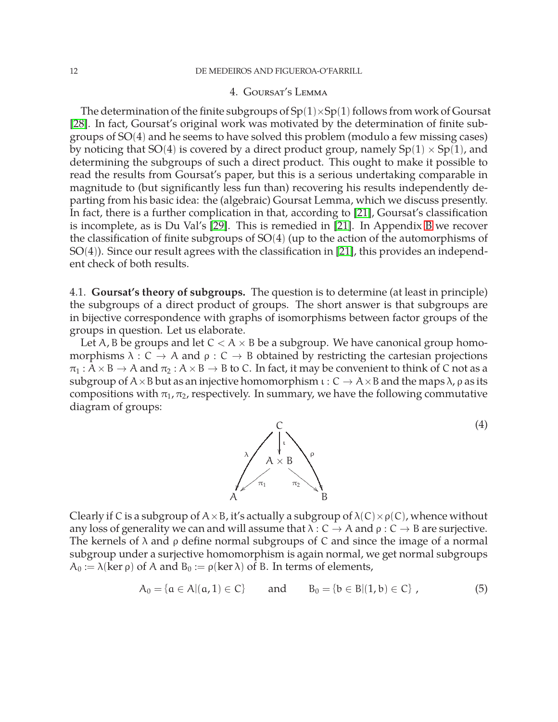#### 4. Goursat's Lemma

<span id="page-12-0"></span>The determination of the finite subgroups of  $Sp(1)\times Sp(1)$  follows from work of Goursat [\[28\]](#page-50-7). In fact, Goursat's original work was motivated by the determination of finite subgroups of SO(4) and he seems to have solved this problem (modulo a few missing cases) by noticing that SO(4) is covered by a direct product group, namely  $Sp(1) \times Sp(1)$ , and determining the subgroups of such a direct product. This ought to make it possible to read the results from Goursat's paper, but this is a serious undertaking comparable in magnitude to (but significantly less fun than) recovering his results independently departing from his basic idea: the (algebraic) Goursat Lemma, which we discuss presently. In fact, there is a further complication in that, according to [\[21\]](#page-50-0), Goursat's classification is incomplete, as is Du Val's [\[29\]](#page-50-8). This is remedied in [\[21\]](#page-50-0). In Appendix [B](#page-45-0) we recover the classification of finite subgroups of SO(4) (up to the action of the automorphisms of SO(4)). Since our result agrees with the classification in [\[21\]](#page-50-0), this provides an independent check of both results.

<span id="page-12-1"></span>4.1. **Goursat's theory of subgroups.** The question is to determine (at least in principle) the subgroups of a direct product of groups. The short answer is that subgroups are in bijective correspondence with graphs of isomorphisms between factor groups of the groups in question. Let us elaborate.

Let A, B be groups and let  $C < A \times B$  be a subgroup. We have canonical group homomorphisms  $\lambda : C \to A$  and  $\rho : C \to B$  obtained by restricting the cartesian projections  $\pi_1 : A \times B \to A$  and  $\pi_2 : A \times B \to B$  to C. In fact, it may be convenient to think of C not as a subgroup of  $A \times B$  but as an injective homomorphism  $\iota : C \to A \times B$  and the maps  $\lambda$ ,  $\rho$  as its compositions with  $\pi_1$ ,  $\pi_2$ , respectively. In summary, we have the following commutative diagram of groups:



(4)

Clearly if C is a subgroup of  $A \times B$ , it's actually a subgroup of  $\lambda(C) \times \rho(C)$ , whence without any loss of generality we can and will assume that  $\lambda : C \to A$  and  $\rho : C \to B$  are surjective. The kernels of  $\lambda$  and  $\rho$  define normal subgroups of C and since the image of a normal subgroup under a surjective homomorphism is again normal, we get normal subgroups  $A_0 := \lambda(\ker \rho)$  of A and  $B_0 := \rho(\ker \lambda)$  of B. In terms of elements,

<span id="page-12-2"></span>
$$
A_0 = \{a \in A | (a, 1) \in C\} \quad \text{and} \quad B_0 = \{b \in B | (1, b) \in C\}, \tag{5}
$$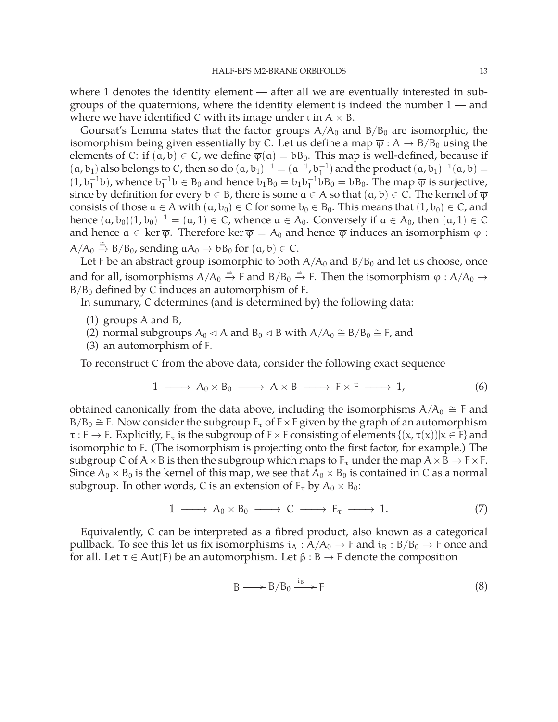where 1 denotes the identity element — after all we are eventually interested in subgroups of the quaternions, where the identity element is indeed the number 1 — and where we have identified C with its image under  $\iota$  in  $A \times B$ .

Goursat's Lemma states that the factor groups  $A/A_0$  and  $B/B_0$  are isomorphic, the isomorphism being given essentially by C. Let us define a map  $\overline{\varphi}$  : A  $\rightarrow$  B/B<sub>0</sub> using the elements of C: if  $(a, b) \in C$ , we define  $\overline{\varphi}(a) = bB_0$ . This map is well-defined, because if  $(a, b_1)$  also belongs to C, then so do  $(a, b_1)^{-1} = (a^{-1}, b_1^{-1})$  and the product  $(a, b_1)^{-1}(a, b) =$  $(1, b_1^{-1}b)$ , whence  $b_1^{-1}b \in B_0$  and hence  $b_1B_0 = b_1b_1^{-1}bB_0 = bB_0$ . The map  $\overline{\varphi}$  is surjective, since by definition for every  $b \in B$ , there is some  $a \in A$  so that  $(a, b) \in C$ . The kernel of  $\overline{\varphi}$ consists of those  $a \in A$  with  $(a, b_0) \in C$  for some  $b_0 \in B_0$ . This means that  $(1, b_0) \in C$ , and hence  $(a, b_0) (1, b_0)^{-1} = (a, 1) \in C$ , whence  $a \in A_0$ . Conversely if  $a \in A_0$ , then  $(a, 1) \in C$ and hence  $a \in \text{ker } \overline{\varphi}$ . Therefore  $\text{ker } \overline{\varphi} = A_0$  and hence  $\overline{\varphi}$  induces an isomorphism  $\varphi$ :  $A/A_0 \stackrel{\cong}{\rightarrow} B/B_0$ , sending  $aA_0 \mapsto bB_0$  for  $(a, b) \in C$ .

Let F be an abstract group isomorphic to both  $A/A_0$  and  $B/B_0$  and let us choose, once and for all, isomorphisms  $A/A_0 \stackrel{\cong}{\to} F$  and  $B/B_0 \stackrel{\cong}{\to} F$ . Then the isomorphism  $\varphi : A/A_0 \to$  $B/B<sub>0</sub>$  defined by C induces an automorphism of F.

In summary, C determines (and is determined by) the following data:

- (1) groups A and B,
- (2) normal subgroups  $A_0 \triangleleft A$  and  $B_0 \triangleleft B$  with  $A/A_0 \cong B/B_0 \cong F$ , and
- (3) an automorphism of F.

To reconstruct C from the above data, consider the following exact sequence

$$
1 \longrightarrow A_0 \times B_0 \longrightarrow A \times B \longrightarrow F \times F \longrightarrow 1,
$$
 (6)

obtained canonically from the data above, including the isomorphisms  $A/A_0 \cong$  F and B/B<sub>0</sub>  $\cong$  F. Now consider the subgroup F<sub>τ</sub> of F × F given by the graph of an automorphism  $\tau : F \to F$ . Explicitly,  $F_{\tau}$  is the subgroup of  $F \times F$  consisting of elements  $\{(x, \tau(x)) | x \in F\}$  and isomorphic to F. (The isomorphism is projecting onto the first factor, for example.) The subgroup C of  $A \times B$  is then the subgroup which maps to  $F_{\tau}$  under the map  $A \times B \rightarrow F \times F$ . Since  $A_0 \times B_0$  is the kernel of this map, we see that  $A_0 \times B_0$  is contained in C as a normal subgroup. In other words, C is an extension of  $F_{\tau}$  by  $A_0 \times B_0$ :

$$
1 \longrightarrow A_0 \times B_0 \longrightarrow C \longrightarrow F_{\tau} \longrightarrow 1. \tag{7}
$$

Equivalently, C can be interpreted as a fibred product, also known as a categorical pullback. To see this let us fix isomorphisms  $i_A : A/A_0 \rightarrow F$  and  $i_B : B/B_0 \rightarrow F$  once and for all. Let  $\tau \in Aut(F)$  be an automorphism. Let  $\beta : B \to F$  denote the composition

<span id="page-13-0"></span>
$$
B \longrightarrow B/B_0 \xrightarrow{i_B} F \tag{8}
$$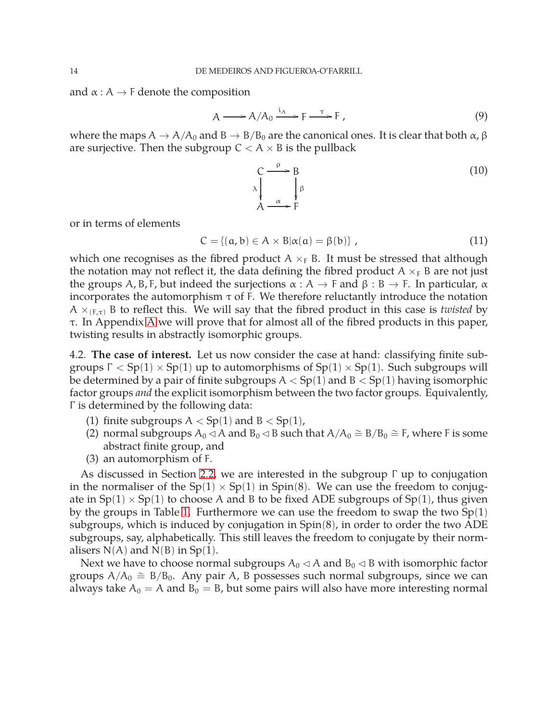and  $\alpha : A \rightarrow F$  denote the composition

<span id="page-14-1"></span>
$$
A \longrightarrow A/A_0 \xrightarrow{i_A} F \xrightarrow{\tau} F, \tag{9}
$$

where the maps  $A \to A/A_0$  and  $B \to B/B_0$  are the canonical ones. It is clear that both  $\alpha$ ,  $\beta$ are surjective. Then the subgroup  $C < A \times B$  is the pullback

$$
\begin{array}{ccc}\nC & \xrightarrow{\rho} & B \\
\lambda & \downarrow^{\beta} & \\
A & \xrightarrow{\alpha} & F\n\end{array} \tag{10}
$$

or in terms of elements

$$
C = \{ (a, b) \in A \times B | \alpha(a) = \beta(b) \},
$$
\n(11)

which one recognises as the fibred product  $A \times_F B$ . It must be stressed that although the notation may not reflect it, the data defining the fibred product  $A \times_F B$  are not just the groups A, B, F, but indeed the surjections  $\alpha : A \to F$  and  $\beta : B \to F$ . In particular,  $\alpha$ incorporates the automorphism  $\tau$  of F. We therefore reluctantly introduce the notation  $A \times_{(F,\tau)} B$  to reflect this. We will say that the fibred product in this case is *twisted* by τ. In Appendix [A](#page-42-0) we will prove that for almost all of the fibred products in this paper, twisting results in abstractly isomorphic groups.

<span id="page-14-0"></span>4.2. **The case of interest.** Let us now consider the case at hand: classifying finite subgroups  $Γ < Sp(1) \times Sp(1)$  up to automorphisms of  $Sp(1) \times Sp(1)$ . Such subgroups will be determined by a pair of finite subgroups  $A < Sp(1)$  and  $B < Sp(1)$  having isomorphic factor groups *and* the explicit isomorphism between the two factor groups. Equivalently, Γ is determined by the following data:

- (1) finite subgroups  $A < Sp(1)$  and  $B < Sp(1)$ ,
- (2) normal subgroups  $A_0 \triangleleft A$  and  $B_0 \triangleleft B$  such that  $A/A_0 \cong B/B_0 \cong F$ , where F is some abstract finite group, and
- (3) an automorphism of F.

As discussed in Section [2.2,](#page-9-0) we are interested in the subgroup Γ up to conjugation in the normaliser of the  $Sp(1) \times Sp(1)$  in  $Spin(8)$ . We can use the freedom to conjugate in  $Sp(1) \times Sp(1)$  to choose A and B to be fixed ADE subgroups of  $Sp(1)$ , thus given by the groups in Table [1.](#page-11-0) Furthermore we can use the freedom to swap the two  $Sp(1)$ subgroups, which is induced by conjugation in Spin(8), in order to order the two ADE subgroups, say, alphabetically. This still leaves the freedom to conjugate by their normalisers  $N(A)$  and  $N(B)$  in  $Sp(1)$ .

Next we have to choose normal subgroups  $A_0 \triangleleft A$  and  $B_0 \triangleleft B$  with isomorphic factor groups  $A/A_0 \cong B/B_0$ . Any pair A, B possesses such normal subgroups, since we can always take  $A_0 = A$  and  $B_0 = B$ , but some pairs will also have more interesting normal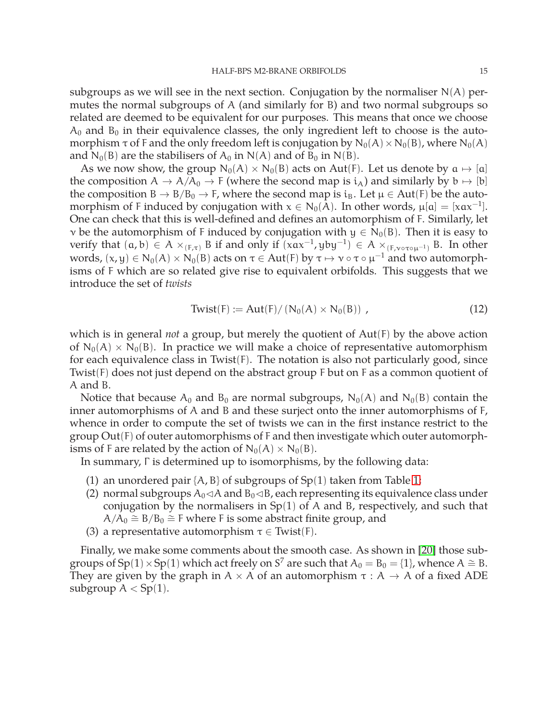subgroups as we will see in the next section. Conjugation by the normaliser  $N(A)$  permutes the normal subgroups of A (and similarly for B) and two normal subgroups so related are deemed to be equivalent for our purposes. This means that once we choose  $A_0$  and  $B_0$  in their equivalence classes, the only ingredient left to choose is the automorphism  $\tau$  of F and the only freedom left is conjugation by  $N_0(A) \times N_0(B)$ , where  $N_0(A)$ and  $N_0(B)$  are the stabilisers of  $A_0$  in  $N(A)$  and of  $B_0$  in  $N(B)$ .

As we now show, the group  $N_0(A) \times N_0(B)$  acts on Aut(F). Let us denote by  $a \mapsto [a]$ the composition  $A \to A/A_0 \to F$  (where the second map is  $i_A$ ) and similarly by  $b \mapsto [b]$ the composition B  $\rightarrow$  B/B<sub>0</sub>  $\rightarrow$  F, where the second map is i<sub>B</sub>. Let  $\mu \in Aut(F)$  be the automorphism of F induced by conjugation with  $x \in N_0(A)$ . In other words,  $\mu[a] = [xax^{-1}]$ . One can check that this is well-defined and defines an automorphism of F. Similarly, let v be the automorphism of F induced by conjugation with  $y \in N_0(B)$ . Then it is easy to verify that  $(a, b) \in A \times_{(F,\tau)} B$  if and only if  $(xax^{-1}, yby^{-1}) \in A \times_{(F,v \circ \tau \circ \mu^{-1})} B$ . In other words,  $(x, y) \in N_0(A) \times N_0(B)$  acts on  $\tau \in Aut(F)$  by  $\tau \mapsto \nu \circ \tau \circ \mu^{-1}$  and two automorphisms of F which are so related give rise to equivalent orbifolds. This suggests that we introduce the set of *twists*

<span id="page-15-0"></span>
$$
Twist(F) := Aut(F) / (N_0(A) \times N_0(B)), \qquad (12)
$$

which is in general *not* a group, but merely the quotient of Aut(F) by the above action of  $N_0(A) \times N_0(B)$ . In practice we will make a choice of representative automorphism for each equivalence class in Twist(F). The notation is also not particularly good, since Twist(F) does not just depend on the abstract group F but on F as a common quotient of A and B.

Notice that because  $A_0$  and  $B_0$  are normal subgroups,  $N_0(A)$  and  $N_0(B)$  contain the inner automorphisms of A and B and these surject onto the inner automorphisms of F, whence in order to compute the set of twists we can in the first instance restrict to the group Out(F) of outer automorphisms of F and then investigate which outer automorphisms of F are related by the action of  $N_0(A) \times N_0(B)$ .

In summary, Γ is determined up to isomorphisms, by the following data:

- (1) an unordered pair  $\{A, B\}$  of subgroups of  $Sp(1)$  taken from Table [1;](#page-11-0)
- (2) normal subgroups  $A_0$ < $A$  and  $B_0$ < $B$ , each representing its equivalence class under conjugation by the normalisers in  $Sp(1)$  of A and B, respectively, and such that  $A/A_0 \cong B/B_0 \cong$  F where F is some abstract finite group, and
- (3) a representative automorphism  $\tau \in$  Twist(F).

Finally, we make some comments about the smooth case. As shown in [\[20\]](#page-49-5) those subgroups of Sp(1) × Sp(1) which act freely on S<sup>7</sup> are such that  $A_0 = B_0 = \{1\}$ , whence  $A \cong B$ . They are given by the graph in  $A \times A$  of an automorphism  $\tau : A \rightarrow A$  of a fixed ADE subgroup  $A < Sp(1)$ .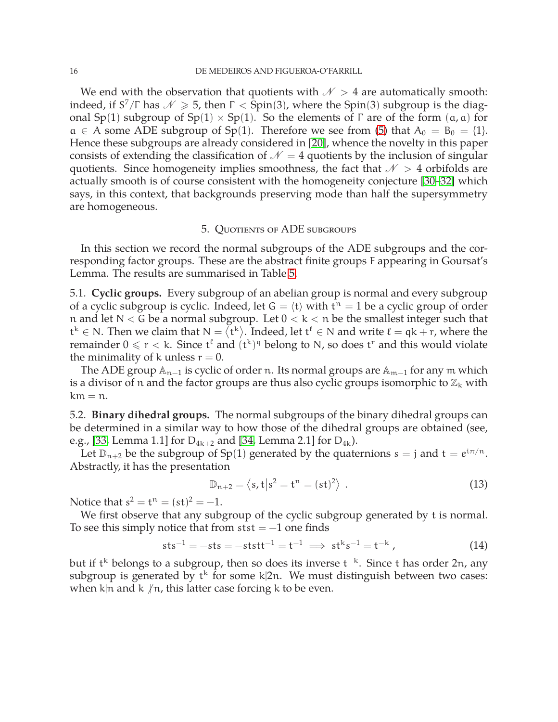We end with the observation that quotients with  $N > 4$  are automatically smooth: indeed, if S<sup>7</sup>/ $\Gamma$  has  $\mathscr{N} \geqslant 5$ , then  $\Gamma <$  Spin(3), where the Spin(3) subgroup is the diagonal Sp(1) subgroup of Sp(1)  $\times$  Sp(1). So the elements of  $\Gamma$  are of the form  $(a, a)$  for  $a \in A$  some ADE subgroup of Sp(1). Therefore we see from [\(5\)](#page-12-2) that  $A_0 = B_0 = \{1\}$ . Hence these subgroups are already considered in [\[20\]](#page-49-5), whence the novelty in this paper consists of extending the classification of  $\mathcal{N} = 4$  quotients by the inclusion of singular quotients. Since homogeneity implies smoothness, the fact that  $\mathcal{N} > 4$  orbifolds are actually smooth is of course consistent with the homogeneity conjecture [\[30–](#page-50-9)[32\]](#page-50-10) which says, in this context, that backgrounds preserving mode than half the supersymmetry are homogeneous.

#### 5. Quotients of ADE subgroups

<span id="page-16-0"></span>In this section we record the normal subgroups of the ADE subgroups and the corresponding factor groups. These are the abstract finite groups F appearing in Goursat's Lemma. The results are summarised in Table [5.](#page-20-2)

<span id="page-16-1"></span>5.1. **Cyclic groups.** Every subgroup of an abelian group is normal and every subgroup of a cyclic subgroup is cyclic. Indeed, let  $G = \langle t \rangle$  with  $t^n = 1$  be a cyclic group of order n and let  $N \triangleleft G$  be a normal subgroup. Let  $0 < k < n$  be the smallest integer such that  $t^k \in N$ . Then we claim that  $N = \langle t^k \rangle$ . Indeed, let  $t^l \in N$  and write  $l = qk + r$ , where the remainder  $0 \leqslant r < k$ . Since  $\mathfrak{t}^{\ell}$  and  $(\mathfrak{t}^k)^{\mathfrak{q}}$  belong to N, so does  $\mathfrak{t}^r$  and this would violate the minimality of k unless  $r = 0$ .

The ADE group  $\mathbb{A}_{n-1}$  is cyclic of order n. Its normal groups are  $\mathbb{A}_{m-1}$  for any m which is a divisor of n and the factor groups are thus also cyclic groups isomorphic to  $\mathbb{Z}_k$  with  $km = n$ .

<span id="page-16-2"></span>5.2. **Binary dihedral groups.** The normal subgroups of the binary dihedral groups can be determined in a similar way to how those of the dihedral groups are obtained (see, e.g., [\[33,](#page-50-11) Lemma 1.1] for  $D_{4k+2}$  and [\[34,](#page-50-12) Lemma 2.1] for  $D_{4k}$ ).

Let  $\mathbb{D}_{n+2}$  be the subgroup of Sp(1) generated by the quaternions  $s = j$  and  $t = e^{i\pi/n}$ . Abstractly, it has the presentation

$$
\mathbb{D}_{n+2} = \langle s, t | s^2 = t^n = (st)^2 \rangle . \tag{13}
$$

Notice that  $s^2 = t^n = (st)^2 = -1$ .

We first observe that any subgroup of the cyclic subgroup generated by t is normal. To see this simply notice that from  $st = -1$  one finds

$$
sts^{-1} = -sts = -ststt^{-1} = t^{-1} \implies st^{k}s^{-1} = t^{-k}, \qquad (14)
$$

but if t<sup>k</sup> belongs to a subgroup, then so does its inverse t<sup>-k</sup>. Since t has order 2n, any subgroup is generated by  $t^k$  for some  $k|2n$ . We must distinguish between two cases: when k|n and k  $/n$ , this latter case forcing k to be even.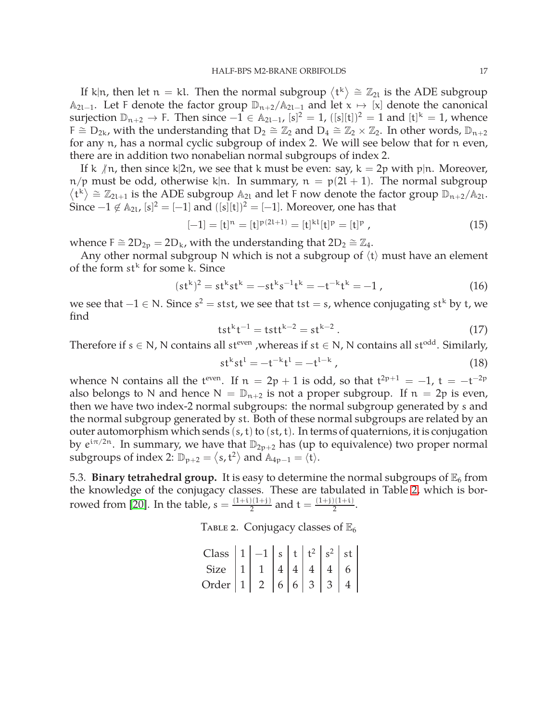If k|n, then let  $n = k$ l. Then the normal subgroup  $\langle t^k \rangle \cong \mathbb{Z}_{2l}$  is the ADE subgroup A<sub>2l−1</sub>. Let F denote the factor group  $\mathbb{D}_{n+2}/\mathbb{A}_{2l-1}$  and let  $x \mapsto [x]$  denote the canonical surjection  $\mathbb{D}_{n+2} \to F$ . Then since  $-1 \in \mathbb{A}_{2l-1}$ ,  $[s]^2 = 1$ ,  $([s][t])^2 = 1$  and  $[t]^k = 1$ , whence F  $\cong$  D<sub>2k</sub>, with the understanding that D<sub>2</sub>  $\cong \mathbb{Z}_2$  and D<sub>4</sub>  $\cong \mathbb{Z}_2 \times \mathbb{Z}_2$ . In other words, D<sub>n+2</sub> for any n, has a normal cyclic subgroup of index 2. We will see below that for n even, there are in addition two nonabelian normal subgroups of index 2.

If k  $/n$ , then since k|2n, we see that k must be even: say, k = 2p with p|n. Moreover,  $n/p$  must be odd, otherwise k|n. In summary,  $n = p(2l + 1)$ . The normal subgroup  $\langle t^k \rangle \cong \mathbb{Z}_{2l+1}$  is the ADE subgroup  $\mathbb{A}_{2l}$  and let F now denote the factor group  $\mathbb{D}_{n+2}/\mathbb{A}_{2l}$ . Since  $-1 \notin A_{2l}$ ,  $[s]^2 = [-1]$  and  $([s][t])^2 = [-1]$ . Moreover, one has that

$$
[-1] = [t]^n = [t]^{p(2l+1)} = [t]^{kl} [t]^p = [t]^p ,
$$
\n(15)

whence F  $\cong$  2D<sub>2p</sub> = 2D<sub>k</sub>, with the understanding that 2D<sub>2</sub>  $\cong \mathbb{Z}_4$ .

Any other normal subgroup N which is not a subgroup of  $\langle t \rangle$  must have an element of the form  $st^k$  for some k. Since

$$
(stk)2 = stkstk = -stks-1tk = -t-ktk = -1,
$$
 (16)

we see that  $-1 \in N$ . Since  $s^2 =$  stst, we see that tst = s, whence conjugating st<sup>k</sup> by t, we find

$$
tstkt-1 = tsttk-2 = stk-2.
$$
 (17)

Therefore if  $s \in N$ , N contains all st<sup>even</sup>, whereas if  $st \in N$ , N contains all st<sup>odd</sup>. Similarly,

$$
st^{k}st^{l} = -t^{-k}t^{l} = -t^{l-k}, \qquad (18)
$$

whence N contains all the t<sup>even</sup>. If  $n = 2p + 1$  is odd, so that  $t^{2p+1} = -1$ ,  $t = -t^{-2p}$ also belongs to N and hence  $N = D_{n+2}$  is not a proper subgroup. If  $n = 2p$  is even, then we have two index-2 normal subgroups: the normal subgroup generated by s and the normal subgroup generated by st. Both of these normal subgroups are related by an outer automorphism which sends  $(s, t)$  to  $(st, t)$ . In terms of quaternions, it is conjugation by  $e^{i\pi/2n}$ . In summary, we have that  $\mathbb{D}_{2p+2}$  has (up to equivalence) two proper normal subgroups of index 2:  $\mathbb{D}_{p+2} = \langle s, t^2 \rangle$  and  $\mathbb{A}_{4p-1} = \langle t \rangle$ .

<span id="page-17-0"></span>5.3. **Binary tetrahedral group.** It is easy to determine the normal subgroups of  $\mathbb{E}_6$  from the knowledge of the conjugacy classes. These are tabulated in Table [2,](#page-17-1) which is bor-rowed from [\[20\]](#page-49-5). In the table,  $s = \frac{(1+i)(1+i)}{2}$  $\frac{2(1+i)}{2}$  and  $t = \frac{(1+i)(1+i)}{2}$  $\frac{1}{2}$ .

TABLE 2. Conjugacy classes of  $\mathbb{E}_6$ 

<span id="page-17-1"></span>

| Class $ 1 -1 s t t^2 s^2 st$                       |  |  |  |  |
|----------------------------------------------------|--|--|--|--|
| Size $1 \mid 1 \mid 4 \mid 4 \mid 4 \mid 4 \mid 6$ |  |  |  |  |
| Order $ 1  2  6  6  3  3  4$                       |  |  |  |  |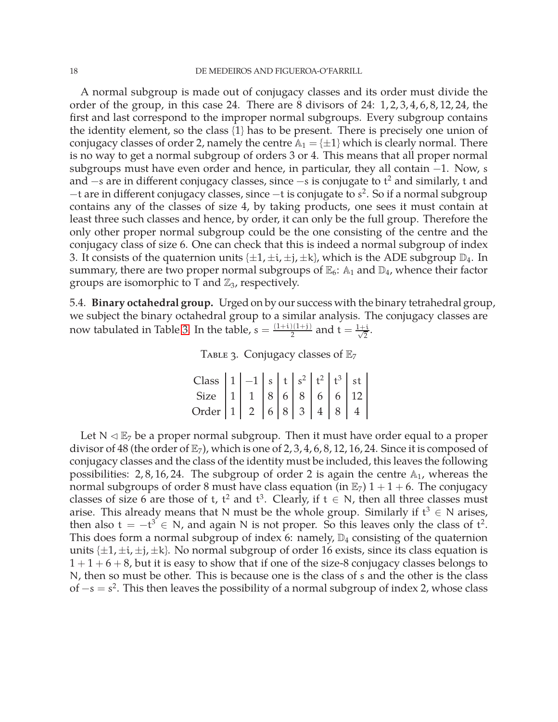A normal subgroup is made out of conjugacy classes and its order must divide the order of the group, in this case 24. There are 8 divisors of 24: 1, 2, 3, 4, 6, 8, 12, 24, the first and last correspond to the improper normal subgroups. Every subgroup contains the identity element, so the class {1} has to be present. There is precisely one union of conjugacy classes of order 2, namely the centre  $\mathbb{A}_1 = \{\pm 1\}$  which is clearly normal. There is no way to get a normal subgroup of orders 3 or 4. This means that all proper normal subgroups must have even order and hence, in particular, they all contain −1. Now, s and  $-$ s are in different conjugacy classes, since  $-$ s is conjugate to t $^2$  and similarly, t and −t are in different conjugacy classes, since −t is conjugate to s 2 . So if a normal subgroup contains any of the classes of size 4, by taking products, one sees it must contain at least three such classes and hence, by order, it can only be the full group. Therefore the only other proper normal subgroup could be the one consisting of the centre and the conjugacy class of size 6. One can check that this is indeed a normal subgroup of index 3. It consists of the quaternion units  $\{\pm 1, \pm i, \pm j, \pm k\}$ , which is the ADE subgroup  $\mathbb{D}_4$ . In summary, there are two proper normal subgroups of  $\mathbb{E}_6$ :  $\mathbb{A}_1$  and  $\mathbb{D}_4$ , whence their factor groups are isomorphic to  $\mathsf{T}$  and  $\mathbb{Z}_3$ , respectively.

<span id="page-18-0"></span>5.4. **Binary octahedral group.** Urged on by our success with the binary tetrahedral group, we subject the binary octahedral group to a similar analysis. The conjugacy classes are now tabulated in Table [3.](#page-18-1) In the table,  $s = \frac{(1+i)(1+i)}{2}$  $\frac{1}{2}$  and t =  $\frac{1+i}{\sqrt{2}}$  $\frac{1}{2}$ .

<span id="page-18-1"></span>

|  | TABLE 3. Conjugacy classes of $\mathbb{E}_7$ |  |  |  |
|--|----------------------------------------------|--|--|--|
|--|----------------------------------------------|--|--|--|

Class  $|1|-1|s|t|s^2|t^2|t^3|$  st Size | 1 | 1 | 8 | 6 | 8 | 6 | 6 | 12 Order | 1 | 2 | 6 | 8 | 3 | 4 | 8 | 4

Let  $N \triangleleft \mathbb{E}_7$  be a proper normal subgroup. Then it must have order equal to a proper divisor of 48 (the order of  $\mathbb{E}_7$ ), which is one of 2, 3, 4, 6, 8, 12, 16, 24. Since it is composed of conjugacy classes and the class of the identity must be included, this leaves the following possibilities: 2,8, 16, 24. The subgroup of order 2 is again the centre  $\mathbb{A}_1$ , whereas the normal subgroups of order 8 must have class equation (in  $\mathbb{E}_7$ )  $1 + 1 + 6$ . The conjugacy classes of size 6 are those of t,  $t^2$  and  $t^3$ . Clearly, if  $t \in N$ , then all three classes must arise. This already means that N must be the whole group. Similarly if  $t^3 \in N$  arises, then also  $t = -t^3 \in N$ , and again N is not proper. So this leaves only the class of  $t^2$ . This does form a normal subgroup of index 6: namely,  $\mathbb{D}_4$  consisting of the quaternion units  $\{\pm 1, \pm i, \pm j, \pm k\}$ . No normal subgroup of order 16 exists, since its class equation is  $1+1+6+8$ , but it is easy to show that if one of the size-8 conjugacy classes belongs to N, then so must be other. This is because one is the class of s and the other is the class of  $-s = s^2$ . This then leaves the possibility of a normal subgroup of index 2, whose class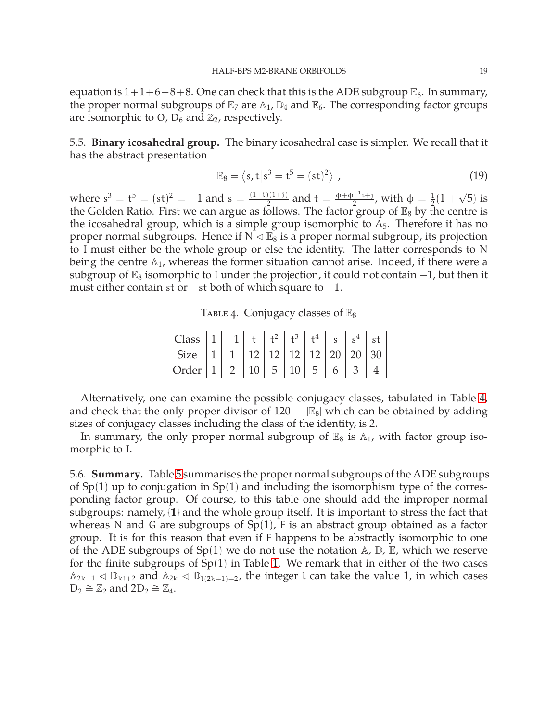equation is  $1+1+6+8+8$ . One can check that this is the ADE subgroup  $\mathbb{E}_6$ . In summary, the proper normal subgroups of  $\mathbb{E}_7$  are  $\mathbb{A}_1$ ,  $\mathbb{D}_4$  and  $\mathbb{E}_6$ . The corresponding factor groups are isomorphic to O,  $D_6$  and  $\mathbb{Z}_2$ , respectively.

<span id="page-19-0"></span>5.5. **Binary icosahedral group.** The binary icosahedral case is simpler. We recall that it has the abstract presentation

$$
\mathbb{E}_8 = \left\langle s, t \middle| s^3 = t^5 = (st)^2 \right\rangle \tag{19}
$$

where  $s^3 = t^5 = (st)^2 = -1$  and  $s = \frac{(1+i)(1+i)}{2}$  $\frac{\phi_1(1+j)}{2}$  and t =  $\frac{\phi_1 + \phi_2(1+j)}{2}$  $\frac{1}{2}$ , with φ =  $\frac{1}{2}$  $\frac{1}{2}(1+\sqrt{5})$  is the Golden Ratio. First we can argue as follows. The factor group of  $\mathbb{E}_8$  by the centre is the icosahedral group, which is a simple group isomorphic to  $A_5$ . Therefore it has no proper normal subgroups. Hence if  $N \triangleleft \mathbb{E}_8$  is a proper normal subgroup, its projection to I must either be the whole group or else the identity. The latter corresponds to N being the centre  $A_1$ , whereas the former situation cannot arise. Indeed, if there were a subgroup of  $\mathbb{E}_8$  isomorphic to I under the projection, it could not contain  $-1$ , but then it must either contain st or  $-$ st both of which square to  $-1$ .

<span id="page-19-2"></span>TABLE 4. Conjugacy classes of  $\mathbb{E}_8$ 

| Class $\begin{vmatrix} 1 & -1 & t \end{vmatrix}$ $t^2 \begin{vmatrix} t^3 & t^4 \end{vmatrix}$ s $\begin{vmatrix} s^4 & s \end{vmatrix}$ st |  |  |  |  |  |
|---------------------------------------------------------------------------------------------------------------------------------------------|--|--|--|--|--|
| Size $\begin{vmatrix} 1 & 1 & 12 \end{vmatrix}$ 12   12   12   20   20   30                                                                 |  |  |  |  |  |
| Order   1   2   10   5   10   5   6   3   4                                                                                                 |  |  |  |  |  |

Alternatively, one can examine the possible conjugacy classes, tabulated in Table [4,](#page-19-2) and check that the only proper divisor of  $120 = |E_8|$  which can be obtained by adding sizes of conjugacy classes including the class of the identity, is 2.

In summary, the only proper normal subgroup of  $\mathbb{E}_8$  is  $\mathbb{A}_1$ , with factor group isomorphic to I.

<span id="page-19-1"></span>5.6. **Summary.** Table [5](#page-20-2) summarises the proper normal subgroups of the ADE subgroups of  $Sp(1)$  up to conjugation in  $Sp(1)$  and including the isomorphism type of the corresponding factor group. Of course, to this table one should add the improper normal subgroups: namely, {**1**} and the whole group itself. It is important to stress the fact that whereas N and G are subgroups of  $Sp(1)$ , F is an abstract group obtained as a factor group. It is for this reason that even if F happens to be abstractly isomorphic to one of the ADE subgroups of  $Sp(1)$  we do not use the notation  $\mathbb{A}, \mathbb{D}, \mathbb{E}$ , which we reserve for the finite subgroups of  $Sp(1)$  in Table [1.](#page-11-0) We remark that in either of the two cases  $\mathbb{A}_{2k-1}$  ⊲  $\mathbb{D}_{k1+2}$  and  $\mathbb{A}_{2k}$  ⊲  $\mathbb{D}_{1(2k+1)+2}$ , the integer l can take the value 1, in which cases  $D_2 \cong \mathbb{Z}_2$  and  $2D_2 \cong \mathbb{Z}_4$ .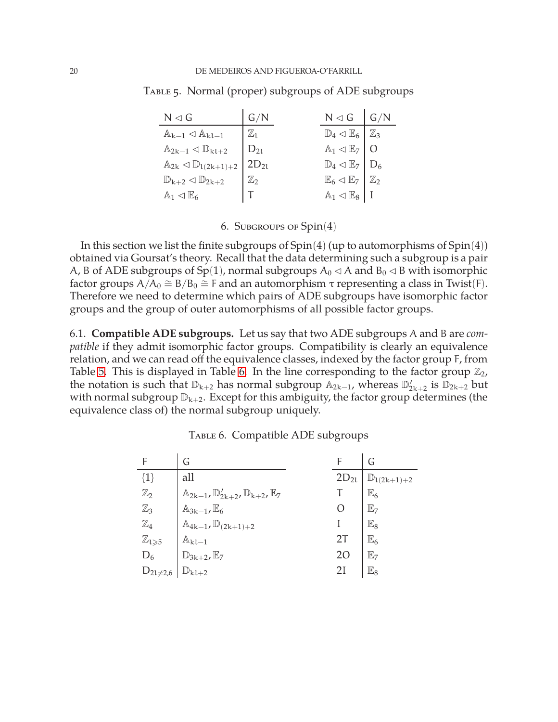<span id="page-20-2"></span>

| $N \lhd G$                                             | G/N            | $N \triangleleft G$ $G/N$                                   |  |
|--------------------------------------------------------|----------------|-------------------------------------------------------------|--|
| $\mathbb{A}_{k-1} \triangleleft \mathbb{A}_{k-1}$      | $\mathbb{Z}_1$ | $\mathbb{D}_4 \triangleleft \mathbb{E}_6 \mid \mathbb{Z}_3$ |  |
| $\mathbb{A}_{2k-1} \triangleleft \mathbb{D}_{k1+2}$    | $ D_{2l} $     | $\mathbb{A}_1 \triangleleft \mathbb{E}_7 \mid 0$            |  |
| $\mathbb{A}_{2k} \triangleleft \mathbb{D}_{l(2k+1)+2}$ | $2D_{21}$      | $\mathbb{D}_4 \triangleleft \mathbb{E}_7 \mid D_6$          |  |
| $\mathbb{D}_{k+2}\lhd \mathbb{D}_{2k+2}$               | $\mathbb{Z}_2$ | $\mathbb{E}_6 \triangleleft \mathbb{E}_7 \mid \mathbb{Z}_2$ |  |
| $\mathbb{A}_1 \lhd \mathbb{E}_6$                       |                | $\mathbb{A}_1 \lhd \mathbb{E}_8$   I                        |  |

Table 5. Normal (proper) subgroups of ADE subgroups

 $\mathbf{r}$ 

6. Subgroups of Spin(4)

<span id="page-20-0"></span>In this section we list the finite subgroups of  $Spin(4)$  (up to automorphisms of  $Spin(4)$ ) obtained via Goursat's theory. Recall that the data determining such a subgroup is a pair A, B of ADE subgroups of Sp(1), normal subgroups  $A_0 \triangleleft A$  and  $B_0 \triangleleft B$  with isomorphic factor groups  $A/A_0 \cong B/B_0 \cong F$  and an automorphism  $\tau$  representing a class in Twist(F). Therefore we need to determine which pairs of ADE subgroups have isomorphic factor groups and the group of outer automorphisms of all possible factor groups.

<span id="page-20-1"></span>6.1. **Compatible ADE subgroups.** Let us say that two ADE subgroups A and B are *compatible* if they admit isomorphic factor groups. Compatibility is clearly an equivalence relation, and we can read off the equivalence classes, indexed by the factor group F, from Table [5.](#page-20-2) This is displayed in Table [6.](#page-20-3) In the line corresponding to the factor group  $\mathbb{Z}_2$ , the notation is such that  $\mathbb{D}_{k+2}$  has normal subgroup  $\mathbb{A}_{2k-1}$ , whereas  $\mathbb{D}'_{2k+2}$  is  $\mathbb{D}_{2k+2}$  but with normal subgroup  $\mathbb{D}_{k+2}$ . Except for this ambiguity, the factor group determines (the equivalence class of) the normal subgroup uniquely.

|                              | G                                                                       |           | G                        |
|------------------------------|-------------------------------------------------------------------------|-----------|--------------------------|
| ${1}$                        | all                                                                     | $2D_{21}$ | $\mathbb{D}_{1(2k+1)+2}$ |
| $\mathbb{Z}_2$               | $\mathbb{A}_{2k-1}, \mathbb{D}'_{2k+2}, \mathbb{D}_{k+2}, \mathbb{E}_7$ |           | $\mathbb{E}_6$           |
| $\mathbb{Z}_3$               | $\mathbb{A}_{3k-1}, \mathbb{E}_6$                                       |           | $\mathbb{E}_7$           |
| $\mathbb{Z}_4$               | $\mathbb{A}_{4k-1}, \mathbb{D}_{(2k+1)+2}$                              |           | $\mathbb{E}_8$           |
| $\mathbb{Z}_{1 \geqslant 5}$ | $\mathbb{A}_{k l-1}$                                                    | 2T        | $\mathbb{E}_6$           |
| $D_6$                        | $\mathbb{D}_{3k+2}, \mathbb{E}_7$                                       | 20        | $\mathbb{E}_7$           |
| $D_{2l \neq 2,6}$            | $\mathbb{D}_{k l+2}$                                                    | 2I        | $\mathbb{E}_8$           |

<span id="page-20-3"></span>TABLE 6. Compatible ADE subgroups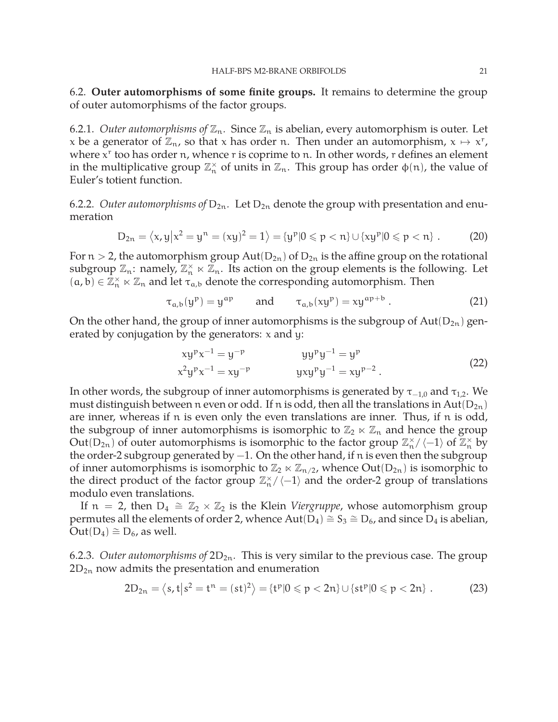<span id="page-21-0"></span>6.2. **Outer automorphisms of some finite groups.** It remains to determine the group of outer automorphisms of the factor groups.

6.2.1. *Outer automorphisms of*  $\mathbb{Z}_n$ . Since  $\mathbb{Z}_n$  is abelian, every automorphism is outer. Let x be a generator of  $\mathbb{Z}_n$ , so that x has order n. Then under an automorphism,  $x \mapsto x^r$ , where  $x^r$  too has order  $\mathfrak n$ , whence  $r$  is coprime to  $\mathfrak n$ . In other words,  $r$  defines an element in the multiplicative group  $\mathbb{Z}_n^{\times}$  of units in  $\mathbb{Z}_n$ . This group has order  $\phi(n)$ , the value of Euler's totient function.

6.2.2. *Outer automorphisms of*  $D_{2n}$ . Let  $D_{2n}$  denote the group with presentation and enumeration

<span id="page-21-1"></span>
$$
D_{2n}=\left\langle x,y\bigl|x^2=y^n=(xy)^2=1\right\rangle=\left\{y^p|0\leqslant p< n\right\}\cup\left\{xy^p|0\leqslant p< n\right\}\,.\qquad \quad \ (20)
$$

For  $n > 2$ , the automorphism group  $Aut(D_{2n})$  of  $D_{2n}$  is the affine group on the rotational subgroup  $\mathbb{Z}_n$ : namely,  $\mathbb{Z}_n^{\times} \ltimes \mathbb{Z}_n$ . Its action on the group elements is the following. Let  $(a, b) \in \mathbb{Z}_n^{\times} \ltimes \mathbb{Z}_n$  and let  $\tau_{a,b}$  denote the corresponding automorphism. Then

$$
\tau_{a,b}(y^p) = y^{ap} \qquad \text{and} \qquad \tau_{a,b}(xy^p) = xy^{ap+b} \ . \tag{21}
$$

On the other hand, the group of inner automorphisms is the subgroup of  $Aut(D_{2n})$  generated by conjugation by the generators:  $x$  and  $y$ :

$$
xy^{p}x^{-1} = y^{-p} \t yy^{p}y^{-1} = y^{p}
$$
  
\n
$$
x^{2}y^{p}x^{-1} = xy^{-p} \t yxy^{p}y^{-1} = xy^{p-2}.
$$
\n(22)

In other words, the subgroup of inner automorphisms is generated by  $\tau_{-1,0}$  and  $\tau_{1,2}$ . We must distinguish between n even or odd. If n is odd, then all the translations in Aut( $D_{2n}$ ) are inner, whereas if n is even only the even translations are inner. Thus, if n is odd, the subgroup of inner automorphisms is isomorphic to  $\mathbb{Z}_2 \ltimes \mathbb{Z}_n$  and hence the group Out(D<sub>2n</sub>) of outer automorphisms is isomorphic to the factor group  $\mathbb{Z}_n^{\times}/\langle -1 \rangle$  of  $\mathbb{Z}_n^{\times}$  by the order-2 subgroup generated by −1. On the other hand, if n is even then the subgroup of inner automorphisms is isomorphic to  $\mathbb{Z}_2 \ltimes \mathbb{Z}_{n/2}$ , whence  $Out(D_{2n})$  is isomorphic to the direct product of the factor group  $\mathbb{Z}_n^{\times}/\langle -1 \rangle$  and the order-2 group of translations modulo even translations.

If  $n = 2$ , then  $D_4 \cong \mathbb{Z}_2 \times \mathbb{Z}_2$  is the Klein *Viergruppe*, whose automorphism group permutes all the elements of order 2, whence  $Aut(D_4) \cong S_3 \cong D_6$ , and since D<sub>4</sub> is abelian,  $Out(D_4) \cong D_6$ , as well.

<span id="page-21-2"></span>6.2.3. *Outer automorphisms of*  $2D_{2n}$ . This is very similar to the previous case. The group  $2D_{2n}$  now admits the presentation and enumeration

$$
2D_{2n} = \langle s, t | s^2 = t^n = (st)^2 \rangle = \{ t^p | 0 \leq p < 2n \} \cup \{ st^p | 0 \leq p < 2n \} . \tag{23}
$$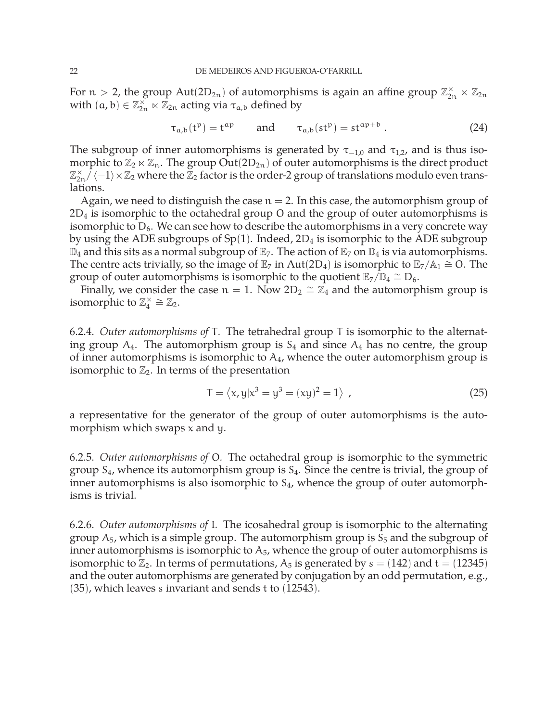For  $n > 2$ , the group  $Aut(2D_{2n})$  of automorphisms is again an affine group  $\mathbb{Z}_{2n}^{\times} \ltimes \mathbb{Z}_{2n}$ with  $(a, b) \in \mathbb{Z}_{2n}^{\times} \ltimes \mathbb{Z}_{2n}$  acting via  $\tau_{a,b}$  defined by

$$
\tau_{a,b}(t^p) = t^{ap} \qquad \text{and} \qquad \tau_{a,b}(st^p) = st^{ap+b} \ . \tag{24}
$$

The subgroup of inner automorphisms is generated by  $\tau_{-1,0}$  and  $\tau_{1,2}$ , and is thus isomorphic to  $\mathbb{Z}_2 \ltimes \mathbb{Z}_n$ . The group  $Out(2D_{2n})$  of outer automorphisms is the direct product  $\mathbb{Z}_{2n}^\times/\sqrt{-1}\times\mathbb{Z}_2$  where the  $\mathbb{Z}_2$  factor is the order-2 group of translations modulo even translations.

Again, we need to distinguish the case  $n = 2$ . In this case, the automorphism group of 2D<sup>4</sup> is isomorphic to the octahedral group O and the group of outer automorphisms is isomorphic to  $D_6$ . We can see how to describe the automorphisms in a very concrete way by using the ADE subgroups of  $Sp(1)$ . Indeed,  $2D_4$  is isomorphic to the ADE subgroup  $\mathbb{D}_4$  and this sits as a normal subgroup of  $\mathbb{E}_7$ . The action of  $\mathbb{E}_7$  on  $\mathbb{D}_4$  is via automorphisms. The centre acts trivially, so the image of  $\mathbb{E}_7$  in Aut(2D<sub>4</sub>) is isomorphic to  $\mathbb{E}_7/\mathbb{A}_1 \cong O$ . The group of outer automorphisms is isomorphic to the quotient  $\mathbb{E}_7/\mathbb{D}_4 \cong D_6$ .

Finally, we consider the case  $n = 1$ . Now  $2D_2 \cong \mathbb{Z}_4$  and the automorphism group is isomorphic to  $\mathbb{Z}_4^\times \cong \mathbb{Z}_2$ .

6.2.4. *Outer automorphisms of* T*.* The tetrahedral group T is isomorphic to the alternating group  $A_4$ . The automorphism group is  $S_4$  and since  $A_4$  has no centre, the group of inner automorphisms is isomorphic to  $A_4$ , whence the outer automorphism group is isomorphic to  $\mathbb{Z}_2$ . In terms of the presentation

$$
T = \langle x, y | x^3 = y^3 = (xy)^2 = 1 \rangle , \qquad (25)
$$

a representative for the generator of the group of outer automorphisms is the automorphism which swaps x and y.

6.2.5. *Outer automorphisms of* O*.* The octahedral group is isomorphic to the symmetric group  $S_4$ , whence its automorphism group is  $S_4$ . Since the centre is trivial, the group of inner automorphisms is also isomorphic to  $S<sub>4</sub>$ , whence the group of outer automorphisms is trivial.

6.2.6. *Outer automorphisms of* I*.* The icosahedral group is isomorphic to the alternating group  $A_5$ , which is a simple group. The automorphism group is  $S_5$  and the subgroup of inner automorphisms is isomorphic to  $A_5$ , whence the group of outer automorphisms is isomorphic to  $\mathbb{Z}_2$ . In terms of permutations,  $A_5$  is generated by  $s = (142)$  and  $t = (12345)$ and the outer automorphisms are generated by conjugation by an odd permutation, e.g., (35), which leaves s invariant and sends t to (12543).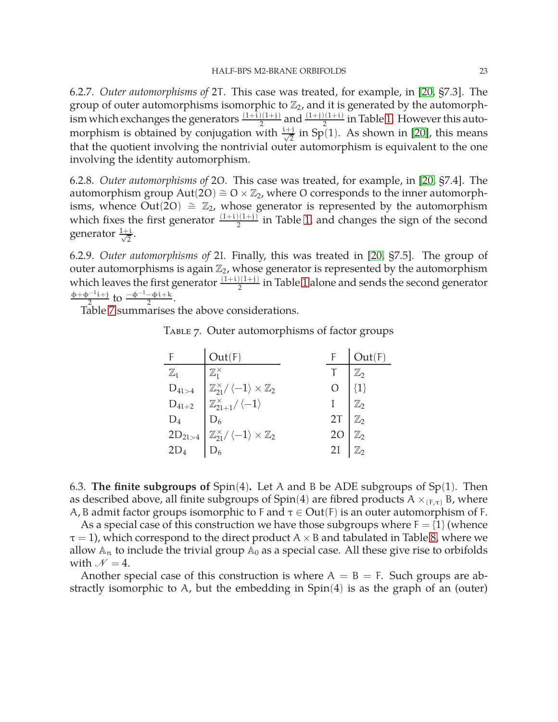6.2.7. *Outer automorphisms of* 2T*.* This case was treated, for example, in [\[20,](#page-49-5) §7.3]. The group of outer automorphisms isomorphic to  $\mathbb{Z}_2$ , and it is generated by the automorphism which exchanges the generators  $\frac{(1+i)(1+i)}{2}$  and  $\frac{(1+i)(1+i)}{2}$  in Table [1.](#page-11-0) However this automorphism is obtained by conjugation with  $\frac{i+j}{\sqrt{2}}$  in Sp(1). As shown in [\[20\]](#page-49-5), this means that the quotient involving the nontrivial outer automorphism is equivalent to the one involving the identity automorphism.

6.2.8. *Outer automorphisms of* 2O*.* This case was treated, for example, in [\[20,](#page-49-5) §7.4]. The automorphism group Aut(2O)  $\cong$  O  $\times\mathbb{Z}_2$ , where O corresponds to the inner automorphisms, whence Out(2O)  $\cong \mathbb{Z}_2$ , whose generator is represented by the automorphism which fixes the first generator  $\frac{(1+i)(1+i)}{2}$  in Table [1,](#page-11-0) and changes the sign of the second generator  $\frac{1+i}{\sqrt{2}}$  $\frac{1}{2}$ .

6.2.9. *Outer automorphisms of* 2I*.* Finally, this was treated in [\[20,](#page-49-5) §7.5]. The group of outer automorphisms is again  $\mathbb{Z}_2$ , whose generator is represented by the automorphism which leaves the first generator  $\frac{(1+i)(1+i)}{2}$  in Table [1](#page-11-0) alone and sends the second generator  $\Phi + \Phi^{-1} i + j$  $\frac{1}{2}$  to  $\frac{-\phi^{-1}-\phi i+k}{2}$ .

Table [7](#page-23-1) summarises the above considerations.

TABLE 7. Outer automorphisms of factor groups

<span id="page-23-1"></span>

|                | Out(F)                                                                                                                                       |                                                                                                                  | Out(F) |
|----------------|----------------------------------------------------------------------------------------------------------------------------------------------|------------------------------------------------------------------------------------------------------------------|--------|
| $\mathbb{Z}_1$ | $\mathbb{Z}_1^{\times}$                                                                                                                      |                                                                                                                  |        |
|                |                                                                                                                                              | $\begin{array}{c} T \\ O \end{array} \begin{bmatrix} \mathbb{Z}_2 \\ \{1\} \end{bmatrix}$                        |        |
|                |                                                                                                                                              | I<br>2T<br>$\begin{array}{c} \mathbb{Z}_2 \\ \mathbb{Z}_2 \end{array}$                                           |        |
|                |                                                                                                                                              |                                                                                                                  |        |
|                |                                                                                                                                              | 20 $\begin{array}{c} \mathbb{Z}_2 \\ 2I \end{array}$ $\begin{array}{c} \mathbb{Z}_2 \\ \mathbb{Z}_2 \end{array}$ |        |
|                | $D_{41>4}$<br>$D_{41>4}$<br>$D_{41+2}$<br>$D_4$<br>$2D_{21>4}$<br>$D_6$<br>$2D_{21>4}$<br>$D_6$<br>$D_6$<br>$D_7$<br>$D_8$<br>$D_8$<br>$D_6$ |                                                                                                                  |        |

<span id="page-23-0"></span>6.3. **The finite subgroups of** Spin(4)**.** Let A and B be ADE subgroups of Sp(1). Then as described above, all finite subgroups of Spin(4) are fibred products A  $\times_{(F,\tau)} B$ , where A, B admit factor groups isomorphic to F and  $\tau \in Out(F)$  is an outer automorphism of F.

As a special case of this construction we have those subgroups where  $F = \{1\}$  (whence  $\tau = 1$ ), which correspond to the direct product A  $\times$  B and tabulated in Table [8,](#page-24-0) where we allow  $\mathbb{A}_n$  to include the trivial group  $\mathbb{A}_0$  as a special case. All these give rise to orbifolds with  $\mathcal{N} = 4$ .

Another special case of this construction is where  $A = B = F$ . Such groups are abstractly isomorphic to A, but the embedding in Spin(4) is as the graph of an (outer)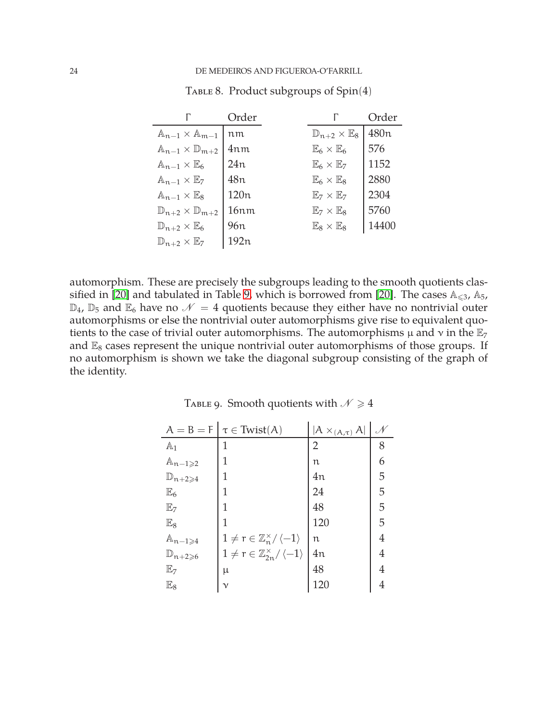|                                            | Order           |                                       | Order            |
|--------------------------------------------|-----------------|---------------------------------------|------------------|
| $\mathbb{A}_{n-1} \times \mathbb{A}_{m-1}$ | nm              | $\mathbb{D}_{n+2}\times \mathbb{E}_8$ | 480 <sub>n</sub> |
| $\mathbb{A}_{n-1}\times\mathbb{D}_{m+2}$   | 4nm             | $\mathbb{E}_6\times\mathbb{E}_6$      | 576              |
| $\mathbb{A}_{n-1}\times\mathbb{E}_6$       | 24n             | $\mathbb{E}_6\times\mathbb{E}_7$      | 1152             |
| $\mathbb{A}_{n-1}\times\mathbb{E}_7$       | 48n             | $\mathbb{E}_6\times\mathbb{E}_8$      | 2880             |
| $\mathbb{A}_{n-1}\times\mathbb{E}_8$       | 120n            | $\mathbb{E}_7\times\mathbb{E}_7$      | 2304             |
| $\mathbb{D}_{n+2}\times \mathbb{D}_{m+2}$  | 16nm            | $\mathbb{E}_7\times\mathbb{E}_8$      | 5760             |
| $\mathbb{D}_{n+2}\times\mathbb{E}_6$       | 96 <sub>n</sub> | $\mathbb{E}_8\times\mathbb{E}_8$      | 14400            |
| $\mathbb{D}_{n+2}\times\mathbb{E}_7$       | 192n            |                                       |                  |

<span id="page-24-0"></span>TABLE 8. Product subgroups of Spin(4)

automorphism. These are precisely the subgroups leading to the smooth quotients clas-sified in [\[20\]](#page-49-5) and tabulated in Table [9,](#page-24-1) which is borrowed from [\[20\]](#page-49-5). The cases  $A_{\leq 3}$ ,  $A_5$ ,  $\mathbb{D}_4$ ,  $\mathbb{D}_5$  and  $\mathbb{E}_6$  have no  $\mathcal{N}=4$  quotients because they either have no nontrivial outer automorphisms or else the nontrivial outer automorphisms give rise to equivalent quotients to the case of trivial outer automorphisms. The automorphisms  $\mu$  and  $\nu$  in the  $\mathbb{E}_7$ and  $\mathbb{E}_8$  cases represent the unique nontrivial outer automorphisms of those groups. If no automorphism is shown we take the diagonal subgroup consisting of the graph of the identity.

| $A = B = F$                   | $\tau \in \text{Twist}(A)$                                   | $ A \times_{(A,\tau)} A $ |   |
|-------------------------------|--------------------------------------------------------------|---------------------------|---|
| $\mathbb{A}_1$                | 1                                                            | 2                         | 8 |
| $\mathbb{A}_{n-1\geqslant 2}$ | 1                                                            | n                         | 6 |
| $\mathbb{D}_{n+2\geqslant 4}$ | 1                                                            | 4n                        | 5 |
| $\mathbb{E}_6$                | 1                                                            | 24                        | 5 |
| $\mathbb{E}_7$                | 1                                                            | 48                        | 5 |
| $\mathbb{E}_8$                | 1                                                            | 120                       | 5 |
| $\mathbb{A}_{n-1\geqslant 4}$ | $1 \neq r \in \mathbb{Z}_n^{\times}/\langle -1 \rangle$      | n                         | 4 |
| $\mathbb{D}_{n+2\geqslant 6}$ | $1 \neq r \in \mathbb{Z}_{2n}^{\times} / \langle -1 \rangle$ | 4n                        | 4 |
| $\mathbb{E}_7$                | μ                                                            | 48                        | 4 |
| $\mathbb{E}_8$                | $\mathcal V$                                                 | 120                       | 4 |

<span id="page-24-1"></span>TABLE 9. Smooth quotients with  $\mathcal{N} \geq 4$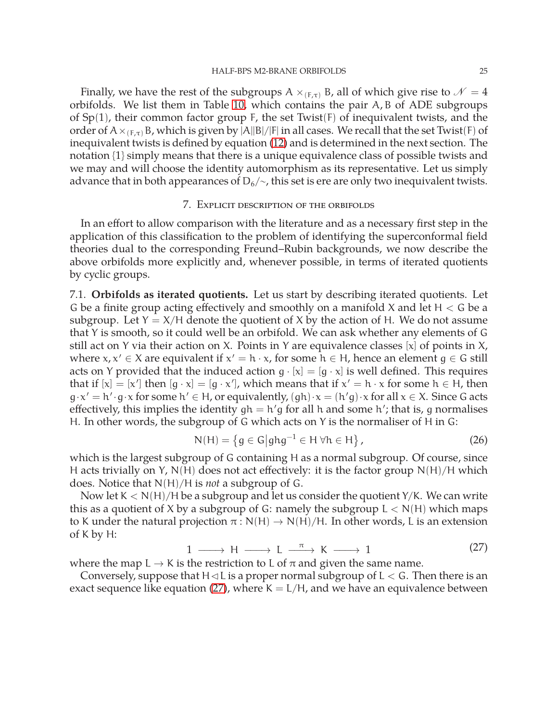Finally, we have the rest of the subgroups A  $\times_{(F,\tau)}$  B, all of which give rise to  $\mathcal{N}=4$ orbifolds. We list them in Table [10,](#page-26-0) which contains the pair A, B of ADE subgroups of  $Sp(1)$ , their common factor group F, the set Twist(F) of inequivalent twists, and the order of  $A \times_{(F,\tau)} B$ , which is given by  $|A||B|/|F|$  in all cases. We recall that the set Twist(F) of inequivalent twists is defined by equation [\(12\)](#page-15-0) and is determined in the next section. The notation {1} simply means that there is a unique equivalence class of possible twists and we may and will choose the identity automorphism as its representative. Let us simply advance that in both appearances of  $D_6/\sim$ , this set is ere are only two inequivalent twists.

#### 7. Explicit description of the orbifolds

<span id="page-25-0"></span>In an effort to allow comparison with the literature and as a necessary first step in the application of this classification to the problem of identifying the superconformal field theories dual to the corresponding Freund–Rubin backgrounds, we now describe the above orbifolds more explicitly and, whenever possible, in terms of iterated quotients by cyclic groups.

<span id="page-25-1"></span>7.1. **Orbifolds as iterated quotients.** Let us start by describing iterated quotients. Let G be a finite group acting effectively and smoothly on a manifold X and let  $H < G$  be a subgroup. Let  $Y = X/H$  denote the quotient of X by the action of H. We do not assume that Y is smooth, so it could well be an orbifold. We can ask whether any elements of G still act on Y via their action on X. Points in Y are equivalence classes [x] of points in  $X$ , where  $x, x' \in X$  are equivalent if  $x' = h \cdot x$ , for some  $h \in H$ , hence an element  $g \in G$  still acts on Y provided that the induced action  $g \cdot [x] = [g \cdot x]$  is well defined. This requires that if  $[x] = [x']$  then  $[g \cdot x] = [g \cdot x']$ , which means that if  $x' = h \cdot x$  for some  $h \in H$ , then  $g \cdot x' = h' \cdot g \cdot x$  for some  $h' \in H$ , or equivalently,  $(gh) \cdot x = (h'g) \cdot x$  for all  $x \in X$ . Since G acts effectively, this implies the identity gh = h′g for all h and some h′; that is, g normalises H. In other words, the subgroup of G which acts on Y is the normaliser of H in G:

$$
N(H) = \left\{ g \in G \middle| ghg^{-1} \in H \,\forall h \in H \right\},\tag{26}
$$

which is the largest subgroup of G containing H as a normal subgroup. Of course, since H acts trivially on Y,  $N(H)$  does not act effectively: it is the factor group  $N(H)/H$  which does. Notice that N(H)/H is *not* a subgroup of G.

Now let  $K < N(H)/H$  be a subgroup and let us consider the quotient Y/K. We can write this as a quotient of X by a subgroup of G: namely the subgroup  $L < N(H)$  which maps to K under the natural projection  $\pi$  : N(H)  $\rightarrow$  N(H)/H. In other words, L is an extension of K by H:

<span id="page-25-2"></span>
$$
1 \longrightarrow H \longrightarrow L \stackrel{\pi}{\longrightarrow} K \longrightarrow 1 \tag{27}
$$

where the map  $L \rightarrow K$  is the restriction to L of  $\pi$  and given the same name.

Conversely, suppose that  $H \triangleleft L$  is a proper normal subgroup of  $L < G$ . Then there is an exact sequence like equation [\(27\)](#page-25-2), where  $K = L/H$ , and we have an equivalence between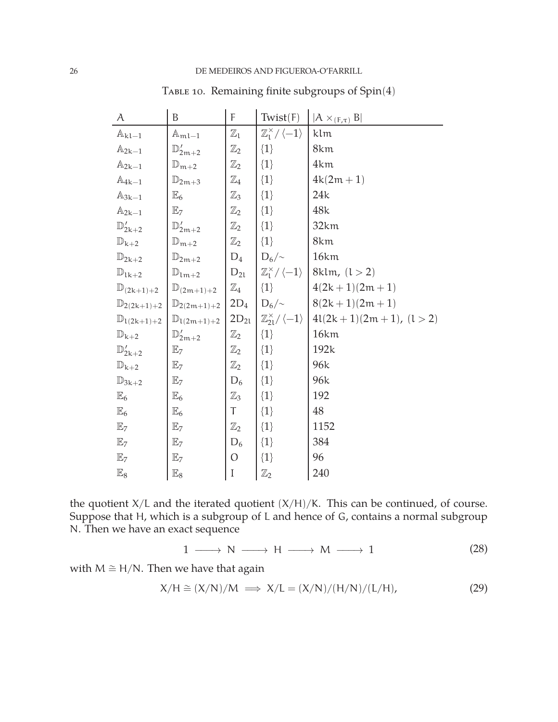| A                        | B                                          | F                         | Twist(F)                                      | $ A \times_{(F,\tau)} B $ |
|--------------------------|--------------------------------------------|---------------------------|-----------------------------------------------|---------------------------|
| $\mathbb{A}_{k1-1}$      | $\mathbb{A}_{\mathfrak{m} \mathfrak{l}-1}$ | $\mathbb{Z}_\mathfrak{l}$ | $\mathbb{Z}_1^\times/\langle -1 \rangle$      | klm                       |
| $\mathbb{A}_{2k-1}$      | $\mathbb{D}'_{2m+2}$                       | $\mathbb{Z}_2$            | $\{1\}$                                       | 8km                       |
| $\mathbb{A}_{2k-1}$      | $\mathbb{D}_{m+2}$                         | $\mathbb{Z}_2$            | $\{1\}$                                       | 4km                       |
| $\mathbb{A}_{4k-1}$      | $\mathbb{D}_{2m+3}$                        | $\mathbb{Z}_4$            | $\{1\}$                                       | $4k(2m + 1)$              |
| $\mathbb{A}_{3k-1}$      | $\mathbb{E}_6$                             | $\mathbb{Z}_3$            | $\{1\}$                                       | 24k                       |
| $\mathbb{A}_{2k-1}$      | $\mathbb{E}_7$                             | $\mathbb{Z}_2$            | $\{1\}$                                       | 48k                       |
| $\mathbb{D}'_{2k+2}$     | $\mathbb{D}'_{2m+2}$                       | $\mathbb{Z}_2$            | $\{1\}$                                       | 32km                      |
| $\mathbb{D}_{k+2}$       | $\mathbb{D}_{m+2}$                         | $\mathbb{Z}_2$            | $\{1\}$                                       | 8km                       |
| $\mathbb{D}_{2k+2}$      | $\mathbb{D}_{2m+2}$                        | $D_4$                     | $D_6/\sim$                                    | 16km                      |
| $\mathbb{D}_{lk+2}$      | $\mathbb{D}_{1m+2}$                        | $D_{2l}$                  | $\mathbb{Z}_1^\times/\langle -1 \rangle$      | 8klm, $(l > 2)$           |
| $\mathbb{D}_{(2k+1)+2}$  | $\mathbb{D}_{(2m+1)+2}$                    | $\mathbb{Z}_4$            | $\{1\}$                                       | $4(2k+1)(2m+1)$           |
| $\mathbb{D}_{2(2k+1)+2}$ | $\mathbb{D}_{2(2m+1)+2}$                   | $2D_4$                    | $D_6/\sim$                                    | $8(2k+1)(2m+1)$           |
| $\mathbb{D}_{1(2k+1)+2}$ | $\mathbb{D}_{1(2m+1)+2}$                   | $2D_{21}$                 | $\mathbb{Z}_{21}^{\times}/\langle -1 \rangle$ | $4l(2k+1)(2m+1), (l>2)$   |
| $\mathbb{D}_{k+2}$       | $\mathbb{D}'_{2m+2}$                       | $\mathbb{Z}_2$            | $\{1\}$                                       | 16km                      |
| $\mathbb{D}'_{2k+2}$     | $\mathbb{E}_7$                             | $\mathbb{Z}_2$            | $\{1\}$                                       | 192k                      |
| $\mathbb{D}_{k+2}$       | $\mathbb{E}_7$                             | $\mathbb{Z}_2$            | $\{1\}$                                       | 96k                       |
| $\mathbb{D}_{3k+2}$      | $\mathbb{E}_7$                             | $D_6$                     | $\{1\}$                                       | 96k                       |
| $\mathbb{E}_6$           | $\mathbb{E}_6$                             | $\mathbb{Z}_3$            | $\{1\}$                                       | 192                       |
| $\mathbb{E}_6$           | $\mathbb{E}_6$                             | Τ                         | $\{1\}$                                       | 48                        |
| $\mathbb{E}_7$           | E <sub>7</sub>                             | $\mathbb{Z}_2$            | $\{1\}$                                       | 1152                      |
| $\mathbb{E}_7$           | $\mathbb{E}_7$                             | $D_6$                     | $\{1\}$                                       | 384                       |
| E <sub>7</sub>           | $\mathbb{E}_7$                             | $\mathcal{O}$             | $\{1\}$                                       | 96                        |
| $\mathbb{E}_8$           | $\mathbb{E}_8$                             | $\rm I$                   | $\mathbb{Z}_2$                                | 240                       |

<span id="page-26-0"></span>TABLE 10. Remaining finite subgroups of Spin(4)

the quotient  $X/L$  and the iterated quotient  $(X/H)/K$ . This can be continued, of course. Suppose that H, which is a subgroup of L and hence of G, contains a normal subgroup N. Then we have an exact sequence

$$
1 \longrightarrow N \longrightarrow H \longrightarrow M \longrightarrow 1 \tag{28}
$$

with  $M \cong H/N$ . Then we have that again

$$
X/H \cong (X/N)/M \implies X/L = (X/N)/(H/N)/(L/H), \tag{29}
$$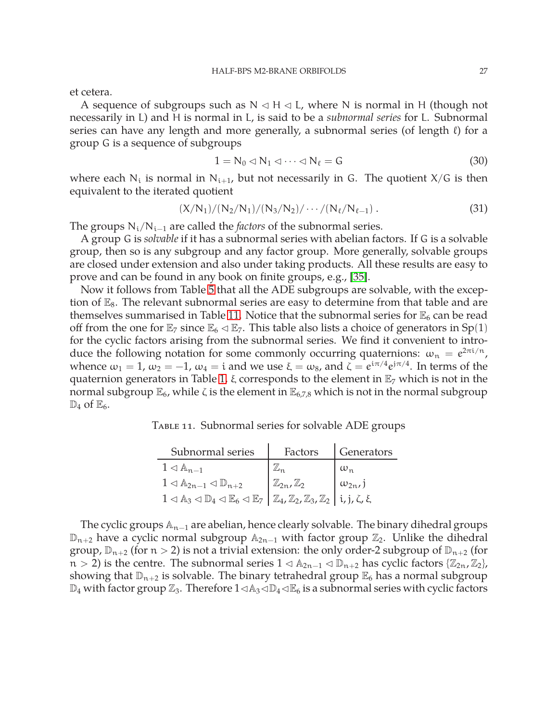et cetera.

A sequence of subgroups such as  $N \triangleleft H \triangleleft L$ , where N is normal in H (though not necessarily in L) and H is normal in L, is said to be a *subnormal series* for L. Subnormal series can have any length and more generally, a subnormal series (of length  $\ell$ ) for a group G is a sequence of subgroups

$$
1 = N_0 \lhd N_1 \lhd \cdots \lhd N_\ell = G \tag{30}
$$

where each  $N_i$  is normal in  $N_{i+1}$ , but not necessarily in G. The quotient  $X/G$  is then equivalent to the iterated quotient

$$
(X/N_1)/(N_2/N_1)/(N_3/N_2)/\cdots/(N_\ell/N_{\ell-1}).
$$
\n(31)

The groups N<sub>i</sub>/N<sub>i−1</sub> are called the *factors* of the subnormal series.

A group G is *solvable* if it has a subnormal series with abelian factors. If G is a solvable group, then so is any subgroup and any factor group. More generally, solvable groups are closed under extension and also under taking products. All these results are easy to prove and can be found in any book on finite groups, e.g., [\[35\]](#page-50-13).

Now it follows from Table [5](#page-20-2) that all the ADE subgroups are solvable, with the exception of  $\mathbb{E}_8$ . The relevant subnormal series are easy to determine from that table and are themselves summarised in Table [11.](#page-27-0) Notice that the subnormal series for  $\mathbb{E}_6$  can be read off from the one for  $\mathbb{E}_7$  since  $\mathbb{E}_6 \triangleleft \mathbb{E}_7$ . This table also lists a choice of generators in Sp(1) for the cyclic factors arising from the subnormal series. We find it convenient to introduce the following notation for some commonly occurring quaternions:  $\omega_n = e^{2\pi i/n}$ , whence  $\omega_1=1$ ,  $\omega_2=-1$ ,  $\omega_4=i$  and we use  $\xi=\omega_8$ , and  $\zeta=e^{i\pi/4}e^{j\pi/4}$ . In terms of the quaternion generators in Table [1,](#page-11-0)  $\xi$  corresponds to the element in  $\mathbb{E}_7$  which is not in the normal subgroup  $\mathbb{E}_6$ , while ζ is the element in  $\mathbb{E}_{6,7,8}$  which is not in the normal subgroup  $\mathbb{D}_4$  of  $\mathbb{E}_6$ .

Table 11. Subnormal series for solvable ADE groups

<span id="page-27-0"></span>

| Subnormal series                                                                                                                                                                                               | Factors                            | Generators        |
|----------------------------------------------------------------------------------------------------------------------------------------------------------------------------------------------------------------|------------------------------------|-------------------|
| $1 \triangleleft \mathbb{A}_{n-1}$                                                                                                                                                                             |                                    | $\omega_n$        |
| $1 \triangleleft \mathbb{A}_{2n-1} \triangleleft \mathbb{D}_{n+2}$                                                                                                                                             | $\mathbb{Z}_{2n}$ , $\mathbb{Z}_2$ | $\omega_{2n}$ , j |
| $1 \triangleleft \mathbb{A}_3 \triangleleft \mathbb{D}_4 \triangleleft \mathbb{E}_6 \triangleleft \mathbb{E}_7 \left  \mathbb{Z}_4, \mathbb{Z}_2, \mathbb{Z}_3, \mathbb{Z}_2 \right  i, j, \zeta, \xi \right $ |                                    |                   |

The cyclic groups  $\mathbb{A}_{n-1}$  are abelian, hence clearly solvable. The binary dihedral groups  $\mathbb{D}_{n+2}$  have a cyclic normal subgroup  $\mathbb{A}_{2n-1}$  with factor group  $\mathbb{Z}_2$ . Unlike the dihedral group,  $\mathbb{D}_{n+2}$  (for  $n > 2$ ) is not a trivial extension: the only order-2 subgroup of  $\mathbb{D}_{n+2}$  (for  $n > 2$ ) is the centre. The subnormal series  $1 \triangleleft \mathbb{A}_{2n-1} \triangleleft \mathbb{D}_{n+2}$  has cyclic factors { $\mathbb{Z}_{2n}$ ,  $\mathbb{Z}_2$ }, showing that  $\mathbb{D}_{n+2}$  is solvable. The binary tetrahedral group  $\mathbb{E}_6$  has a normal subgroup  $\mathbb{D}_4$  with factor group  $\mathbb{Z}_3$ . Therefore  $1\triangleleft\mathbb{A}_3\triangleleft\mathbb{D}_4\triangleleft\mathbb{E}_6$  is a subnormal series with cyclic factors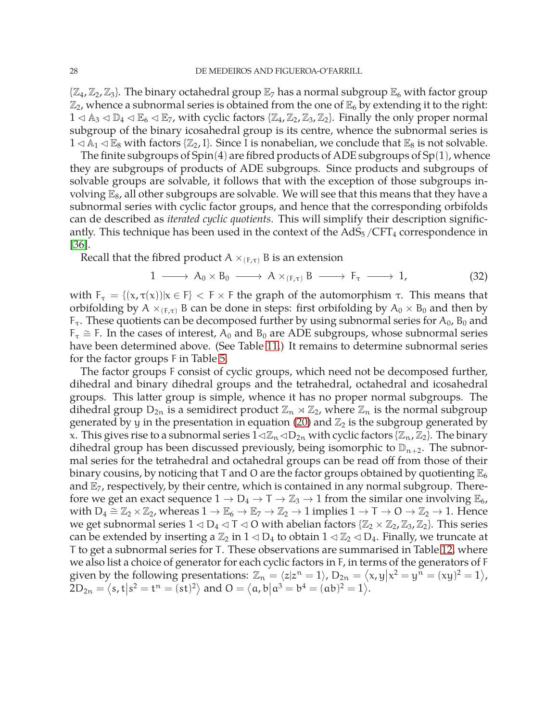$\{\mathbb{Z}_4,\mathbb{Z}_2,\mathbb{Z}_3\}$ . The binary octahedral group  $\mathbb{E}_7$  has a normal subgroup  $\mathbb{E}_6$  with factor group  $\mathbb{Z}_2$ , whence a subnormal series is obtained from the one of  $\mathbb{E}_6$  by extending it to the right:  $1 \triangleleft \mathbb{A}_3 \triangleleft \mathbb{D}_4 \triangleleft \mathbb{E}_5 \triangleleft \mathbb{E}_7$ , with cyclic factors  $\{\mathbb{Z}_4,\mathbb{Z}_2,\mathbb{Z}_3,\mathbb{Z}_2\}$ . Finally the only proper normal subgroup of the binary icosahedral group is its centre, whence the subnormal series is  $1 \triangleleft \mathbb{A}_1 \triangleleft \mathbb{E}_8$  with factors { $\mathbb{Z}_2$ , I}. Since I is nonabelian, we conclude that  $\mathbb{E}_8$  is not solvable.

The finite subgroups of  $Spin(4)$  are fibred products of ADE subgroups of  $Sp(1)$ , whence they are subgroups of products of ADE subgroups. Since products and subgroups of solvable groups are solvable, it follows that with the exception of those subgroups involving  $\mathbb{E}_8$ , all other subgroups are solvable. We will see that this means that they have a subnormal series with cyclic factor groups, and hence that the corresponding orbifolds can de described as *iterated cyclic quotients*. This will simplify their description significantly. This technique has been used in the context of the  $AdS<sub>5</sub>/CFT<sub>4</sub>$  correspondence in [\[36\]](#page-50-14).

Recall that the fibred product  $A \times_{(F,\tau)} B$  is an extension

<span id="page-28-0"></span>
$$
1 \longrightarrow A_0 \times B_0 \longrightarrow A \times_{(F,\tau)} B \longrightarrow F_{\tau} \longrightarrow 1,
$$
 (32)

with  $F_{\tau} = \{(x, \tau(x)) | x \in F\}$   $\lt F \times F$  the graph of the automorphism  $\tau$ . This means that orbifolding by A  $\times_{(F,\tau)}$  B can be done in steps: first orbifolding by A<sub>0</sub>  $\times$  B<sub>0</sub> and then by  $F_{\tau}$ . These quotients can be decomposed further by using subnormal series for  $A_0$ ,  $B_0$  and  $F_\tau$   $\cong$  F. In the cases of interest, A<sub>0</sub> and B<sub>0</sub> are ADE subgroups, whose subnormal series have been determined above. (See Table [11.](#page-27-0)) It remains to determine subnormal series for the factor groups F in Table [5.](#page-20-2)

The factor groups F consist of cyclic groups, which need not be decomposed further, dihedral and binary dihedral groups and the tetrahedral, octahedral and icosahedral groups. This latter group is simple, whence it has no proper normal subgroups. The dihedral group  $D_{2n}$  is a semidirect product  $\mathbb{Z}_n \rtimes \mathbb{Z}_2$ , where  $\mathbb{Z}_n$  is the normal subgroup generated by y in the presentation in equation [\(20\)](#page-21-1) and  $\mathbb{Z}_2$  is the subgroup generated by x. This gives rise to a subnormal series  $1\triangleleft\mathbb{Z}_n\triangleleft D_{2n}$  with cyclic factors { $\mathbb{Z}_n$ ,  $\mathbb{Z}_2$ }. The binary dihedral group has been discussed previously, being isomorphic to  $\mathbb{D}_{n+2}$ . The subnormal series for the tetrahedral and octahedral groups can be read off from those of their binary cousins, by noticing that T and O are the factor groups obtained by quotienting  $\mathbb{E}_6$ and  $\mathbb{E}_7$ , respectively, by their centre, which is contained in any normal subgroup. Therefore we get an exact sequence  $1 \to D_4 \to T \to \mathbb{Z}_3 \to 1$  from the similar one involving  $\mathbb{E}_6$ , with  $D_4 \cong \mathbb{Z}_2 \times \mathbb{Z}_2$ , whereas  $1 \to \mathbb{E}_6 \to \mathbb{E}_7 \to \mathbb{Z}_2 \to 1$  implies  $1 \to \mathsf{T} \to \mathsf{O} \to \mathbb{Z}_2 \to 1$ . Hence we get subnormal series  $1 \triangleleft D_4 \triangleleft T \triangleleft O$  with abelian factors  $\{ \mathbb{Z}_2 \times \mathbb{Z}_2, \mathbb{Z}_3, \mathbb{Z}_2 \}$ . This series can be extended by inserting a  $\mathbb{Z}_2$  in  $1 \triangleleft D_4$  to obtain  $1 \triangleleft \mathbb{Z}_2 \triangleleft D_4$ . Finally, we truncate at T to get a subnormal series for T. These observations are summarised in Table [12,](#page-29-2) where we also list a choice of generator for each cyclic factors in F, in terms of the generators of F given by the following presentations:  $\mathbb{Z}_n = \langle z | z^n = 1 \rangle$ ,  $D_{2n} = \langle x, y | x^2 = y^n = (xy)^2 = 1 \rangle$ ,  $2D_{2n} = \langle s, t | s^2 = t^n = (st)^2 \rangle \text{ and } O = \langle a, b | a^3 = b^4 = (ab)^2 = 1 \rangle.$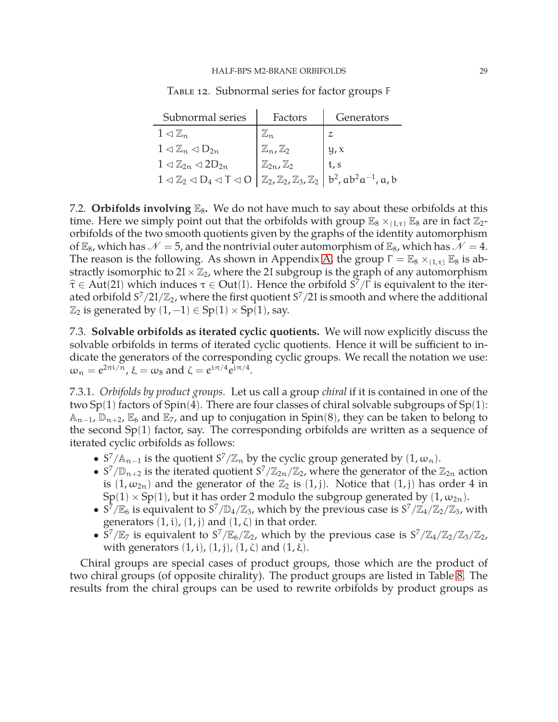| Subnormal series                                                                                                                                                                     | Factors                        | Generators |
|--------------------------------------------------------------------------------------------------------------------------------------------------------------------------------------|--------------------------------|------------|
| $1 \triangleleft \mathbb{Z}_n$                                                                                                                                                       |                                |            |
| $1 \triangleleft \mathbb{Z}_n \triangleleft D_{2n}$                                                                                                                                  | $\mathbb{Z}_n, \mathbb{Z}_2$   | y, x       |
| $1 \triangleleft \mathbb{Z}_{2n} \triangleleft 2D_{2n}$                                                                                                                              | $\mathbb{Z}_{2n},\mathbb{Z}_2$ | t, s       |
| $1 \triangleleft \mathbb{Z}_2 \triangleleft D_4 \triangleleft T \triangleleft O \left  \mathbb{Z}_2, \mathbb{Z}_2, \mathbb{Z}_3, \mathbb{Z}_2 \right  b^2, ab^2a^{-1}, a, b \right.$ |                                |            |

<span id="page-29-2"></span>Table 12. Subnormal series for factor groups F

<span id="page-29-0"></span>7.2. **Orbifolds involving**  $\mathbb{E}_8$ . We do not have much to say about these orbifolds at this time. Here we simply point out that the orbifolds with group  $\mathbb{E}_8 \times_{(I,\tau)} \mathbb{E}_8$  are in fact  $\mathbb{Z}_2$ orbifolds of the two smooth quotients given by the graphs of the identity automorphism of  $\mathbb{E}_8$ , which has  $\mathcal{N} = 5$ , and the nontrivial outer automorphism of  $\mathbb{E}_8$ , which has  $\mathcal{N} = 4$ . The reason is the following. As shown in Appendix [A,](#page-42-0) the group  $\Gamma = \mathbb{E}_8 \times_{(I,\tau)} \mathbb{E}_8$  is abstractly isomorphic to  $2I \times \mathbb{Z}_2$ , where the 2I subgroup is the graph of any automorphism  $\hat{\tau} \in$  Aut(2I) which induces  $\tau \in$  Out(I). Hence the orbifold  $S^7/\Gamma$  is equivalent to the iterated orbifold S $^7/2$ I $/\mathbb{Z}_2$ , where the first quotient S $^7/2$ I is smooth and where the additional  $\mathbb{Z}_2$  is generated by  $(1, -1) \in Sp(1) \times Sp(1)$ , say.

<span id="page-29-1"></span>7.3. **Solvable orbifolds as iterated cyclic quotients.** We will now explicitly discuss the solvable orbifolds in terms of iterated cyclic quotients. Hence it will be sufficient to indicate the generators of the corresponding cyclic groups. We recall the notation we use:  $\omega_n = e^{2\pi i/n}$ ,  $\xi = \omega_8$  and  $\zeta = e^{i\pi/4}e^{j\pi/4}$ .

<span id="page-29-3"></span>7.3.1. *Orbifolds by product groups.* Let us call a group *chiral* if it is contained in one of the two  $Sp(1)$  factors of  $Spin(4)$ . There are four classes of chiral solvable subgroups of  $Sp(1)$ :  $A_{n-1}$ ,  $\mathbb{D}_{n+2}$ ,  $\mathbb{E}_6$  and  $\mathbb{E}_7$ , and up to conjugation in Spin(8), they can be taken to belong to the second Sp(1) factor, say. The corresponding orbifolds are written as a sequence of iterated cyclic orbifolds as follows:

- $S^7/\mathbb{A}_{n-1}$  is the quotient  $S^7/\mathbb{Z}_n$  by the cyclic group generated by  $(1, \omega_n)$ .
- $S^7/\mathbb{D}_{n+2}$  is the iterated quotient  $S^7/\mathbb{Z}_{2n}/\mathbb{Z}_2$ , where the generator of the  $\mathbb{Z}_{2n}$  action is  $(1, \omega_{2n})$  and the generator of the  $\mathbb{Z}_2$  is  $(1, j)$ . Notice that  $(1, j)$  has order 4 in  $Sp(1) \times Sp(1)$ , but it has order 2 modulo the subgroup generated by  $(1, \omega_{2n})$ .
- $S^7/\mathbb{E}_6$  is equivalent to  $S^7/\mathbb{D}_4/\mathbb{Z}_3$ , which by the previous case is  $S^7/\mathbb{Z}_4/\mathbb{Z}_2/\mathbb{Z}_3$ , with generators  $(1,i)$ ,  $(1,j)$  and  $(1,\zeta)$  in that order.
- $\frac{S^7}{\mathbb{E}_7}$  is equivalent to  $\frac{S^7}{\mathbb{E}_6/\mathbb{Z}_2}$ , which by the previous case is  $\frac{S^7}{\mathbb{Z}_4/\mathbb{Z}_2/\mathbb{Z}_3/\mathbb{Z}_2}$ , with generators  $(1,i)$ ,  $(1,i)$ ,  $(1,\zeta)$  and  $(1,\xi)$ .

Chiral groups are special cases of product groups, those which are the product of two chiral groups (of opposite chirality). The product groups are listed in Table [8.](#page-24-0) The results from the chiral groups can be used to rewrite orbifolds by product groups as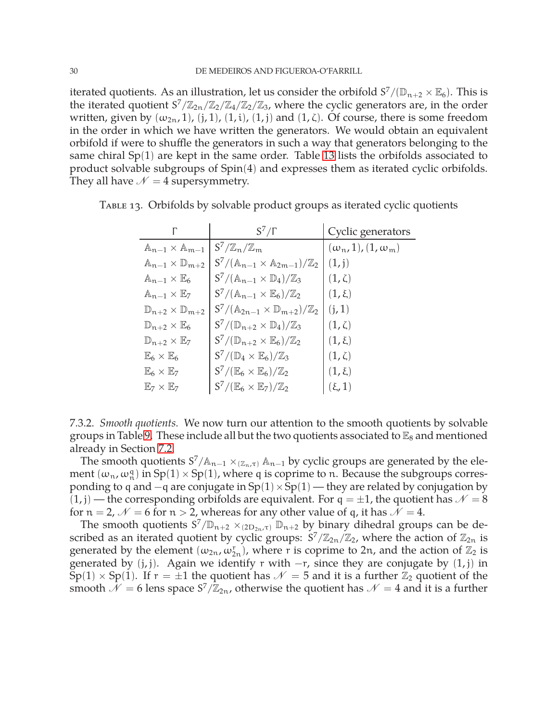iterated quotients. As an illustration, let us consider the orbifold  $S^7/(\mathbb{D}_{n+2}\times \mathbb{E}_6)$ . This is the iterated quotient  $S^7/\mathbb{Z}_{2n}/\mathbb{Z}_2/\mathbb{Z}_4/\mathbb{Z}_2/\mathbb{Z}_3$ , where the cyclic generators are, in the order written, given by  $(\omega_{2n}, 1)$ ,  $(j, 1)$ ,  $(1, i)$ ,  $(1, j)$  and  $(1, \zeta)$ . Of course, there is some freedom in the order in which we have written the generators. We would obtain an equivalent orbifold if were to shuffle the generators in such a way that generators belonging to the same chiral Sp(1) are kept in the same order. Table [13](#page-30-0) lists the orbifolds associated to product solvable subgroups of Spin(4) and expresses them as iterated cyclic orbifolds. They all have  $\mathcal{N} = 4$  supersymmetry.

<span id="page-30-0"></span>

|                                            | $S^7/\Gamma$                                                      | Cyclic generators              |
|--------------------------------------------|-------------------------------------------------------------------|--------------------------------|
| $\mathbb{A}_{n-1} \times \mathbb{A}_{m-1}$ | $S^7/\mathbb{Z}_n/\mathbb{Z}_m$                                   | $(\omega_n, 1), (1, \omega_m)$ |
| $\mathbb{A}_{n-1}\times \mathbb{D}_{m+2}$  | $S^7/(\mathbb{A}_{n-1} \times \mathbb{A}_{2m-1})/\mathbb{Z}_2$    | (1, j)                         |
| $\mathbb{A}_{n-1}\times\mathbb{E}_6$       | $S' / (\mathbb{A}_{n-1} \times \mathbb{D}_4) / \mathbb{Z}_3$      | $(1,\zeta)$                    |
| $\mathbb{A}_{n-1}\times \mathbb{E}_7$      | $S^7/(\mathbb{A}_{n-1}\times \mathbb{E}_6)/\mathbb{Z}_2$          | $(1,\xi)$                      |
| $\mathbb{D}_{n+2}\times \mathbb{D}_{m+2}$  | $S' / (\mathbb{A}_{2n-1} \times \mathbb{D}_{m+2}) / \mathbb{Z}_2$ | (i, 1)                         |
| $\mathbb{D}_{n+2}\times\mathbb{E}_6$       | $S^7/(\mathbb{D}_{n+2}\times\mathbb{D}_4)/\mathbb{Z}_3$           | $(1,\zeta)$                    |
| $\mathbb{D}_{n+2}\times \mathbb{E}_7$      | $S^7/(\mathbb{D}_{n+2}\times \mathbb{E}_6)/\mathbb{Z}_2$          | $(1,\xi)$                      |
| $\mathbb{E}_6\times\mathbb{E}_6$           | $S^7/(\mathbb{D}_4 \times \mathbb{E}_6)/\mathbb{Z}_3$             | $(1,\zeta)$                    |
| $\mathbb{E}_6\times\mathbb{E}_7$           | $S^7/(\mathbb{E}_6\times\mathbb{E}_6)/\mathbb{Z}_2$               | $(1,\xi)$                      |
| $\mathbb{E}_7\times\mathbb{E}_7$           | $S' / (\mathbb{E}_6 \times \mathbb{E}_7) / \mathbb{Z}_2$          | $(\xi, 1)$                     |

Table 13. Orbifolds by solvable product groups as iterated cyclic quotients

<span id="page-30-1"></span>7.3.2. *Smooth quotients.* We now turn our attention to the smooth quotients by solvable groups in Table [9.](#page-24-1) These include all but the two quotients associated to  $\mathbb{E}_8$  and mentioned already in Section [7.2.](#page-29-0)

The smooth quotients  $S^7/\mathbb{A}_{n-1} \times_{(\mathbb{Z}_n,\tau)} \mathbb{A}_{n-1}$  by cyclic groups are generated by the element  $(\omega_n, \omega_n^q)$  in  $Sp(1) \times Sp(1)$ , where q is coprime to n. Because the subgroups corresponding to q and  $-q$  are conjugate in  $Sp(1) \times Sp(1)$  — they are related by conjugation by  $(1, j)$  — the corresponding orbifolds are equivalent. For  $q = \pm 1$ , the quotient has  $\mathcal{N} = 8$ for  $n = 2$ ,  $\mathcal{N} = 6$  for  $n > 2$ , whereas for any other value of q, it has  $\mathcal{N} = 4$ .

The smooth quotients  $S^7/\mathbb{D}_{n+2} \times_{(2D_{2n}, \tau)} \mathbb{D}_{n+2}$  by binary dihedral groups can be described as an iterated quotient by cyclic groups:  $S^7/\mathbb{Z}_{2n}/\mathbb{Z}_2$ , where the action of  $\mathbb{Z}_{2n}$  is generated by the element  $(\omega_{2n}, \omega_{2n}^r)$ , where r is coprime to 2n, and the action of  $\mathbb{Z}_2$  is generated by  $(j, j)$ . Again we identify r with  $-r$ , since they are conjugate by  $(1, j)$  in  $Sp(1) \times Sp(1)$ . If  $r = \pm 1$  the quotient has  $\mathcal{N} = 5$  and it is a further  $\mathbb{Z}_2$  quotient of the smooth  $\mathcal{N}=6$  lens space  $S^7/\mathbb{Z}_{2n}$ , otherwise the quotient has  $\mathcal{N}=4$  and it is a further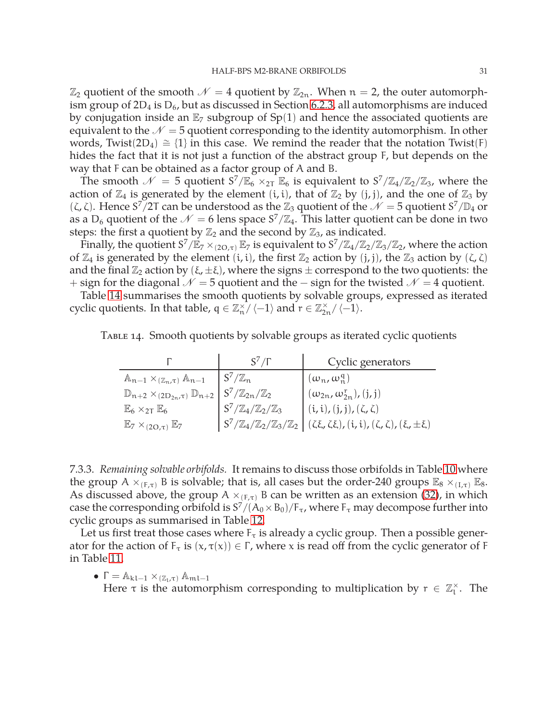$\mathbb{Z}_2$  quotient of the smooth  $\mathcal{N}=4$  quotient by  $\mathbb{Z}_{2n}$ . When  $n=2$ , the outer automorphism group of  $2D_4$  is  $D_6$ , but as discussed in Section [6.2.3,](#page-21-2) all automorphisms are induced by conjugation inside an  $\mathbb{E}_7$  subgroup of Sp(1) and hence the associated quotients are equivalent to the  $\mathcal{N} = 5$  quotient corresponding to the identity automorphism. In other words, Twist(2D<sub>4</sub>)  $\cong$  {1} in this case. We remind the reader that the notation Twist(F) hides the fact that it is not just a function of the abstract group F, but depends on the way that F can be obtained as a factor group of A and B.

The smooth  $\mathcal{N} = 5$  quotient  $S^7/\mathbb{E}_6 \times_{2T} \mathbb{E}_6$  is equivalent to  $S^7/\mathbb{Z}_4/\mathbb{Z}_2/\mathbb{Z}_3$ , where the action of  $\mathbb{Z}_4$  is generated by the element (i, i), that of  $\mathbb{Z}_2$  by (j, j), and the one of  $\mathbb{Z}_3$  by (ζ, ζ). Hence  $S^7/2T$  can be understood as the  $\mathbb{Z}_3$  quotient of the  $\mathcal{N}=5$  quotient  $S^7/\mathbb{D}_4$  or as a D<sub>6</sub> quotient of the  $\mathcal{N}=6$  lens space  $S^7/\mathbb{Z}_4$ . This latter quotient can be done in two steps: the first a quotient by  $\mathbb{Z}_2$  and the second by  $\mathbb{Z}_3$ , as indicated.

Finally, the quotient  $S^7/\mathbb{E}_7 \times_{(2O,\tau)} \mathbb{E}_7$  is equivalent to  $S^7/\mathbb{Z}_4/\mathbb{Z}_2/\mathbb{Z}_3/\mathbb{Z}_2$ , where the action of  $\mathbb{Z}_4$  is generated by the element (i, i), the first  $\mathbb{Z}_2$  action by (j, j), the  $\mathbb{Z}_3$  action by ( $\zeta$ ,  $\zeta$ ) and the final  $\mathbb{Z}_2$  action by  $(\xi, \pm \xi)$ , where the signs  $\pm$  correspond to the two quotients: the + sign for the diagonal  $\mathcal{N} = 5$  quotient and the  $-$  sign for the twisted  $\mathcal{N} = 4$  quotient.

Table [14](#page-31-0) summarises the smooth quotients by solvable groups, expressed as iterated cyclic quotients. In that table,  $q \in \mathbb{Z}_n^{\times}/\langle -1 \rangle$  and  $r \in \mathbb{Z}_{2n}^{\times}/\langle -1 \rangle$ .

| TABLE 14. Smooth quotients by solvable groups as iterated cyclic quotients |  |
|----------------------------------------------------------------------------|--|
|----------------------------------------------------------------------------|--|

<span id="page-31-0"></span>

|                                                                  | $S'/\Gamma$                                  | Cyclic generators                                                                                                           |
|------------------------------------------------------------------|----------------------------------------------|-----------------------------------------------------------------------------------------------------------------------------|
| $\mathbb{A}_{n-1} \times_{(\mathbb{Z}_n,\tau)} \mathbb{A}_{n-1}$ | $S^7/\mathbb{Z}_n$                           | $(\omega_n, \omega_n^q)$                                                                                                    |
| $\mathbb{D}_{n+2} \times_{(2D_{2n},\tau)} \mathbb{D}_{n+2}$      | $S^7/\mathbb{Z}_{2n}/\mathbb{Z}_2$           | $(\omega_{2n}, \omega_{2n}^{r}), (j, j)$                                                                                    |
| $\mathbb{E}_6 \times_{2\mathsf{T}} \mathbb{E}_6$                 | $S^7/\mathbb{Z}_4/\mathbb{Z}_2/\mathbb{Z}_3$ | $[(i, i), (j, j), (\zeta, \zeta)]$                                                                                          |
| $\mathbb{E}_7 \times_{(2O,\tau)} \mathbb{E}_7$                   |                                              | $ S^7/\mathbb{Z}_4/\mathbb{Z}_2/\mathbb{Z}_3/\mathbb{Z}_2 $ $(\zeta\xi,\zeta\xi),$ $(i,i),$ $(\zeta,\zeta),$ $(\xi,\pm\xi)$ |

7.3.3. *Remaining solvable orbifolds.* It remains to discuss those orbifolds in Table [10](#page-26-0) where the group A  $\times_{(F,\tau)}$  B is solvable; that is, all cases but the order-240 groups  $\mathbb{E}_8 \times_{(I,\tau)} \mathbb{E}_8$ . As discussed above, the group A  $\times_{(F,\tau)}$  B can be written as an extension [\(32\)](#page-28-0), in which case the corresponding orbifold is  $S^7/(A_0 \times B_0)/F_\tau$ , where  $F_\tau$  may decompose further into cyclic groups as summarised in Table [12.](#page-29-2)

Let us first treat those cases where  $F_\tau$  is already a cyclic group. Then a possible generator for the action of  $F_{\tau}$  is  $(x, \tau(x)) \in \Gamma$ , where x is read off from the cyclic generator of F in Table [11.](#page-27-0)

•  $\Gamma = \mathbb{A}_{k l-1} \times_{(\mathbb{Z}_1,\tau)} \mathbb{A}_{m l-1}$ 

Here  $\tau$  is the automorphism corresponding to multiplication by  $r \in \mathbb{Z}_1^\times$ . The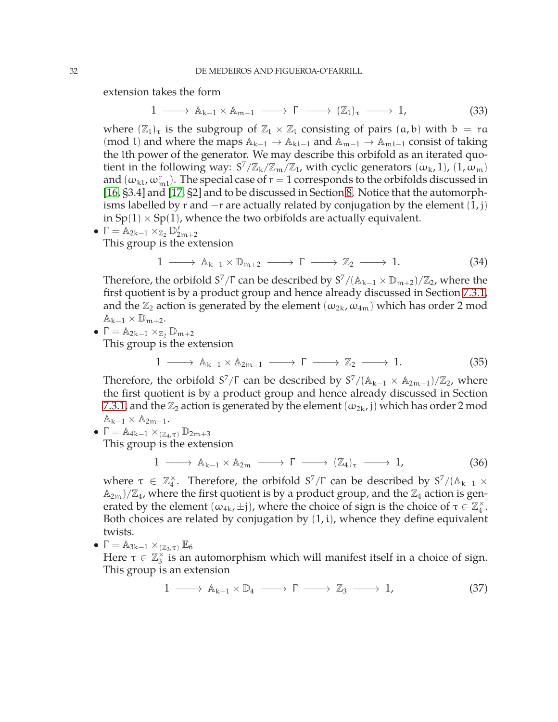extension takes the form

$$
1 \longrightarrow \mathbb{A}_{k-1} \times \mathbb{A}_{m-1} \longrightarrow \Gamma \longrightarrow (\mathbb{Z}_1)_{\tau} \longrightarrow 1,
$$
 (33)

where  $(\mathbb{Z}_1)_\tau$  is the subgroup of  $\mathbb{Z}_1 \times \mathbb{Z}_1$  consisting of pairs  $(a, b)$  with  $b = ra$ (mod l) and where the maps  $\mathbb{A}_{k-1} \to \mathbb{A}_{k-1}$  and  $\mathbb{A}_{m-1} \to \mathbb{A}_{m-1}$  consist of taking the lth power of the generator. We may describe this orbifold as an iterated quotient in the following way:  $S^7/\mathbb{Z}_k/\mathbb{Z}_m/\mathbb{Z}_l$ , with cyclic generators  $(\omega_k, 1)$ ,  $(1, \omega_m)$ and  $(\omega_{\text{kl}}, \omega_{\text{ml}}^{\text{r}})$ . The special case of  $r=1$  corresponds to the orbifolds discussed in [\[16,](#page-49-6) §3.4] and [\[17,](#page-49-7) §2] and to be discussed in Section [8.](#page-37-0) Notice that the automorphisms labelled by r and  $-r$  are actually related by conjugation by the element  $(1, j)$ in  $Sp(1) \times Sp(1)$ , whence the two orbifolds are actually equivalent.

• 
$$
\Gamma = \mathbb{A}_{2k-1} \times \mathbb{Z}_2 \mathbb{D}'_{2m+2}
$$
  
This group is the over

This group is the extension

$$
1 \longrightarrow A_{k-1} \times \mathbb{D}_{m+2} \longrightarrow \Gamma \longrightarrow \mathbb{Z}_2 \longrightarrow 1. \tag{34}
$$

Therefore, the orbifold  $S^7/\Gamma$  can be described by  $S^7/(\mathbb{A}_{k-1} \times \mathbb{D}_{m+2})/\mathbb{Z}_2$ , where the first quotient is by a product group and hence already discussed in Section [7.3.1,](#page-29-3) and the  $\mathbb{Z}_2$  action is generated by the element  $(\omega_{2k}, \omega_{4m})$  which has order 2 mod  $\mathbb{A}_{k-1} \times \mathbb{D}_{m+2}$ .

•  $\Gamma = \mathbb{A}_{2k-1} \times_{\mathbb{Z}_2} \mathbb{D}_{m+2}$ This group is the extension

$$
1 \longrightarrow A_{k-1} \times A_{2m-1} \longrightarrow \Gamma \longrightarrow \mathbb{Z}_2 \longrightarrow 1. \tag{35}
$$

Therefore, the orbifold  $S^7/\Gamma$  can be described by  $S^7/(\mathbb{A}_{k-1} \times \mathbb{A}_{2m-1})/\mathbb{Z}_2$ , where the first quotient is by a product group and hence already discussed in Section [7.3.1,](#page-29-3) and the  $\mathbb{Z}_2$  action is generated by the element  $(\omega_{2k}, j)$  which has order 2 mod  $\mathbb{A}_{k-1} \times \mathbb{A}_{2m-1}$ .

•  $\Gamma = \mathbb{A}_{4k-1} \times_{(\mathbb{Z}_4, \tau)} \mathbb{D}_{2m+3}$ 

This group is the extension

$$
1 \longrightarrow A_{k-1} \times A_{2m} \longrightarrow \Gamma \longrightarrow (\mathbb{Z}_4)_{\tau} \longrightarrow 1,
$$
 (36)

where  $\tau \in \mathbb{Z}_4^\times$ . Therefore, the orbifold  $S^7/\Gamma$  can be described by  $S^7/(\mathbb{A}_{k-1} \times$  $(\mathbb{A}_{2m})/\mathbb{Z}_4$ , where the first quotient is by a product group, and the  $\mathbb{Z}_4$  action is generated by the element  $(\omega_{4k}, \pm j)$ , where the choice of sign is the choice of  $\tau \in \mathbb{Z}_4^\times$ . Both choices are related by conjugation by  $(1,i)$ , whence they define equivalent twists.

•  $\Gamma = \mathbb{A}_{3k-1} \times_{(\mathbb{Z}_3,\tau)} \mathbb{E}_6$ 

Here  $\tau \in \mathbb{Z}_3^{\times}$  is an automorphism which will manifest itself in a choice of sign. This group is an extension

$$
1 \longrightarrow A_{k-1} \times \mathbb{D}_4 \longrightarrow \Gamma \longrightarrow \mathbb{Z}_3 \longrightarrow 1, \tag{37}
$$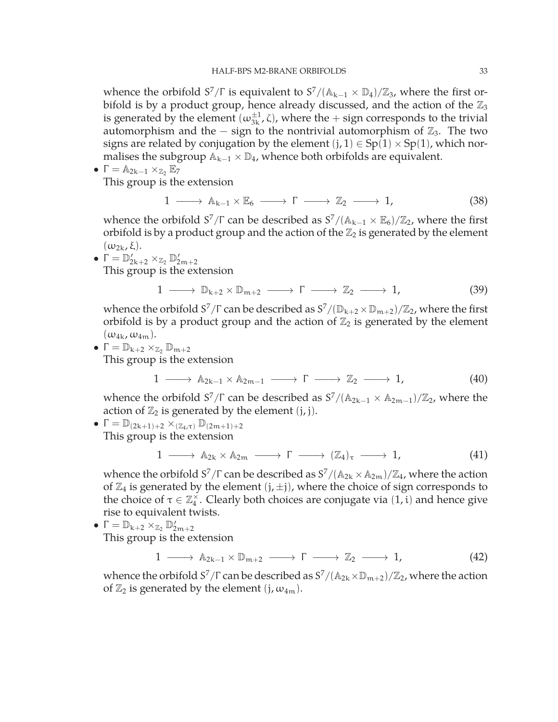whence the orbifold  $S^7/\Gamma$  is equivalent to  $S^7/(\mathbb{A}_{k-1} \times \mathbb{D}_4)/\mathbb{Z}_3$ , where the first orbifold is by a product group, hence already discussed, and the action of the  $\mathbb{Z}_3$ is generated by the element  $(\omega_{3k}^{\pm 1}, \zeta)$ , where the  $+$  sign corresponds to the trivial automorphism and the  $-$  sign to the nontrivial automorphism of  $\mathbb{Z}_3$ . The two signs are related by conjugation by the element  $(j, 1) \in Sp(1) \times Sp(1)$ , which normalises the subgroup  $\mathbb{A}_{k-1} \times \mathbb{D}_4$ , whence both orbifolds are equivalent.

$$
\bullet\ \Gamma = \mathbb{A}_{2k-1}\times_{\mathbb{Z}_2}\mathbb{E}_7
$$

This group is the extension

$$
1 \longrightarrow A_{k-1} \times \mathbb{E}_6 \longrightarrow \Gamma \longrightarrow \mathbb{Z}_2 \longrightarrow 1,
$$
 (38)

whence the orbifold  $S^7/\Gamma$  can be described as  $S^7/(\mathbb{A}_{k-1} \times \mathbb{E}_6)/\mathbb{Z}_2$ , where the first orbifold is by a product group and the action of the  $\mathbb{Z}_2$  is generated by the element  $(\omega_{2k}, \xi)$ .

•  $\Gamma = \mathbb{D}'_{2k+2} \times_{\mathbb{Z}_2} \mathbb{D}'_{2m+2}$ This group is the extension

$$
1 \longrightarrow \mathbb{D}_{k+2} \times \mathbb{D}_{m+2} \longrightarrow \Gamma \longrightarrow \mathbb{Z}_2 \longrightarrow 1, \tag{39}
$$

whence the orbifold  $S^7/\Gamma$  can be described as  $S^7/(\mathbb{D}_{k+2} \times \mathbb{D}_{m+2})/\mathbb{Z}_2$ , where the first orbifold is by a product group and the action of  $\mathbb{Z}_2$  is generated by the element  $(\omega_{4k}, \omega_{4m}).$ 

•  $\Gamma = \mathbb{D}_{k+2} \times_{\mathbb{Z}_2} \mathbb{D}_{m+2}$ 

This group is the extension

$$
1 \longrightarrow A_{2k-1} \times A_{2m-1} \longrightarrow \Gamma \longrightarrow \mathbb{Z}_2 \longrightarrow 1,
$$
 (40)

whence the orbifold  $S^7/\Gamma$  can be described as  $S^7/(\mathbb{A}_{2k-1} \times \mathbb{A}_{2m-1})/\mathbb{Z}_2$ , where the action of  $\mathbb{Z}_2$  is generated by the element  $(j, j)$ .

 $\bullet \Gamma = \mathbb{D}_{(2k+1)+2} \times_{(\mathbb{Z}_4,\tau)} \mathbb{D}_{(2m+1)+2}$ This group is the extension

$$
1 \longrightarrow A_{2k} \times A_{2m} \longrightarrow \Gamma \longrightarrow (\mathbb{Z}_4)_{\tau} \longrightarrow 1,
$$
 (41)

whence the orbifold  $S^7/\Gamma$  can be described as  $S^7/(\mathbb{A}_{2k} \times \mathbb{A}_{2m})/\mathbb{Z}_4$ , where the action of  $\mathbb{Z}_4$  is generated by the element  $(j, \pm j)$ , where the choice of sign corresponds to the choice of  $\tau \in \mathbb{Z}_4^{\times}$ . Clearly both choices are conjugate via  $(1, i)$  and hence give rise to equivalent twists.

 $\bullet$   $\Gamma = \mathbb{D}_{k+2} \times_{\mathbb{Z}_2} \mathbb{D}'_{2m+2}$ 

This group is the extension

$$
1 \longrightarrow A_{2k-1} \times \mathbb{D}_{m+2} \longrightarrow \Gamma \longrightarrow \mathbb{Z}_2 \longrightarrow 1,
$$
 (42)

whence the orbifold  $S^7/\Gamma$  can be described as  $S^7/(\mathbb{A}_{2k}\times\mathbb{D}_{m+2})/\mathbb{Z}_2$ , where the action of  $\mathbb{Z}_2$  is generated by the element (j,  $\omega_{4m}$ ).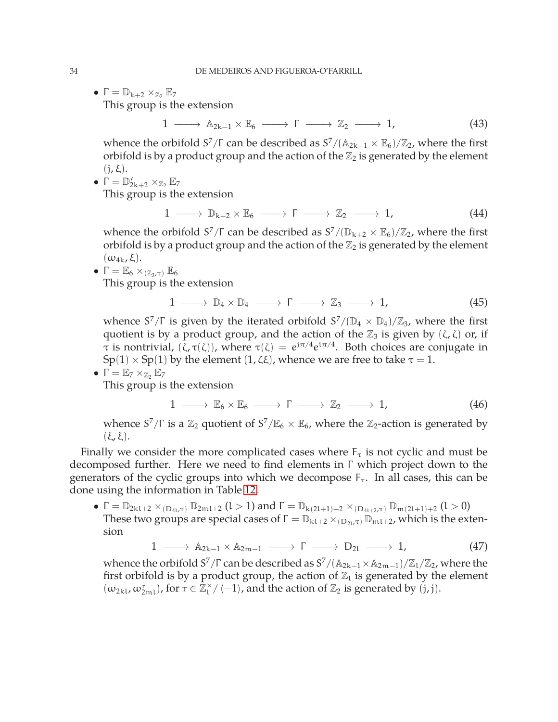•  $\Gamma = \mathbb{D}_{k+2} \times_{\mathbb{Z}_2} \mathbb{E}_7$ 

This group is the extension

 $1 \longrightarrow A_{2k-1} \times \mathbb{E}_6 \longrightarrow \Gamma \longrightarrow \mathbb{Z}_2 \longrightarrow 1,$  (43)

whence the orbifold  $S^7/\Gamma$  can be described as  $S^7/(\mathbb{A}_{2k-1} \times \mathbb{E}_6)/\mathbb{Z}_2$ , where the first orbifold is by a product group and the action of the  $\mathbb{Z}_2$  is generated by the element  $(j, \xi)$ .

$$
\bullet\ \Gamma=\mathbb{D}_{2k+2}'\times_{\mathbb{Z}_2}\mathbb{E}_7
$$

This group is the extension

$$
1 \longrightarrow \mathbb{D}_{k+2} \times \mathbb{E}_6 \longrightarrow \Gamma \longrightarrow \mathbb{Z}_2 \longrightarrow 1,
$$
 (44)

whence the orbifold  $S^7/\Gamma$  can be described as  $S^7/(\mathbb{D}_{k+2} \times \mathbb{E}_6)/\mathbb{Z}_2$ , where the first orbifold is by a product group and the action of the  $\mathbb{Z}_2$  is generated by the element  $(\omega_{4k}, \xi)$ .

•  $\Gamma = \mathbb{E}_6 \times_{(\mathbb{Z}_3,\tau)} \mathbb{E}_6$ 

This group is the extension

$$
1 \longrightarrow D_4 \times D_4 \longrightarrow \Gamma \longrightarrow \mathbb{Z}_3 \longrightarrow 1, \tag{45}
$$

whence  $S^7/\Gamma$  is given by the iterated orbifold  $S^7/(\mathbb{D}_4 \times \mathbb{D}_4)/\mathbb{Z}_3$ , where the first quotient is by a product group, and the action of the  $\mathbb{Z}_3$  is given by  $(\zeta, \zeta)$  or, if τ is nontrivial,  $(\zeta, \tau(\zeta))$ , where  $\tau(\zeta) = e^{j\pi/4}e^{i\pi/4}$ . Both choices are conjugate in  $Sp(1) \times Sp(1)$  by the element  $(1, \zeta \xi)$ , whence we are free to take  $\tau = 1$ .  $\mathbb{F}_{\mathbb{F}}$   $\vee$ 

$$
\blacksquare = \mathbb{E}_7 \times_{\mathbb{Z}_2} \mathbb{E}_7
$$

This group is the extension

$$
1 \longrightarrow \mathbb{E}_6 \times \mathbb{E}_6 \longrightarrow \Gamma \longrightarrow \mathbb{Z}_2 \longrightarrow 1,
$$
 (46)

whence  $S^7/\Gamma$  is a  $\mathbb{Z}_2$  quotient of  $S^7/\mathbb{E}_6 \times \mathbb{E}_6$ , where the  $\mathbb{Z}_2$ -action is generated by (ξ, ξ).

Finally we consider the more complicated cases where  $F_{\tau}$  is not cyclic and must be decomposed further. Here we need to find elements in Γ which project down to the generators of the cyclic groups into which we decompose  $F_{\tau}$ . In all cases, this can be done using the information in Table [12.](#page-29-2)

 $\bullet$   $\Gamma = \mathbb{D}_{2k1+2} \times_{(D_{4l}, \tau)} \mathbb{D}_{2m1+2}$   $(l > 1)$  and  $\Gamma = \mathbb{D}_{k(2l+1)+2} \times_{(D_{4l+2}, \tau)} \mathbb{D}_{m(2l+1)+2}$   $(l > 0)$ These two groups are special cases of  $\Gamma = \mathbb{D}_{k1+2} \times_{(D_{2l}, \tau)} \mathbb{D}_{m1+2}$ , which is the extension

$$
1 \longrightarrow A_{2k-1} \times A_{2m-1} \longrightarrow \Gamma \longrightarrow D_{2l} \longrightarrow 1,
$$
 (47)

whence the orbifold  $S^7/\Gamma$  can be described as  $S^7/(\mathbb{A}_{2k-1}\times \mathbb{A}_{2m-1})/\mathbb{Z}_1/\mathbb{Z}_2$ , where the first orbifold is by a product group, the action of  $\mathbb{Z}_1$  is generated by the element  $(\omega_{2kl}, \omega_{2ml}^r)$ , for  $r \in \mathbb{Z}_l^{\times} / \langle -1 \rangle$ , and the action of  $\mathbb{Z}_2$  is generated by  $(j, j)$ .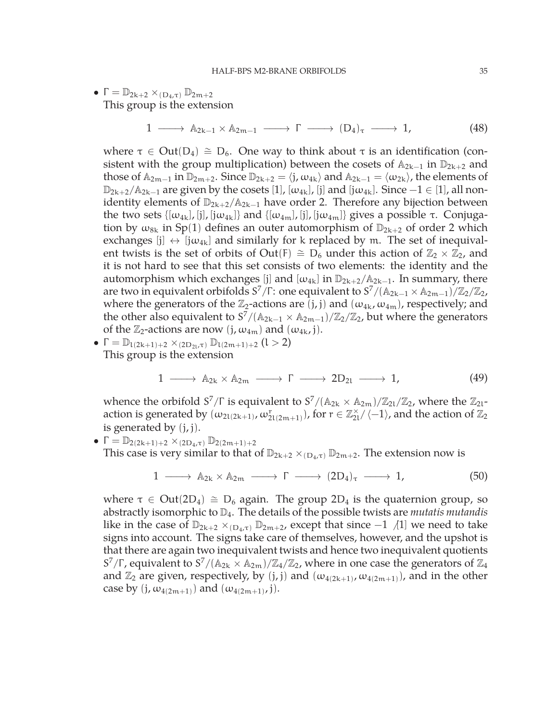$$
\bullet\ \Gamma=\mathbb{D}_{2k+2}\times_{(D_4,\tau)}\mathbb{D}_{2m+2}
$$

This group is the extension

1  $\longrightarrow$   $\mathbb{A}_{2k-1} \times \mathbb{A}_{2m-1} \longrightarrow \Gamma \longrightarrow (D_4)_{\tau} \longrightarrow 1,$  (48)

where  $\tau \in Out(D_4) \cong D_6$ . One way to think about  $\tau$  is an identification (consistent with the group multiplication) between the cosets of  $A_{2k-1}$  in  $\mathbb{D}_{2k+2}$  and those of  $\mathbb{A}_{2m-1}$  in  $\mathbb{D}_{2m+2}$ . Since  $\mathbb{D}_{2k+2} = \langle j, \omega_{4k} \rangle$  and  $\mathbb{A}_{2k-1} = \langle \omega_{2k} \rangle$ , the elements of  $\mathbb{D}_{2k+2}/\mathbb{A}_{2k-1}$  are given by the cosets [1], [ $\omega_{4k}$ ], [j] and [j $\omega_{4k}$ ]. Since  $-1 \in [1]$ , all nonidentity elements of  $\mathbb{D}_{2k+2}/\mathbb{A}_{2k-1}$  have order 2. Therefore any bijection between the two sets  $\{[\omega_{4k}], [\mathbf{j}], [\mathbf{j}\omega_{4k}]\}$  and  $\{[\omega_{4m}], [\mathbf{j}], [\mathbf{j}\omega_{4m}]\}$  gives a possible  $\tau$ . Conjugation by  $\omega_{8k}$  in Sp(1) defines an outer automorphism of  $\mathbb{D}_{2k+2}$  of order 2 which exchanges  $[j] \leftrightarrow [j\omega_{4k}]$  and similarly for k replaced by m. The set of inequivalent twists is the set of orbits of Out(F)  $\cong$  D<sub>6</sub> under this action of  $\mathbb{Z}_2 \times \mathbb{Z}_2$ , and it is not hard to see that this set consists of two elements: the identity and the automorphism which exchanges [j] and  $[\omega_{4k}]$  in  $\mathbb{D}_{2k+2}/\mathbb{A}_{2k-1}$ . In summary, there are two in equivalent orbifolds  $S^7/\Gamma$ : one equivalent to  $S^7/(\mathbb{A}_{2k-1} \times \mathbb{A}_{2m-1})/\mathbb{Z}_2/\mathbb{Z}_2$ , where the generators of the  $\mathbb{Z}_2$ -actions are  $(j, j)$  and  $(\omega_{4k}, \omega_{4m})$ , respectively; and the other also equivalent to  $S^7/(\mathbb{A}_{2k-1} \times \mathbb{A}_{2m-1})/\mathbb{Z}_2/\mathbb{Z}_2$ , but where the generators of the  $\mathbb{Z}_2$ -actions are now  $(j, \omega_{4m})$  and  $(\omega_{4k}, j)$ .

•  $\Gamma = \mathbb{D}_{1(2k+1)+2} \times_{(2D_{2l}, \tau)} \mathbb{D}_{1(2m+1)+2}$  (l > 2) This group is the extension

$$
1 \longrightarrow A_{2k} \times A_{2m} \longrightarrow \Gamma \longrightarrow 2D_{2l} \longrightarrow 1, \qquad (49)
$$

whence the orbifold  $S^7/\Gamma$  is equivalent to  $S^7/(\mathbb{A}_{2k} \times \mathbb{A}_{2m})/\mathbb{Z}_{2l}/\mathbb{Z}_2$ , where the  $\mathbb{Z}_{2l}$ action is generated by  $(\omega_{2l(2k+1)},\omega_{2l(2m+1)}^r)$ , for  $r\in\mathbb{Z}_{2l}^\times/\langle-1\rangle$ , and the action of  $\mathbb{Z}_2$ is generated by  $(j, j)$ .

• 
$$
\Gamma = \mathbb{D}_{2(2k+1)+2} \times_{(2D_4,\tau)} \mathbb{D}_{2(2m+1)+2}
$$

This case is very similar to that of  $\mathbb{D}_{2k+2} \times_{(D_4,\tau)} \mathbb{D}_{2m+2}$ . The extension now is

$$
1 \longrightarrow \mathbb{A}_{2k} \times \mathbb{A}_{2m} \longrightarrow \Gamma \longrightarrow (2D_4)_{\tau} \longrightarrow 1,
$$
 (50)

where  $\tau \in Out(2D_4) \cong D_6$  again. The group 2D<sub>4</sub> is the quaternion group, so abstractly isomorphic to D4. The details of the possible twists are *mutatis mutandis* like in the case of  $\mathbb{D}_{2k+2}$  ×<sub>(D4,τ)</sub>  $\mathbb{D}_{2m+2}$ , except that since −1  $\Lambda$ [1] we need to take signs into account. The signs take care of themselves, however, and the upshot is that there are again two inequivalent twists and hence two inequivalent quotients S<sup>7</sup>/Γ, equivalent to S<sup>7</sup>/( $A_{2k} \times A_{2m}$ )/ $\mathbb{Z}_4/\mathbb{Z}_2$ , where in one case the generators of  $\mathbb{Z}_4$ and  $\mathbb{Z}_2$  are given, respectively, by (j, j) and  $(\omega_{4(2k+1)}, \omega_{4(2m+1)})$ , and in the other case by  $(j, \omega_{4(2m+1)})$  and  $(\omega_{4(2m+1)}, j)$ .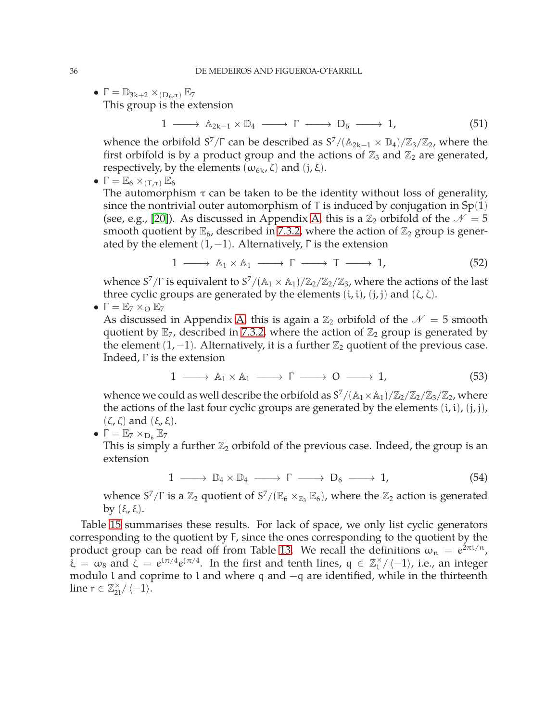•  $\Gamma = \mathbb{D}_{3k+2} \times_{(\mathbf{D}_6, \tau)} \mathbb{E}_7$ 

This group is the extension

 $1 \longrightarrow A_{2k-1} \times \mathbb{D}_4 \longrightarrow \Gamma \longrightarrow D_6 \longrightarrow 1,$  (51)

whence the orbifold  $S^7/\Gamma$  can be described as  $S^7/(\mathbb{A}_{2k-1} \times \mathbb{D}_4)/\mathbb{Z}_3/\mathbb{Z}_2$ , where the first orbifold is by a product group and the actions of  $\mathbb{Z}_3$  and  $\mathbb{Z}_2$  are generated, respectively, by the elements ( $ω_{6k}$ , ζ) and (j, ξ).

•  $\Gamma = \mathbb{E}_6 \times_{(\tau,\tau)} \mathbb{E}_6$ 

The automorphism  $\tau$  can be taken to be the identity without loss of generality, since the nontrivial outer automorphism of  $T$  is induced by conjugation in  $Sp(1)$ (see, e.g., [\[20\]](#page-49-5)). As discussed in Appendix [A,](#page-42-0) this is a  $\mathbb{Z}_2$  orbifold of the  $\mathcal{N}=5$ smooth quotient by  $\mathbb{E}_6$ , described in [7.3.2,](#page-30-1) where the action of  $\mathbb{Z}_2$  group is generated by the element  $(1, -1)$ . Alternatively,  $\Gamma$  is the extension

$$
1 \longrightarrow A_1 \times A_1 \longrightarrow \Gamma \longrightarrow T \longrightarrow 1,
$$
 (52)

whence  $S^7/\Gamma$  is equivalent to  $S^7/(\mathbb{A}_1 \times \mathbb{A}_1)/\mathbb{Z}_2/\mathbb{Z}_2/\mathbb{Z}_3$ , where the actions of the last three cyclic groups are generated by the elements  $(i, i)$ ,  $(j, j)$  and  $(\zeta, \zeta)$ .

 $\bullet \Gamma = \mathbb{E}_7 \times_{\mathcal{O}} \mathbb{E}_7$ 

As discussed in Appendix [A,](#page-42-0) this is again a  $\mathbb{Z}_2$  orbifold of the  $\mathcal{N}=5$  smooth quotient by  $\mathbb{E}_7$ , described in [7.3.2,](#page-30-1) where the action of  $\mathbb{Z}_2$  group is generated by the element  $(1, -1)$ . Alternatively, it is a further  $\mathbb{Z}_2$  quotient of the previous case. Indeed, Γ is the extension

$$
1 \longrightarrow A_1 \times A_1 \longrightarrow \Gamma \longrightarrow O \longrightarrow 1,
$$
 (53)

whence we could as well describe the orbifold as  $S^7/(\mathbb{A}_1 \times \mathbb{A}_1)/\mathbb{Z}_2/\mathbb{Z}_2/\mathbb{Z}_3/\mathbb{Z}_2$ , where the actions of the last four cyclic groups are generated by the elements  $(i, i)$ ,  $(j, j)$ , (ζ, ζ) and (ξ, ξ).

 $\bullet \Gamma = \mathbb{E}_7 \times_{\mathbb{D}_6} \mathbb{E}_7$ 

This is simply a further  $\mathbb{Z}_2$  orbifold of the previous case. Indeed, the group is an extension

$$
1 \longrightarrow D_4 \times D_4 \longrightarrow \Gamma \longrightarrow D_6 \longrightarrow 1,
$$
 (54)

whence  $S^7/\Gamma$  is a  $\mathbb{Z}_2$  quotient of  $S^7/(\mathbb{E}_6 \times_{\mathbb{Z}_3} \mathbb{E}_6)$ , where the  $\mathbb{Z}_2$  action is generated by  $(\xi, \xi)$ .

Table [15](#page-37-1) summarises these results. For lack of space, we only list cyclic generators corresponding to the quotient by F, since the ones corresponding to the quotient by the product group can be read off from Table [13.](#page-30-0) We recall the definitions  $\omega_n = e^{2\pi i/n}$ ,  $\bar{\xi} = \omega_8$  and  $\bar{\zeta} = e^{i\pi/4}e^{i\pi/4}$ . In the first and tenth lines,  $q \in \mathbb{Z}_1^{\times}/\langle -1 \rangle$ , i.e., an integer modulo l and coprime to l and where q and −q are identified, while in the thirteenth line  $r \in \mathbb{Z}_{2l}^{\times} / \langle -1 \rangle$ .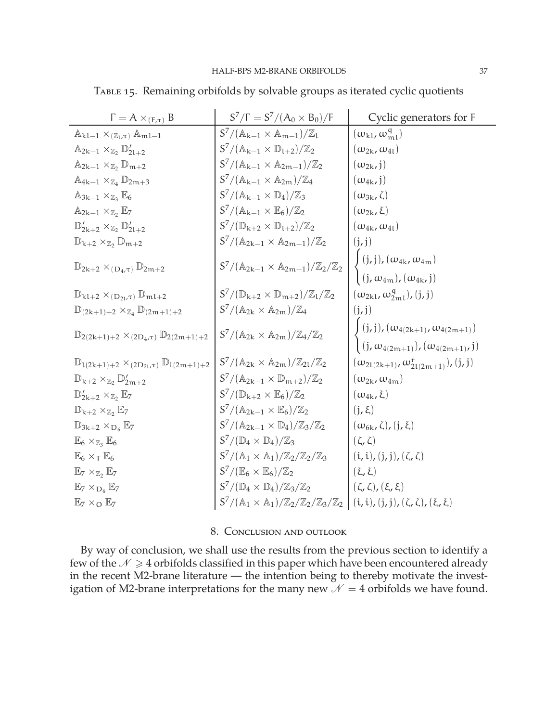| $\Gamma = A \times_{(F,\tau)} B$                                        | $S^7/\Gamma = S^7/(A_0 \times B_0)/\Gamma$                                                                                                  | Cyclic generators for F                                                                                                    |
|-------------------------------------------------------------------------|---------------------------------------------------------------------------------------------------------------------------------------------|----------------------------------------------------------------------------------------------------------------------------|
| $\mathbb{A}_{kl-1} \times_{(\mathbb{Z}_l,\tau)} \mathbb{A}_{ml-1}$      | $S^7/(\mathbb{A}_{k-1} \times \mathbb{A}_{m-1})/\mathbb{Z}_1$                                                                               | $(\omega_{\rm kl}, \omega_{\rm ml}^{\rm q})$                                                                               |
| $\mathbb{A}_{2k-1} \times_{\mathbb{Z}_2} \mathbb{D}'_{2k+2}$            | $S^7/(\mathbb{A}_{k-1} \times \mathbb{D}_{1+2})/\mathbb{Z}_2$                                                                               | $(\omega_{2k}, \omega_{4l})$                                                                                               |
| $\mathbb{A}_{2k-1} \times_{\mathbb{Z}_2} \mathbb{D}_{m+2}$              | $S^7/(\mathbb{A}_{k-1} \times \mathbb{A}_{2m-1})/\mathbb{Z}_2$                                                                              | $(\omega_{2k}, j)$                                                                                                         |
| $\mathbb{A}_{4k-1} \times_{\mathbb{Z}_4} \mathbb{D}_{2m+3}$             | $S^7/(\mathbb{A}_{k-1} \times \mathbb{A}_{2m})/\mathbb{Z}_4$                                                                                | $(\omega_{4k},j)$                                                                                                          |
| $\mathbb{A}_{3k-1} \times_{\mathbb{Z}_3} \mathbb{E}_6$                  | $S^7/(\mathbb{A}_{k-1} \times \mathbb{D}_4)/\mathbb{Z}_3$                                                                                   | $(\omega_{3k}, \zeta)$                                                                                                     |
| $\mathbb{A}_{2k-1} \times_{\mathbb{Z}_2} \mathbb{E}_7$                  | $S^7/(\mathbb{A}_{k-1} \times \mathbb{E}_6)/\mathbb{Z}_2$                                                                                   | $(\omega_{2k}, \xi)$                                                                                                       |
| $\mathbb{D}'_{2k+2} \times_{\mathbb{Z}_2} \mathbb{D}'_{2l+2}$           | $S^7/(\mathbb{D}_{k+2}\times \mathbb{D}_{l+2})/\mathbb{Z}_2$                                                                                | $(\omega_{4k}, \omega_{4l})$                                                                                               |
| $\mathbb{D}_{k+2} \times_{\mathbb{Z}_2} \mathbb{D}_{m+2}$               | $S^7/(\mathbb{A}_{2k-1} \times \mathbb{A}_{2m-1})/\mathbb{Z}_2$                                                                             | (j, j)                                                                                                                     |
|                                                                         |                                                                                                                                             | $\int$ (j, j), $(\omega_{4k}, \omega_{4m})$                                                                                |
| $\mathbb{D}_{2k+2} \times_{(D_4,\tau)} \mathbb{D}_{2m+2}$               | $S^7/(\mathbb{A}_{2k-1}\times\mathbb{A}_{2m-1})/\mathbb{Z}_2/\mathbb{Z}_2$                                                                  | $(j, \omega_{4m})$ , $(\omega_{4k}, j)$                                                                                    |
| $\mathbb{D}_{k l+2} \times_{(\mathbf{D}_{2l},\tau)} \mathbb{D}_{m l+2}$ | $S^7/(\mathbb{D}_{k+2} \times \mathbb{D}_{m+2})/\mathbb{Z}_1/\mathbb{Z}_2$                                                                  | $(\omega_{2\mathrm{kl}},\omega_{2\mathrm{ml}}^{\mathrm{q}}),(\mathfrak{j},\mathfrak{j})$                                   |
| $\mathbb{D}_{(2k+1)+2} \times_{\mathbb{Z}_4} \mathbb{D}_{(2m+1)+2}$     | $S^7/(\mathbb{A}_{2k} \times \mathbb{A}_{2m})/\mathbb{Z}_4$                                                                                 | (j, j)                                                                                                                     |
|                                                                         |                                                                                                                                             |                                                                                                                            |
| $\mathbb{D}_{2(2k+1)+2} \times_{(2D_4,\tau)} \mathbb{D}_{2(2m+1)+2}$    | $S^7/(\mathbb{A}_{2k} \times \mathbb{A}_{2m})/\mathbb{Z}_4/\mathbb{Z}_2$                                                                    | $\begin{aligned} &(j,j),( \omega_{4(2k+1)}, \omega_{4(2m+1)})\\ &(j,\omega_{4(2m+1)}),( \omega_{4(2m+1)},j) \end{aligned}$ |
| $\mathbb{D}_{1(2k+1)+2} \times_{(2D_{2l},\tau)} \mathbb{D}_{1(2m+1)+2}$ | $S^7/(\mathbb{A}_{2k} \times \mathbb{A}_{2m})/\mathbb{Z}_{2l}/\mathbb{Z}_2$                                                                 | $(\omega_{2l(2k+1)}, \omega_{2l(2m+1)}^r), (j, j)$                                                                         |
| $\mathbb{D}_{k+2} \times_{\mathbb{Z}_2} \mathbb{D}'_{2m+2}$             | $S^7/(\mathbb{A}_{2k-1}\times\mathbb{D}_{m+2})/\mathbb{Z}_2$                                                                                | $(\omega_{2k}, \omega_{4m})$                                                                                               |
| $\mathbb{D}'_{2k+2} \times_{\mathbb{Z}_2} \mathbb{E}_7$                 | $S^7/(\mathbb{D}_{k+2}\times \mathbb{E}_6)/\mathbb{Z}_2$                                                                                    | $(\omega_{4k}, \xi)$                                                                                                       |
| $\mathbb{D}_{k+2} \times_{\mathbb{Z}_2} \mathbb{E}_7$                   | $S^7/(\mathbb{A}_{2k-1}\times \mathbb{E}_6)/\mathbb{Z}_2$                                                                                   | $(j, \xi)$                                                                                                                 |
| $\mathbb{D}_{3k+2} \times_{D_6} \mathbb{E}_7$                           | $S^7/(\mathbb{A}_{2k-1} \times \mathbb{D}_4)/\mathbb{Z}_3/\mathbb{Z}_2$                                                                     | $(\omega_{6k}, \zeta), (j, \xi)$                                                                                           |
| $\mathbb{E}_6 \times_{\mathbb{Z}_3} \mathbb{E}_6$                       | $S^7/(\mathbb{D}_4 \times \mathbb{D}_4)/\mathbb{Z}_3$                                                                                       | $(\zeta,\zeta)$                                                                                                            |
| $\mathbb{E}_6 \times_T \mathbb{E}_6$                                    | $S^7/(\mathbb{A}_1 \times \mathbb{A}_1)/\mathbb{Z}_2/\mathbb{Z}_2/\mathbb{Z}_3$                                                             | $(i, i), (j, j), (\zeta, \zeta)$                                                                                           |
| $\mathbb{E}_7 \times_{\mathbb{Z}_2} \mathbb{E}_7$                       | $S^7/(\mathbb{E}_6\times\mathbb{E}_6)/\mathbb{Z}_2$                                                                                         | $(\xi, \xi)$                                                                                                               |
| $\mathbb{E}_7 \times_{\mathbf{D}_6} \mathbb{E}_7$                       | $S^7/(\mathbb{D}_4\times\mathbb{D}_4)/\mathbb{Z}_3/\mathbb{Z}_2$                                                                            | $(\zeta,\zeta),(\xi,\xi)$                                                                                                  |
| $\mathbb{E}_7 \times_{\mathcal{O}} \mathbb{E}_7$                        | $S^{7}/(\mathbb{A}_{1} \times \mathbb{A}_{1})/\mathbb{Z}_{2}/\mathbb{Z}_{2}/\mathbb{Z}_{3}/\mathbb{Z}_{2}$   (i, i), (j, j), (ζ, ζ), (ξ, ξ) |                                                                                                                            |

<span id="page-37-1"></span>Table 15. Remaining orbifolds by solvable groups as iterated cyclic quotients

#### 8. Conclusion and outlook

<span id="page-37-0"></span>By way of conclusion, we shall use the results from the previous section to identify a few of the  $N \geq 4$  orbifolds classified in this paper which have been encountered already in the recent M2-brane literature — the intention being to thereby motivate the investigation of M2-brane interpretations for the many new  $\mathcal{N} = 4$  orbifolds we have found.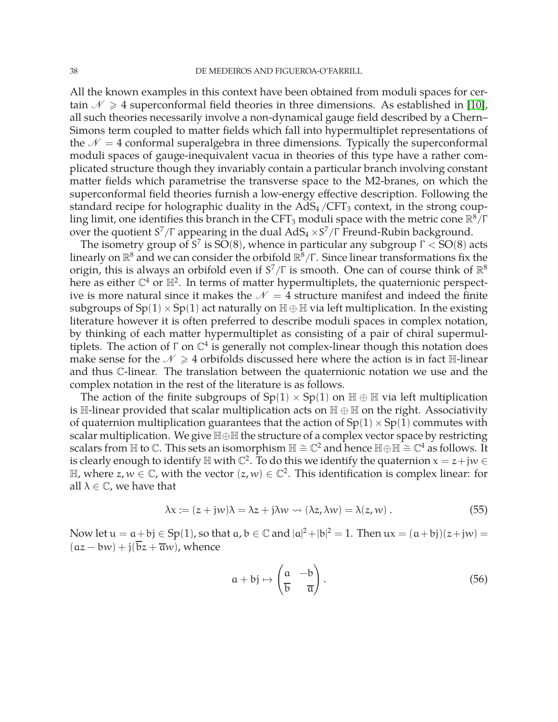All the known examples in this context have been obtained from moduli spaces for certain  $\mathcal{N} \geq 4$  superconformal field theories in three dimensions. As established in [\[10\]](#page-49-2), all such theories necessarily involve a non-dynamical gauge field described by a Chern– Simons term coupled to matter fields which fall into hypermultiplet representations of the  $\mathcal{N} = 4$  conformal superalgebra in three dimensions. Typically the superconformal moduli spaces of gauge-inequivalent vacua in theories of this type have a rather complicated structure though they invariably contain a particular branch involving constant matter fields which parametrise the transverse space to the M2-branes, on which the superconformal field theories furnish a low-energy effective description. Following the standard recipe for holographic duality in the  $AdS<sub>4</sub>/CFT<sub>3</sub>$  context, in the strong coupling limit, one identifies this branch in the CFT<sub>3</sub> moduli space with the metric cone  $\mathbb{R}^8/\Gamma$ over the quotient  $S^7/\Gamma$  appearing in the dual  $AdS_4 \times S^7/\Gamma$  Freund-Rubin background.

The isometry group of S<sup>7</sup> is SO(8), whence in particular any subgroup  $\Gamma <$  SO(8) acts linearly on  $\mathbb{R}^8$  and we can consider the orbifold  $\mathbb{R}^8/\Gamma$ . Since linear transformations fix the origin, this is always an orbifold even if  $S^7/\Gamma$  is smooth. One can of course think of  $\mathbb{R}^8$ here as either  $\mathbb{C}^4$  or  $\mathbb{H}^2$ . In terms of matter hypermultiplets, the quaternionic perspective is more natural since it makes the  $\mathcal{N} = 4$  structure manifest and indeed the finite subgroups of  $Sp(1) \times Sp(1)$  act naturally on  $\mathbb{H} \oplus \mathbb{H}$  via left multiplication. In the existing literature however it is often preferred to describe moduli spaces in complex notation, by thinking of each matter hypermultiplet as consisting of a pair of chiral supermultiplets. The action of  $\Gamma$  on  $\mathbb{C}^4$  is generally not complex-linear though this notation does make sense for the  $\mathcal{N} \geq 4$  orbifolds discussed here where the action is in fact H-linear and thus C-linear. The translation between the quaternionic notation we use and the complex notation in the rest of the literature is as follows.

The action of the finite subgroups of  $Sp(1) \times Sp(1)$  on  $\mathbb{H} \oplus \mathbb{H}$  via left multiplication is  $\mathbb{H}\text{-linear provided that scalar multiplication acts on } \mathbb{H} \oplus \mathbb{H}$  on the right. Associativity of quaternion multiplication guarantees that the action of  $Sp(1) \times Sp(1)$  commutes with scalar multiplication. We give H⊕H the structure of a complex vector space by restricting scalars from H to  $\mathbb C$ . This sets an isomorphism  $\mathbb H \cong \mathbb C^2$  and hence  $\mathbb H \oplus \mathbb H \cong \mathbb C^4$  as follows. It is clearly enough to identify  $\mathbb H$  with  $\mathbb C^2$ . To do this we identify the quaternion  $x = z + jw \in \mathbb C$ H, where  $z, w \in \mathbb{C}$ , with the vector  $(z, w) \in \mathbb{C}^2$ . This identification is complex linear: for all  $\lambda \in \mathbb{C}$ , we have that

$$
\lambda x := (z + jw)\lambda = \lambda z + j\lambda w \leadsto (\lambda z, \lambda w) = \lambda(z, w) . \tag{55}
$$

Now let  $u = a + b$   $\in$  Sp(1), so that  $a, b \in \mathbb{C}$  and  $|a|^2 + |b|^2 = 1$ . Then  $ux = (a + bj)(z + jw) =$  $(az - bw) + i(\overline{b}z + \overline{a}w)$ , whence

$$
a + bj \mapsto \left(\frac{a}{b} - \frac{b}{a}\right). \tag{56}
$$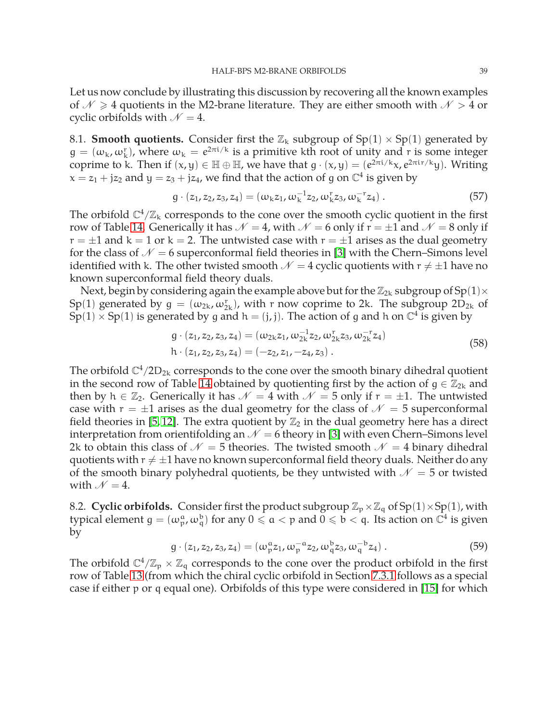Let us now conclude by illustrating this discussion by recovering all the known examples of  $\mathcal{N} \geq 4$  quotients in the M2-brane literature. They are either smooth with  $\mathcal{N} > 4$  or cyclic orbifolds with  $\mathcal{N} = 4$ .

<span id="page-39-0"></span>8.1. **Smooth quotients.** Consider first the  $\mathbb{Z}_k$  subgroup of Sp(1)  $\times$  Sp(1) generated by  $g = (\omega_k, \omega_k^r)$ , where  $\omega_k = e^{2\pi i/k}$  is a primitive kth root of unity and r is some integer coprime to k. Then if  $(x, y) \in \mathbb{H} \oplus \mathbb{H}$ , we have that  $g \cdot (x, y) = (e^{2\pi i/k}x, e^{2\pi i r/k}y)$ . Writing  $x = z_1 + jz_2$  and  $y = z_3 + jz_4$ , we find that the action of g on  $\mathbb{C}^4$  is given by

$$
g \cdot (z_1, z_2, z_3, z_4) = (\omega_k z_1, \omega_k^{-1} z_2, \omega_k^{r} z_3, \omega_k^{-r} z_4).
$$
 (57)

The orbifold  $\mathbb{C}^4/\mathbb{Z}_k$  corresponds to the cone over the smooth cyclic quotient in the first row of Table [14.](#page-31-0) Generically it has  $\mathcal{N} = 4$ , with  $\mathcal{N} = 6$  only if  $r = \pm 1$  and  $\mathcal{N} = 8$  only if  $r = \pm 1$  and  $k = 1$  or  $k = 2$ . The untwisted case with  $r = \pm 1$  arises as the dual geometry for the class of  $\mathcal{N} = 6$  superconformal field theories in [\[3\]](#page-48-3) with the Chern–Simons level identified with k. The other twisted smooth  $\mathcal{N} = 4$  cyclic quotients with  $r \neq \pm 1$  have no known superconformal field theory duals.

Next, begin by considering again the example above but for the  $\mathbb{Z}_{2k}$  subgroup of Sp(1) $\times$ Sp(1) generated by  $g = (\omega_{2k}, \omega_{2k}^r)$ , with r now coprime to 2k. The subgroup  $2D_{2k}$  of  $\text{Sp}(1) \times \text{Sp}(1)$  is generated by g and  $h = (j, j)$ . The action of g and h on  $\mathbb{C}^4$  is given by

$$
g \cdot (z_1, z_2, z_3, z_4) = (\omega_{2k} z_1, \omega_{2k}^{-1} z_2, \omega_{2k}^{r} z_3, \omega_{2k}^{-r} z_4)
$$
  
h \cdot (z\_1, z\_2, z\_3, z\_4) = (-z\_2, z\_1, -z\_4, z\_3). (58)

The orbifold  $\mathbb{C}^4/2\mathbb{D}_{2k}$  corresponds to the cone over the smooth binary dihedral quotient in the second row of Table [14](#page-31-0) obtained by quotienting first by the action of  $g \in \mathbb{Z}_{2k}$  and then by  $h \in \mathbb{Z}_2$ . Generically it has  $\mathcal{N} = 4$  with  $\mathcal{N} = 5$  only if  $r = \pm 1$ . The untwisted case with  $r = \pm 1$  arises as the dual geometry for the class of  $\mathcal{N} = 5$  superconformal field theories in [\[5,](#page-49-8)12]. The extra quotient by  $\mathbb{Z}_2$  in the dual geometry here has a direct interpretation from orientifolding an  $\mathcal{N} = 6$  theory in [\[3\]](#page-48-3) with even Chern–Simons level 2k to obtain this class of  $\mathcal{N} = 5$  theories. The twisted smooth  $\mathcal{N} = 4$  binary dihedral quotients with  $r \neq \pm 1$  have no known superconformal field theory duals. Neither do any of the smooth binary polyhedral quotients, be they untwisted with  $\mathcal{N} = 5$  or twisted with  $N = 4$ .

<span id="page-39-1"></span>8.2. **Cyclic orbifolds.** Consider first the product subgroup  $\mathbb{Z}_p \times \mathbb{Z}_q$  of Sp(1)×Sp(1), with typical element  $g=(\omega_p^a,\omega_q^b)$  for any  $0\leqslant a< p$  and  $0\leqslant b< q.$  Its action on  $\bar{\mathbb{C}}^4$  is given by

$$
g \cdot (z_1, z_2, z_3, z_4) = (\omega_p^{\alpha} z_1, \omega_p^{-\alpha} z_2, \omega_q^{\beta} z_3, \omega_q^{-\beta} z_4).
$$
 (59)

The orbifold  $\mathbb{C}^4/\mathbb{Z}_p \times \mathbb{Z}_q$  corresponds to the cone over the product orbifold in the first row of Table [13](#page-30-0) (from which the chiral cyclic orbifold in Section [7.3.1](#page-29-3) follows as a special case if either p or q equal one). Orbifolds of this type were considered in [\[15\]](#page-49-10) for which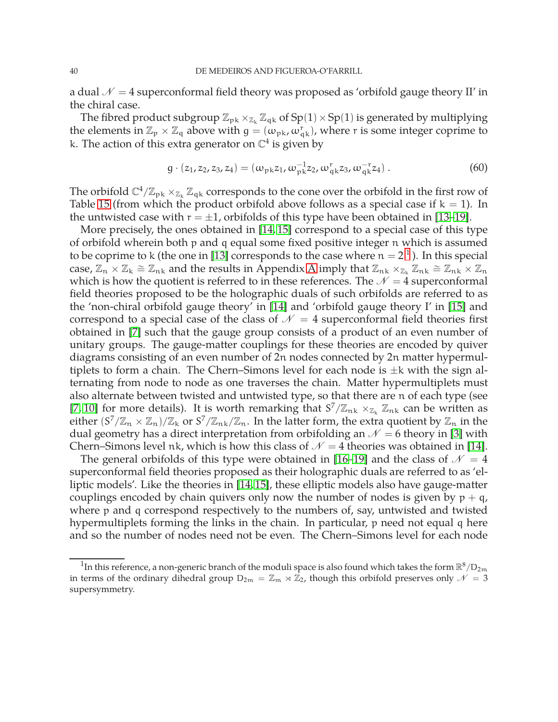a dual  $\mathcal{N} = 4$  superconformal field theory was proposed as 'orbifold gauge theory II' in the chiral case.

The fibred product subgroup  $\mathbb{Z}_{p k} \times_{\mathbb{Z}_k} \mathbb{Z}_{q k}$  of Sp(1) × Sp(1) is generated by multiplying the elements in  $\mathbb{Z}_p \times \mathbb{Z}_q$  above with  $g = (\omega_{pk}, \omega_{qk}^r)$ , where r is some integer coprime to k. The action of this extra generator on  $\mathbb{C}^4$  is given by

$$
g \cdot (z_1, z_2, z_3, z_4) = (\omega_{\rm pk} z_1, \omega_{\rm pk}^{-1} z_2, \omega_{\rm qk}^{\rm r} z_3, \omega_{\rm qk}^{-1} z_4).
$$
 (60)

The orbifold  $\mathbb{C}^4/\mathbb{Z}_{pk}\times_{\mathbb{Z}_k}\mathbb{Z}_{qk}$  corresponds to the cone over the orbifold in the first row of Table [15](#page-37-1) (from which the product orbifold above follows as a special case if  $k = 1$ ). In the untwisted case with  $r = \pm 1$ , orbifolds of this type have been obtained in [\[13](#page-49-11)[–19\]](#page-49-4).

More precisely, the ones obtained in [\[14,](#page-49-12) [15\]](#page-49-10) correspond to a special case of this type of orbifold wherein both p and q equal some fixed positive integer n which is assumed to be coprime to k (the one in [\[13\]](#page-49-11) corresponds to the case where  $\mathfrak{n}=2^{\, 1}$  $\mathfrak{n}=2^{\, 1}$  $\mathfrak{n}=2^{\, 1}$  ). In this special case,  $\mathbb{Z}_n \times \mathbb{Z}_k \cong \mathbb{Z}_{nk}$  and the results in [A](#page-42-0)ppendix A imply that  $\mathbb{Z}_{nk} \times_{\mathbb{Z}_k} \mathbb{Z}_{nk} \cong \mathbb{Z}_{nk} \times \mathbb{Z}_n$ which is how the quotient is referred to in these references. The  $\mathcal{N}=4$  superconformal field theories proposed to be the holographic duals of such orbifolds are referred to as the 'non-chiral orbifold gauge theory' in [\[14\]](#page-49-12) and 'orbifold gauge theory I' in [\[15\]](#page-49-10) and correspond to a special case of the class of  $\mathcal{N} = 4$  superconformal field theories first obtained in [\[7\]](#page-49-13) such that the gauge group consists of a product of an even number of unitary groups. The gauge-matter couplings for these theories are encoded by quiver diagrams consisting of an even number of 2n nodes connected by 2n matter hypermultiplets to form a chain. The Chern–Simons level for each node is  $\pm k$  with the sign alternating from node to node as one traverses the chain. Matter hypermultiplets must also alternate between twisted and untwisted type, so that there are n of each type (see [\[7,](#page-49-13) [10\]](#page-49-2) for more details). It is worth remarking that  $S^7/\mathbb{Z}_{nk} \times_{\mathbb{Z}_k} \mathbb{Z}_{nk}$  can be written as either  $(S^7/\mathbb{Z}_n \times \mathbb{Z}_n)/\mathbb{Z}_k$  or  $S^7/\mathbb{Z}_{nk}/\mathbb{Z}_n$ . In the latter form, the extra quotient by  $\mathbb{Z}_n$  in the dual geometry has a direct interpretation from orbifolding an  $\mathcal{N} = 6$  theory in [\[3\]](#page-48-3) with Chern–Simons level nk, which is how this class of  $\mathcal{N} = 4$  theories was obtained in [\[14\]](#page-49-12).

The general orbifolds of this type were obtained in [\[16–](#page-49-6)[19\]](#page-49-4) and the class of  $\mathcal{N} = 4$ superconformal field theories proposed as their holographic duals are referred to as 'elliptic models'. Like the theories in [\[14,](#page-49-12) [15\]](#page-49-10), these elliptic models also have gauge-matter couplings encoded by chain quivers only now the number of nodes is given by  $p + q$ , where p and q correspond respectively to the numbers of, say, untwisted and twisted hypermultiplets forming the links in the chain. In particular, p need not equal q here and so the number of nodes need not be even. The Chern–Simons level for each node

<span id="page-40-0"></span> $^1$ In this reference, a non-generic branch of the moduli space is also found which takes the form  $\mathbb{R}^8/\text{D}_{2\mathfrak{m}}$ in terms of the ordinary dihedral group  $D_{2m} = \mathbb{Z}_m \rtimes \mathbb{Z}_2$ , though this orbifold preserves only  $\mathcal{N} = 3$ supersymmetry.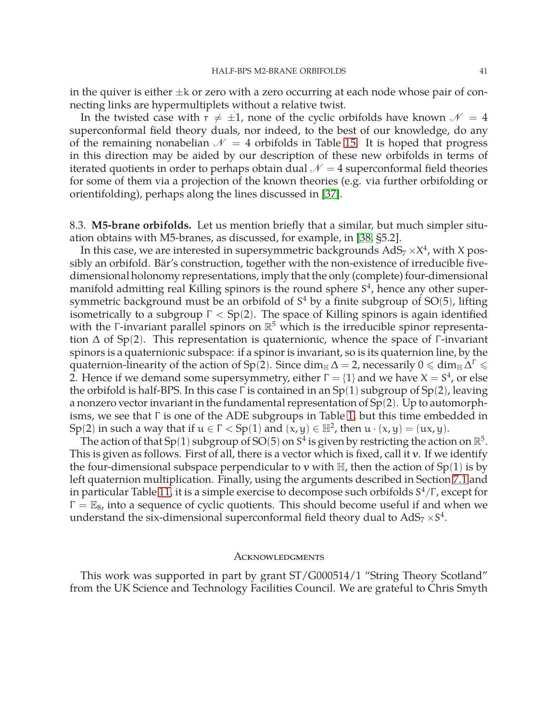in the quiver is either  $\pm k$  or zero with a zero occurring at each node whose pair of connecting links are hypermultiplets without a relative twist.

In the twisted case with  $r \neq \pm 1$ , none of the cyclic orbifolds have known  $\mathcal{N} = 4$ superconformal field theory duals, nor indeed, to the best of our knowledge, do any of the remaining nonabelian  $\mathcal{N} = 4$  orbifolds in Table [15.](#page-37-1) It is hoped that progress in this direction may be aided by our description of these new orbifolds in terms of iterated quotients in order to perhaps obtain dual  $\mathcal{N} = 4$  superconformal field theories for some of them via a projection of the known theories (e.g. via further orbifolding or orientifolding), perhaps along the lines discussed in [\[37\]](#page-50-15).

<span id="page-41-0"></span>8.3. **M5-brane orbifolds.** Let us mention briefly that a similar, but much simpler situation obtains with M5-branes, as discussed, for example, in [\[38,](#page-50-16) §5.2].

In this case, we are interested in supersymmetric backgrounds  $AdS_7 \times X^4$ , with X possibly an orbifold. Bär's construction, together with the non-existence of irreducible fivedimensional holonomy representations, imply that the only (complete) four-dimensional manifold admitting real Killing spinors is the round sphere  $S<sup>4</sup>$ , hence any other supersymmetric background must be an orbifold of S <sup>4</sup> by a finite subgroup of SO(5), lifting isometrically to a subgroup  $\Gamma < Sp(2)$ . The space of Killing spinors is again identified with the Γ-invariant parallel spinors on  $\mathbb{R}^5$  which is the irreducible spinor representation  $\Delta$  of Sp(2). This representation is quaternionic, whence the space of Γ-invariant spinors is a quaternionic subspace: if a spinor is invariant, so is its quaternion line, by the quaternion-linearity of the action of Sp(2). Since  $\dim_\mathbb{H}\Delta=$  2, necessarily  $0\leqslant\dim_\mathbb{H}\Delta^\Gamma\leqslant$ 2. Hence if we demand some supersymmetry, either  $\Gamma = \{1\}$  and we have  $X = S^4$ , or else the orbifold is half-BPS. In this case  $\Gamma$  is contained in an  $Sp(1)$  subgroup of  $Sp(2)$ , leaving a nonzero vector invariant in the fundamental representation of Sp(2). Up to automorphisms, we see that Γ is one of the ADE subgroups in Table [1,](#page-11-0) but this time embedded in Sp(2) in such a way that if  $u \in \Gamma <$  Sp(1) and  $(x, y) \in \mathbb{H}^2$ , then  $u \cdot (x, y) = (ux, y)$ .

The action of that Sp(1) subgroup of SO(5) on S<sup>4</sup> is given by restricting the action on  $\mathbb{R}^5$ . This is given as follows. First of all, there is a vector which is fixed, call it v. If we identify the four-dimensional subspace perpendicular to v with  $\mathbb{H}$ , then the action of Sp(1) is by left quaternion multiplication. Finally, using the arguments described in Section [7.1](#page-25-1) and in particular Table [11,](#page-27-0) it is a simple exercise to decompose such orbifolds  $\mathrm{S}^4/\Gamma$ , except for  $\Gamma = \mathbb{E}_8$ , into a sequence of cyclic quotients. This should become useful if and when we understand the six-dimensional superconformal field theory dual to  $AdS_7 \times S^4$ .

#### <span id="page-41-1"></span>**ACKNOWLEDGMENTS**

This work was supported in part by grant ST/G000514/1 "String Theory Scotland" from the UK Science and Technology Facilities Council. We are grateful to Chris Smyth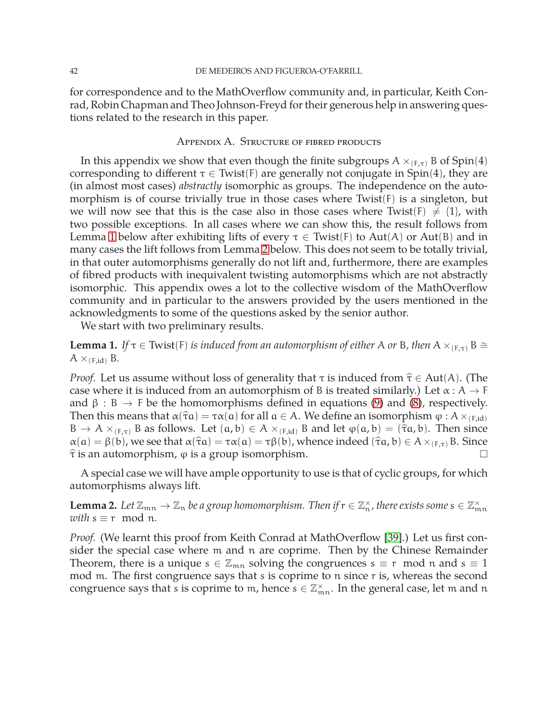for correspondence and to the MathOverflow community and, in particular, Keith Conrad, Robin Chapman and Theo Johnson-Freyd for their generous help in answering questions related to the research in this paper.

#### Appendix A. Structure of fibred products

<span id="page-42-0"></span>In this appendix we show that even though the finite subgroups  $A \times_{(F,\tau)} B$  of Spin(4) corresponding to different  $\tau \in$  Twist(F) are generally not conjugate in Spin(4), they are (in almost most cases) *abstractly* isomorphic as groups. The independence on the automorphism is of course trivially true in those cases where Twist(F) is a singleton, but we will now see that this is the case also in those cases where Twist(F)  $\neq$  {1}, with two possible exceptions. In all cases where we can show this, the result follows from Lemma [1](#page-42-1) below after exhibiting lifts of every  $\tau \in$  Twist(F) to Aut(A) or Aut(B) and in many cases the lift follows from Lemma [2](#page-42-2) below. This does not seem to be totally trivial, in that outer automorphisms generally do not lift and, furthermore, there are examples of fibred products with inequivalent twisting automorphisms which are not abstractly isomorphic. This appendix owes a lot to the collective wisdom of the MathOverflow community and in particular to the answers provided by the users mentioned in the acknowledgments to some of the questions asked by the senior author.

We start with two preliminary results.

<span id="page-42-1"></span>**Lemma 1.** *If*  $\tau \in$  Twist(F) *is induced from an automorphism of either* A *or* B, *then* A  $\times$ <sub>(E,τ)</sub> B  $\cong$  $A \times_{(F,id)} B$ .

*Proof.* Let us assume without loss of generality that  $\tau$  is induced from  $\hat{\tau} \in Aut(A)$ . (The case where it is induced from an automorphism of B is treated similarly.) Let  $\alpha : A \rightarrow F$ and  $\beta : B \to F$  be the homomorphisms defined in equations [\(9\)](#page-14-1) and [\(8\)](#page-13-0), respectively. Then this means that  $\alpha(\hat{\tau}a) = \tau \alpha(a)$  for all  $a \in A$ . We define an isomorphism  $\varphi : A \times_{(F, id)} \varphi$  $B \to A \times_{(F,\tau)} B$  as follows. Let  $(a,b) \in A \times_{(F,\text{id})} B$  and let  $\varphi(a,b) = (\hat{\tau}a,b)$ . Then since  $\alpha(a) = \beta(b)$ , we see that  $\alpha(\hat{\tau}a) = \tau\alpha(a) = \tau\beta(b)$ , whence indeed  $(\hat{\tau}a, b) \in A \times_{(F,\tau)} B$ . Since  $\hat{\tau}$  is an automorphism,  $\varphi$  is a group isomorphism.

A special case we will have ample opportunity to use is that of cyclic groups, for which automorphisms always lift.

<span id="page-42-2"></span>**Lemma 2.** Let  $\mathbb{Z}_{mn} \to \mathbb{Z}_n$  be a group homomorphism. Then if  $r \in \mathbb{Z}_n^{\times}$ , there exists some  $s \in \mathbb{Z}_{mn}^{\times}$ *with*  $s \equiv r \mod n$ .

*Proof.* (We learnt this proof from Keith Conrad at MathOverflow [\[39\]](#page-50-17).) Let us first consider the special case where m and n are coprime. Then by the Chinese Remainder Theorem, there is a unique  $s \in \mathbb{Z}_{mn}$  solving the congruences  $s \equiv r \mod n$  and  $s \equiv 1$ mod m. The first congruence says that s is coprime to n since r is, whereas the second congruence says that s is coprime to m, hence  $s \in \mathbb{Z}_{mn}^{\times}$ . In the general case, let m and n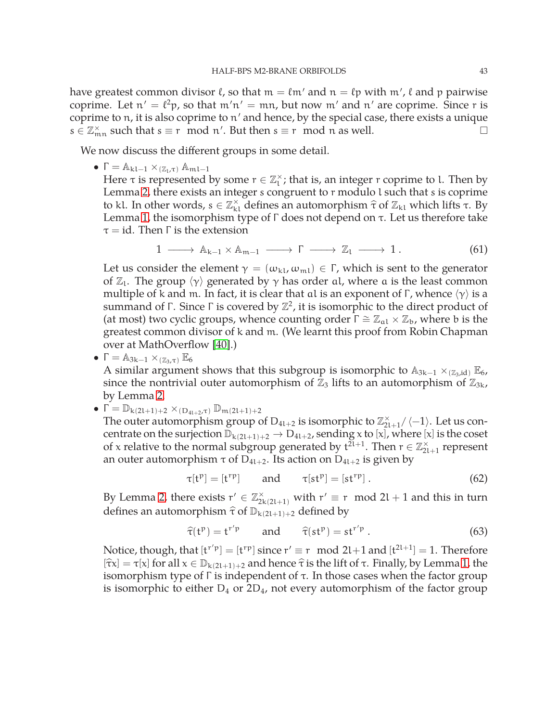have greatest common divisor  $\ell$ , so that  $\mathfrak{m}=\ell\mathfrak{m}'$  and  $\mathfrak{n}=\ell\mathfrak{p}$  with  $\mathfrak{m}'$ ,  $\ell$  and  $\mathfrak{p}$  pairwise coprime. Let  $n' = \ell^2 p$ , so that  $m'n' = mn$ , but now  $m'$  and  $n'$  are coprime. Since r is coprime to n, it is also coprime to n ′ and hence, by the special case, there exists a unique  $s \in \mathbb{Z}_{mn}^{\times}$  such that  $s \equiv r \mod n'$ . But then  $s \equiv r \mod n$  as well.

We now discuss the different groups in some detail.

•  $\Gamma = \mathbb{A}_{k l-1} \times_{(\mathbb{Z}_l,\tau)} \mathbb{A}_{m l-1}$ 

Here  $\tau$  is represented by some  $r \in \mathbb{Z}_1^{\times}$ ; that is, an integer r coprime to l. Then by Lemma [2,](#page-42-2) there exists an integer s congruent to r modulo l such that s is coprime to kl. In other words,  $s \in \mathbb{Z}_k^{\times}$  defines an automorphism  $\hat{\tau}$  of  $\mathbb{Z}_{k}$  which lifts  $\tau$ . By Lemma [1,](#page-42-1) the isomorphism type of Γ does not depend on τ. Let us therefore take  $\tau = id$ . Then  $\Gamma$  is the extension

$$
1 \longrightarrow A_{k-1} \times A_{m-1} \longrightarrow \Gamma \longrightarrow \mathbb{Z}_1 \longrightarrow 1. \tag{61}
$$

Let us consider the element  $\gamma = (\omega_{kl}, \omega_{ml}) \in \Gamma$ , which is sent to the generator of  $\mathbb{Z}_1$ . The group  $\langle \gamma \rangle$  generated by  $\gamma$  has order al, where a is the least common multiple of k and m. In fact, it is clear that al is an exponent of  $\Gamma$ , whence  $\langle \gamma \rangle$  is a summand of  $\Gamma$ . Since  $\Gamma$  is covered by  $\mathbb{Z}^2$ , it is isomorphic to the direct product of (at most) two cyclic groups, whence counting order  $\Gamma \cong \mathbb{Z}_{al} \times \mathbb{Z}_{b}$ , where b is the greatest common divisor of k and m. (We learnt this proof from Robin Chapman over at MathOverflow [\[40\]](#page-50-18).)

- $\Gamma = \mathbb{A}_{3k-1} \times_{(\mathbb{Z}_3,\tau)} \mathbb{E}_6$ A similar argument shows that this subgroup is isomorphic to  $A_{3k-1} \times_{(\mathbb{Z}_3, id)} \mathbb{E}_6$ , since the nontrivial outer automorphism of  $\mathbb{Z}_3$  lifts to an automorphism of  $\mathbb{Z}_{3k}$ , by Lemma [2.](#page-42-2)
- $\bullet \Gamma = \mathbb{D}_{k(2l+1)+2} \times_{(\text{D}_{4l+2},\tau)} \mathbb{D}_{m(2l+1)+2}$

The outer automorphism group of  $D_{4l+2}$  is isomorphic to  $\mathbb{Z}_{2l+1}^{\times}/\langle-1\rangle$ . Let us concentrate on the surjection  $\mathbb{D}_{k(2l+1)+2}\to D_{4l+2}$ , sending x to [x], where [x] is the coset of x relative to the normal subgroup generated by  $t^{2l+1}$ . Then  $r \in \mathbb{Z}_{2l+1}^{\times}$  represent an outer automorphism  $\tau$  of D<sub>41+2</sub>. Its action on D<sub>41+2</sub> is given by

$$
\tau[t^p] = [t^{rp}] \qquad \text{and} \qquad \tau[st^p] = [st^{rp}]. \tag{62}
$$

By Lemma [2,](#page-42-2) there exists  $r' \in \mathbb{Z}_{2k(2l+1)}^{\times}$  with  $r' \equiv r \mod 2l + 1$  and this in turn defines an automorphism  $\hat{\tau}$  of  $\mathbb{D}_{k(2l+1)+2}$  defined by

$$
\hat{\tau}(t^p) = t^{r'p} \qquad \text{and} \qquad \hat{\tau}(st^p) = st^{r'p} \,. \tag{63}
$$

Notice, though, that  $[t^{r/p}] = [t^{rp}]$  since  $r' \equiv r \mod 2l+1$  and  $[t^{2l+1}] = 1$ . Therefore  $[\hat{\tau}x] = \tau[x]$  for all  $x \in \mathbb{D}_{k(2l+1)+2}$  and hence  $\hat{\tau}$  is the lift of  $\tau$ . Finally, by Lemma [1,](#page-42-1) the isomorphism type of  $Γ$  is independent of  $τ$ . In those cases when the factor group is isomorphic to either  $D_4$  or  $2D_4$ , not every automorphism of the factor group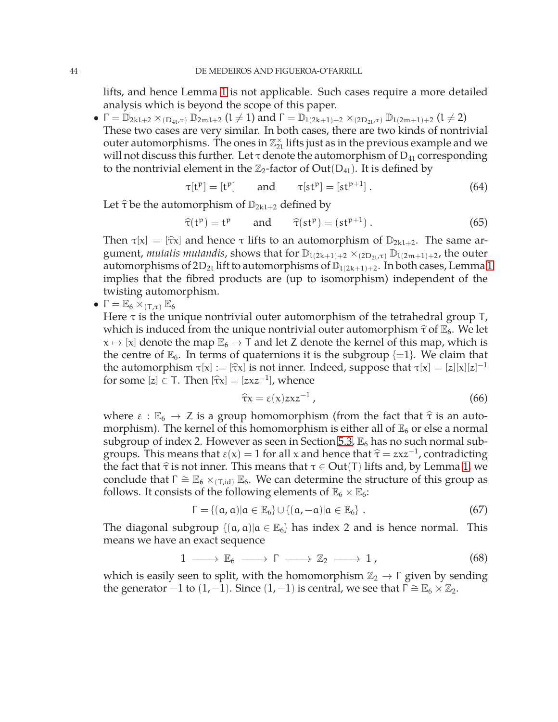lifts, and hence Lemma [1](#page-42-1) is not applicable. Such cases require a more detailed analysis which is beyond the scope of this paper.

 $\bullet$   $\Gamma = \mathbb{D}_{2k1+2} \times_{(\text{D}_{4l}, \tau)} \mathbb{D}_{2m1+2}$   $(l \neq 1)$  and  $\Gamma = \mathbb{D}_{1(2k+1)+2} \times_{(2\text{D}_{2l}, \tau)} \mathbb{D}_{1(2m+1)+2}$   $(l \neq 2)$ These two cases are very similar. In both cases, there are two kinds of nontrivial outer automorphisms. The ones in  $\mathbb{Z}_2^{\times}$  lifts just as in the previous example and we will not discuss this further. Let  $\tau$  denote the automorphism of  $D_{41}$  corresponding to the nontrivial element in the  $\mathbb{Z}_2$ -factor of Out(D<sub>41</sub>). It is defined by

$$
\tau[t^p] = [t^p] \qquad \text{and} \qquad \tau[st^p] = [st^{p+1}]. \tag{64}
$$

Let  $\hat{\tau}$  be the automorphism of  $\mathbb{D}_{2k}$ <sub>1+2</sub> defined by

$$
\hat{\tau}(t^p) = t^p \qquad \text{and} \qquad \hat{\tau}(st^p) = (st^{p+1}). \tag{65}
$$

Then  $\tau[x] = [\hat{\tau}x]$  and hence  $\tau$  lifts to an automorphism of  $\mathbb{D}_{2k+2}$ . The same argument, *mutatis mutandis*, shows that for  $\mathbb{D}_{1(2k+1)+2} \times_{(2D_{2l}, \tau)} \mathbb{D}_{1(2m+1)+2}$ , the outer automorphisms of  $2D_{2l}$  lift to automorphisms of  $\mathbb{D}_{1(2k+1)+2}$ . In both cases, Lemma [1](#page-42-1) implies that the fibred products are (up to isomorphism) independent of the twisting automorphism.

•  $\Gamma = \mathbb{E}_6 \times_{(\tau,\tau)} \mathbb{E}_6$ 

Here  $\tau$  is the unique nontrivial outer automorphism of the tetrahedral group T, which is induced from the unique nontrivial outer automorphism  $\hat{\tau}$  of  $\mathbb{E}_6$ . We let  $x \mapsto [x]$  denote the map  $\mathbb{E}_6 \to T$  and let Z denote the kernel of this map, which is the centre of  $\mathbb{E}_6$ . In terms of quaternions it is the subgroup  $\{\pm 1\}$ . We claim that the automorphism  $\tau[x] := [\hat{\tau}x]$  is not inner. Indeed, suppose that  $\tau[x] = [z][x][z]^{-1}$ for some  $[z] \in T$ . Then  $[\hat{\tau}x] = [zxz^{-1}]$ , whence

$$
\widehat{\tau}x = \varepsilon(x)zxz^{-1}, \qquad (66)
$$

where  $\varepsilon : \mathbb{E}_6 \to \mathbb{Z}$  is a group homomorphism (from the fact that  $\hat{\tau}$  is an automorphism). The kernel of this homomorphism is either all of  $\mathbb{E}_6$  or else a normal subgroup of index 2. However as seen in Section [5.3,](#page-17-0)  $\mathbb{E}_6$  has no such normal subgroups. This means that  $\varepsilon(x) = 1$  for all x and hence that  $\hat{\tau} = zxz^{-1}$ , contradicting<br>the feat that  $\hat{\varepsilon}$  is not important in means that  $\in$   $\Omega$  of  $(\tau)$  if  $t_0$  and her larger  $\tau$ the fact that  $\hat{\tau}$  is not inner. This means that  $\tau \in Out(T)$  lifts and, by Lemma [1,](#page-42-1) we conclude that  $\Gamma \cong \mathbb{E}_6 \times_{(\text{T},id)} \mathbb{E}_6$ . We can determine the structure of this group as follows. It consists of the following elements of  $\mathbb{E}_6 \times \mathbb{E}_6$ :

$$
\Gamma = \{(\mathbf{a}, \mathbf{a}) | \mathbf{a} \in \mathbb{E}_6\} \cup \{(\mathbf{a}, -\mathbf{a}) | \mathbf{a} \in \mathbb{E}_6\} .
$$
 (67)

The diagonal subgroup  $\{(a, a) | a \in \mathbb{E}_6\}$  has index 2 and is hence normal. This means we have an exact sequence

$$
1 \longrightarrow \mathbb{E}_6 \longrightarrow \Gamma \longrightarrow \mathbb{Z}_2 \longrightarrow 1,
$$
 (68)

which is easily seen to split, with the homomorphism  $\mathbb{Z}_2 \to \Gamma$  given by sending the generator −1 to  $(1, -1)$ . Since  $(1, -1)$  is central, we see that  $\Gamma \cong \mathbb{E}_6 \times \mathbb{Z}_2$ .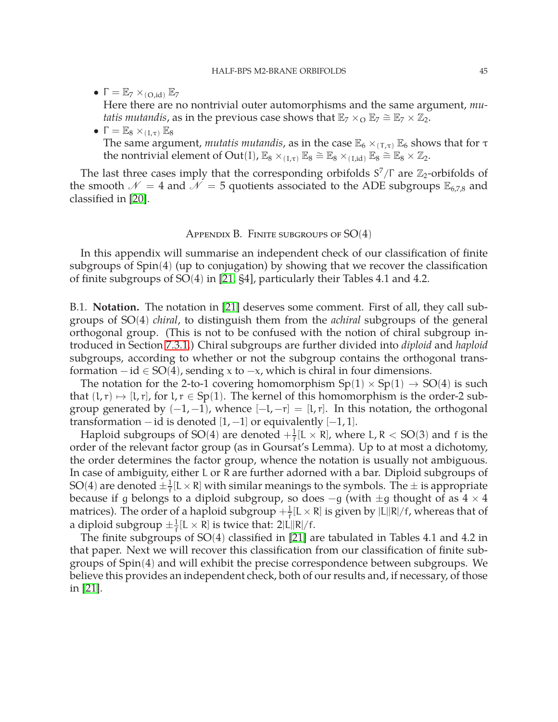•  $\Gamma = \mathbb{E}_7 \times_{(O, id)} \mathbb{E}_7$ 

Here there are no nontrivial outer automorphisms and the same argument, *mutatis mutandis,* as in the previous case shows that  $\mathbb{E}_7 \times_{\mathbb{O}} \mathbb{E}_7 \cong \mathbb{E}_7 \times \mathbb{Z}_2$ .

•  $\Gamma = \mathbb{E}_8 \times_{(1,\tau)} \mathbb{E}_8$ The same argument, *mutatis mutandis*, as in the case  $\mathbb{E}_6 \times_{(\mathsf{T},\tau)} \mathbb{E}_6$  shows that for  $\tau$ the nontrivial element of Out(I),  $\mathbb{E}_8 \times_{(I,\tau)} \mathbb{E}_8 \cong \mathbb{E}_8 \times_{(I,\text{id})} \mathbb{E}_8 \cong \mathbb{E}_8 \times \mathbb{Z}_2$ .

The last three cases imply that the corresponding orbifolds  $S^7/\Gamma$  are  $\mathbb{Z}_2$ -orbifolds of the smooth  $\mathcal{N} = 4$  and  $\mathcal{N} = 5$  quotients associated to the ADE subgroups  $\mathbb{E}_{6,7,8}$  and classified in [\[20\]](#page-49-5).

#### Appendix B. Finite subgroups of  $SO(4)$

<span id="page-45-0"></span>In this appendix will summarise an independent check of our classification of finite subgroups of Spin(4) (up to conjugation) by showing that we recover the classification of finite subgroups of SO(4) in [\[21,](#page-50-0) §4], particularly their Tables 4.1 and 4.2.

<span id="page-45-1"></span>B.1. **Notation.** The notation in [\[21\]](#page-50-0) deserves some comment. First of all, they call subgroups of SO(4) *chiral*, to distinguish them from the *achiral* subgroups of the general orthogonal group. (This is not to be confused with the notion of chiral subgroup introduced in Section [7.3.1.](#page-29-3)) Chiral subgroups are further divided into *diploid* and *haploid* subgroups, according to whether or not the subgroup contains the orthogonal transformation  $-i d \in SO(4)$ , sending x to  $-x$ , which is chiral in four dimensions.

The notation for the 2-to-1 covering homomorphism  $Sp(1) \times Sp(1) \rightarrow SO(4)$  is such that  $(l, r) \mapsto [l, r]$ , for  $l, r \in Sp(1)$ . The kernel of this homomorphism is the order-2 subgroup generated by  $(-1, -1)$ , whence  $[-1, -r] = [1, r]$ . In this notation, the orthogonal transformation  $-$  id is denoted  $[1, -1]$  or equivalently  $[-1, 1]$ .

Haploid subgroups of SO(4) are denoted  $+\frac{1}{f}$  $\frac{1}{f}[L \times R]$ , where L, R < SO(3) and f is the order of the relevant factor group (as in Goursat's Lemma). Up to at most a dichotomy, the order determines the factor group, whence the notation is usually not ambiguous. In case of ambiguity, either L or R are further adorned with a bar. Diploid subgroups of SO(4) are denoted  $\pm \frac{1}{f}$  $\frac{1}{f}[L \times R]$  with similar meanings to the symbols. The  $\pm$  is appropriate because if g belongs to a diploid subgroup, so does  $-g$  (with  $\pm g$  thought of as  $4 \times 4$ matrices). The order of a haploid subgroup  $+\frac{1}{\mathsf{f}}$  $\frac{1}{f}[L \times R]$  is given by  $|L||R|/f$ , whereas that of a diploid subgroup  $\pm \frac{1}{f}[L \times R]$  is twice that:  $2|L||R|/f$ .

The finite subgroups of  $SO(4)$  classified in [\[21\]](#page-50-0) are tabulated in Tables 4.1 and 4.2 in that paper. Next we will recover this classification from our classification of finite subgroups of Spin(4) and will exhibit the precise correspondence between subgroups. We believe this provides an independent check, both of our results and, if necessary, of those in [\[21\]](#page-50-0).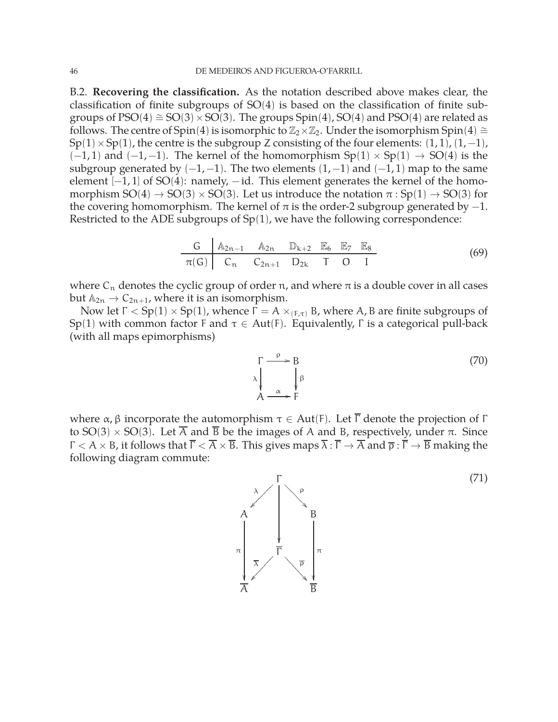<span id="page-46-0"></span>B.2. **Recovering the classification.** As the notation described above makes clear, the classification of finite subgroups of SO(4) is based on the classification of finite subgroups of  $PSO(4) \cong SO(3) \times SO(3)$ . The groups  $Spin(4)$ ,  $SO(4)$  and  $PSO(4)$  are related as follows. The centre of Spin(4) is isomorphic to  $\mathbb{Z}_2\times\mathbb{Z}_2$ . Under the isomorphism Spin(4)  $\cong$  $Sp(1)\times Sp(1)$ , the centre is the subgroup Z consisting of the four elements:  $(1,1)$ ,  $(1,-1)$ ,  $(-1, 1)$  and  $(-1, -1)$ . The kernel of the homomorphism  $Sp(1) \times Sp(1) \rightarrow SO(4)$  is the subgroup generated by  $(-1, -1)$ . The two elements  $(1, -1)$  and  $(-1, 1)$  map to the same element  $[-1, 1]$  of SO(4): namely,  $-i$ d. This element generates the kernel of the homomorphism  $SO(4) \rightarrow SO(3) \times SO(3)$ . Let us introduce the notation  $\pi : Sp(1) \rightarrow SO(3)$  for the covering homomorphism. The kernel of  $\pi$  is the order-2 subgroup generated by  $-1$ . Restricted to the ADE subgroups of  $Sp(1)$ , we have the following correspondence:

$$
\begin{array}{c|cccccc}\nG & A_{2n-1} & A_{2n} & \mathbb{D}_{k+2} & \mathbb{E}_6 & \mathbb{E}_7 & \mathbb{E}_8 \\
\hline\n\pi(G) & C_n & C_{2n+1} & D_{2k} & T & O & I\n\end{array}
$$
\n(69)

where  $C_n$  denotes the cyclic group of order n, and where  $\pi$  is a double cover in all cases but  $A_{2n} \rightarrow C_{2n+1}$ , where it is an isomorphism.

Now let  $Γ < Sp(1) \times Sp(1)$ , whence  $Γ = A \times_{(F,\tau)} B$ , where A, B are finite subgroups of Sp(1) with common factor F and  $τ ∈ Aut(F)$ . Equivalently, Γ is a categorical pull-back (with all maps epimorphisms)

<span id="page-46-1"></span>
$$
\begin{array}{ccc}\n\Gamma & \stackrel{\rho}{\longrightarrow} & B \\
\lambda & \downarrow & \downarrow \\
A & \stackrel{\alpha}{\longrightarrow} & F\n\end{array}
$$
\n(70)

where  $\alpha$ , β incorporate the automorphism  $\tau \in Aut(F)$ . Let  $\overline{\Gamma}$  denote the projection of  $\Gamma$ to SO(3)  $\times$  SO(3). Let  $\overline{A}$  and  $\overline{B}$  be the images of A and B, respectively, under  $\pi$ . Since  $\Gamma < A \times B$ , it follows that  $\overline{\Gamma} < \overline{A} \times \overline{B}$ . This gives maps  $\overline{\lambda} : \overline{\Gamma} \to \overline{A}$  and  $\overline{\rho} : \overline{\Gamma} \to \overline{B}$  making the following diagram commute:

<span id="page-46-2"></span>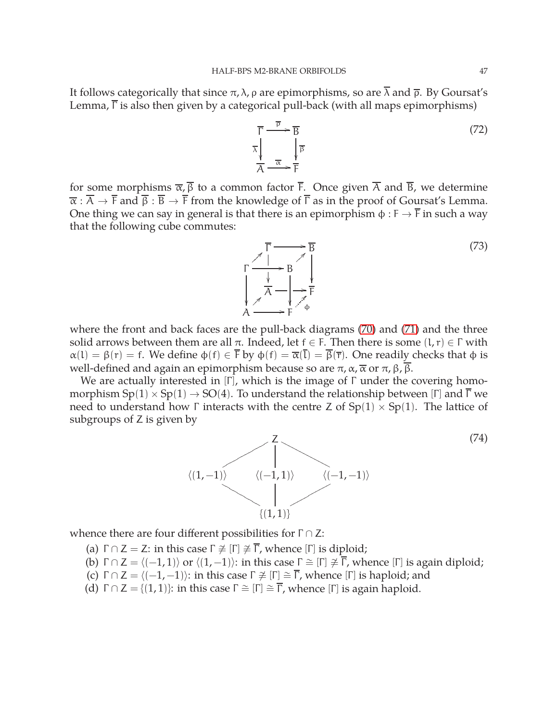It follows categorically that since  $\pi$ ,  $\lambda$ ,  $\rho$  are epimorphisms, so are  $\overline{\lambda}$  and  $\overline{\rho}$ . By Goursat's Lemma,  $\overline{\Gamma}$  is also then given by a categorical pull-back (with all maps epimorphisms)

$$
\overline{\Gamma} \xrightarrow{\overline{P}} \overline{B} \n\overline{\lambda} \downarrow_{\overline{\mathcal{A}}} \xrightarrow{\overline{\alpha}} \overline{F}
$$
\n(72)

for some morphisms  $\overline{\alpha}$ ,  $\overline{\beta}$  to a common factor  $\overline{F}$ . Once given  $\overline{A}$  and  $\overline{B}$ , we determine  $\overline{\alpha}$  :  $\overline{A}$   $\rightarrow$   $\overline{F}$  and  $\overline{\beta}$  :  $\overline{B}$   $\rightarrow$   $\overline{F}$  from the knowledge of  $\overline{\Gamma}$  as in the proof of Goursat's Lemma. One thing we can say in general is that there is an epimorphism  $\phi : F \to \overline{F}$  in such a way that the following cube commutes:



where the front and back faces are the pull-back diagrams [\(70\)](#page-46-1) and [\(71\)](#page-46-2) and the three solid arrows between them are all  $\pi$ . Indeed, let  $f \in F$ . Then there is some  $(l, r) \in \Gamma$  with  $\alpha(1) = \beta(r) = f$ . We define  $\phi(f) \in \overline{F}$  by  $\phi(f) = \overline{\alpha(1)} = \overline{\beta(\overline{r})}$ . One readily checks that  $\phi$  is well-defined and again an epimorphism because so are  $π$ ,  $α$ ,  $\overlineα$  or  $π$ ,  $β$ ,  $\overlineβ$ .

We are actually interested in  $[\Gamma]$ , which is the image of  $\Gamma$  under the covering homomorphism  $Sp(1) \times Sp(1) \rightarrow SO(4)$ . To understand the relationship between [Γ] and  $\overline{\Gamma}$  we need to understand how Γ interacts with the centre Z of  $Sp(1) \times Sp(1)$ . The lattice of subgroups of Z is given by



whence there are four different possibilities for  $\Gamma \cap Z$ :

- (a)  $\Gamma \cap Z = Z$ : in this case  $\Gamma \not\cong [\Gamma] \not\cong \overline{\Gamma}$ , whence  $[\Gamma]$  is diploid;
- (b)  $\Gamma \cap Z = \langle (-1, 1) \rangle$  or  $\langle (1, -1) \rangle$ : in this case  $\Gamma \cong [\Gamma] \not\cong \overline{\Gamma}$ , whence  $[\Gamma]$  is again diploid;
- (c)  $\Gamma \cap Z = \langle (-1, -1) \rangle$ : in this case  $\Gamma \not\cong [\Gamma] \cong \overline{\Gamma}$ , whence  $[\Gamma]$  is haploid; and
- (d)  $\Gamma \cap Z = \{(1, 1)\}\$ : in this case  $\Gamma \cong [\Gamma] \cong \overline{\Gamma}$ , whence  $[\Gamma]$  is again haploid.

(74)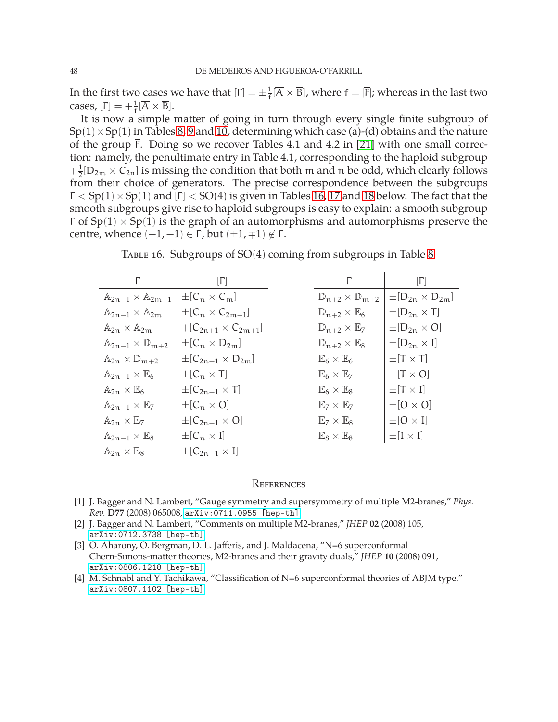In the first two cases we have that  $[\Gamma] = \pm \frac{1}{f}$  $\frac{1}{\sqrt{f}}$   $(\overline{A} \times \overline{B})$ , where  $f = |\overline{F}|$ ; whereas in the last two cases,  $[\Gamma] = +\frac{1}{f}[\overline{A} \times \overline{B}].$ 

It is now a simple matter of going in turn through every single finite subgroup of  $Sp(1) \times Sp(1)$  in Tables [8,](#page-24-0) [9](#page-24-1) and [10,](#page-26-0) determining which case (a)-(d) obtains and the nature of the group  $\overline{F}$ . Doing so we recover Tables 4.1 and 4.2 in [\[21\]](#page-50-0) with one small correction: namely, the penultimate entry in Table 4.1, corresponding to the haploid subgroup  $+\frac{1}{2}$  $\frac{1}{2}[D_{2m} \times C_{2n}]$  is missing the condition that both m and n be odd, which clearly follows from their choice of generators. The precise correspondence between the subgroups  $\Gamma < Sp(1) \times Sp(1)$  and  $[\Gamma] < SO(4)$  is given in Tables [16,](#page-48-1) [17](#page-49-0) and [18](#page-51-0) below. The fact that the smooth subgroups give rise to haploid subgroups is easy to explain: a smooth subgroup  $Γ$  of  $Sp(1) \times Sp(1)$  is the graph of an automorphisms and automorphisms preserve the centre, whence  $(-1, -1) \in \Gamma$ , but  $(\pm 1, \mp 1) \notin \Gamma$ .

<span id="page-48-1"></span>Table 16. Subgroups of SO(4) coming from subgroups in Table [8](#page-24-0)

|                                             | $[\Gamma]$                     |                                          | ſΠ                                                |
|---------------------------------------------|--------------------------------|------------------------------------------|---------------------------------------------------|
| $\mathbb{A}_{2n-1}\times \mathbb{A}_{2m-1}$ | $\pm [C_n \times C_m]$         | $\mathbb{D}_{n+2}\times\mathbb{D}_{m+2}$ | $\pm$ [D <sub>2n</sub> $\times$ D <sub>2m</sub> ] |
| $\mathbb{A}_{2n-1}\times \mathbb{A}_{2m}$   | $\pm [C_n \times C_{2m+1}]$    | $\mathbb{D}_{n+2}\times\mathbb{E}_6$     | $\pm[D_{2n}\times T]$                             |
| $\mathbb{A}_{2n}\times \mathbb{A}_{2m}$     | $+[C_{2n+1}\times C_{2m+1}]$   | $\mathbb{D}_{n+2}\times \mathbb{E}_7$    | $\pm[D_{2n}\times O]$                             |
| $\mathbb{A}_{2n-1}\times\mathbb{D}_{m+2}$   | $\pm [C_n \times D_{2m}]$      | $\mathbb{D}_{n+2}\times\mathbb{E}_8$     | $\pm[D_{2n}\times I]$                             |
| $\mathbb{A}_{2n}\times \mathbb{D}_{m+2}$    | $\pm [C_{2n+1} \times D_{2m}]$ | $\mathbb{E}_6\times\mathbb{E}_6$         | $\pm$ [T $\times$ T]                              |
| $\mathbb{A}_{2n-1}\times\mathbb{E}_6$       | $\pm[C_{n}\times T]$           | $\mathbb{E}_6 \times \mathbb{E}_7$       | $\pm$ [T $\times$ O]                              |
| $\mathbb{A}_{2n}\times\mathbb{E}_6$         | $\pm[C_{2n+1}\times T]$        | $\mathbb{E}_6\times\mathbb{E}_8$         | $\pm$ [T $\times$ I]                              |
| $\mathbb{A}_{2n-1}\times\mathbb{E}_7$       | $\pm [C_n \times 0]$           | $\mathbb{E}_7\times\mathbb{E}_7$         | $\pm [O \times O]$                                |
| $\mathbb{A}_{2n}\times\mathbb{E}_7$         | $\pm [C_{2n+1} \times O]$      | $\mathbb{E}_7\times\mathbb{E}_8$         | $\pm$ [O $\times$ I]                              |
| $\mathbb{A}_{2n-1}\times\mathbb{E}_8$       | $\pm[C_n \times I]$            | $E_8 \times E_8$                         | $\pm[I\times I]$                                  |
| $\mathbb{A}_{2n}\times\mathbb{E}_8$         | $\pm[C_{2n+1}\times I]$        |                                          |                                                   |

#### <span id="page-48-0"></span>**REFERENCES**

- <span id="page-48-2"></span>[1] J. Bagger and N. Lambert, "Gauge symmetry and supersymmetry of multiple M2-branes," *Phys. Rev.* **D77** (2008) 065008, [arXiv:0711.0955 \[hep-th\]](http://arxiv.org/abs/0711.0955).
- [2] J. Bagger and N. Lambert, "Comments on multiple M2-branes," *JHEP* **02** (2008) 105, [arXiv:0712.3738 \[hep-th\]](http://arxiv.org/abs/0712.3738).
- <span id="page-48-3"></span>[3] O. Aharony, O. Bergman, D. L. Jafferis, and J. Maldacena, "N=6 superconformal Chern-Simons-matter theories, M2-branes and their gravity duals," *JHEP* **10** (2008) 091, [arXiv:0806.1218 \[hep-th\]](http://arxiv.org/abs/0806.1218).
- [4] M. Schnabl and Y. Tachikawa, "Classification of N=6 superconformal theories of ABJM type," [arXiv:0807.1102 \[hep-th\]](http://arxiv.org/abs/0807.1102).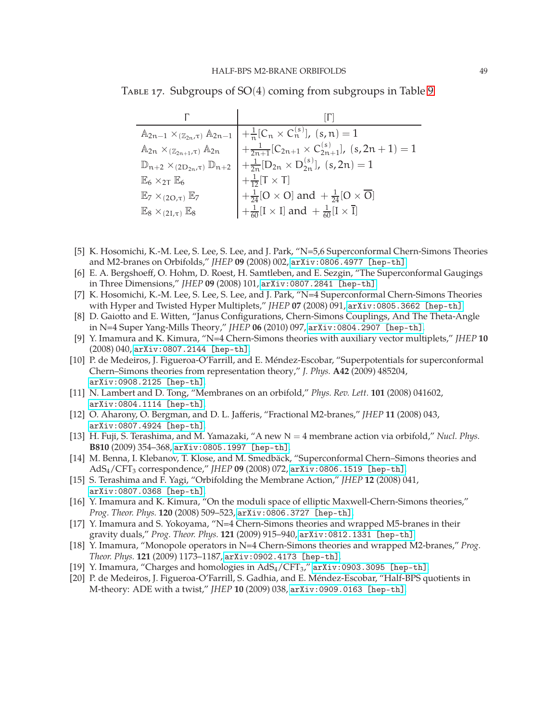Table 17. Subgroups of SO(4) coming from subgroups in Table [9](#page-24-1)

<span id="page-49-0"></span>

|                                                                     | $\mathbb{A}_{2n-1} \times_{(\mathbb{Z}_{2n}, \tau)} \mathbb{A}_{2n-1}$ $+ \frac{1}{n} [C_n \times C_n^{(s)}], (s, n) = 1$    |
|---------------------------------------------------------------------|------------------------------------------------------------------------------------------------------------------------------|
| $\mathbb{A}_{2n} \times_{(\mathbb{Z}_{2n+1},\tau)} \mathbb{A}_{2n}$ | $+\frac{1}{2n+1}[C_{2n+1}\times C_{2n+1}^{(s)}], (s, 2n+1)=1$                                                                |
|                                                                     | $\mathbb{D}_{n+2} \times_{(2D_{2n},\tau)} \mathbb{D}_{n+2}$ $\Big  + \frac{1}{2n} [D_{2n} \times D_{2n}^{(s)}], (s, 2n) = 1$ |
| $\mathbb{E}_6 \times_{2\mathsf{T}} \mathbb{E}_6$                    | $+\frac{1}{12}[T\times T]$                                                                                                   |
| $\mathbb{E}_7 \times_{(2O,\tau)} \mathbb{E}_7$                      | $\left +\frac{1}{24}[O\times O]\right $ and $+\frac{1}{24}[O\times \overline{O}]$                                            |
| $\mathbb{E}_8 \times_{(2L,\tau)} \mathbb{E}_8$                      | $\left  +\frac{1}{60} [I \times I] \text{ and } +\frac{1}{60} [I \times \overline{I}] \right $                               |

- <span id="page-49-8"></span>[5] K. Hosomichi, K.-M. Lee, S. Lee, S. Lee, and J. Park, "N=5,6 Superconformal Chern-Simons Theories and M2-branes on Orbifolds," *JHEP* **09** (2008) 002, [arXiv:0806.4977 \[hep-th\]](http://arxiv.org/abs/0806.4977).
- [6] E. A. Bergshoeff, O. Hohm, D. Roest, H. Samtleben, and E. Sezgin, "The Superconformal Gaugings in Three Dimensions," *JHEP* **09** (2008) 101, [arXiv:0807.2841 \[hep-th\]](http://arxiv.org/abs/0807.2841).
- <span id="page-49-13"></span>[7] K. Hosomichi, K.-M. Lee, S. Lee, S. Lee, and J. Park, "N=4 Superconformal Chern-Simons Theories with Hyper and Twisted Hyper Multiplets," *JHEP* **07** (2008) 091, [arXiv:0805.3662 \[hep-th\]](http://arxiv.org/abs/0805.3662).
- [8] D. Gaiotto and E. Witten, "Janus Configurations, Chern-Simons Couplings, And The Theta-Angle in N=4 Super Yang-Mills Theory," *JHEP* **06** (2010) 097, [arXiv:0804.2907 \[hep-th\]](http://arxiv.org/abs/0804.2907).
- <span id="page-49-1"></span>[9] Y. Imamura and K. Kimura, "N=4 Chern-Simons theories with auxiliary vector multiplets," *JHEP* **10** (2008) 040, [arXiv:0807.2144 \[hep-th\]](http://arxiv.org/abs/0807.2144).
- <span id="page-49-2"></span>[10] P. de Medeiros, J. Figueroa-O'Farrill, and E. Méndez-Escobar, "Superpotentials for superconformal Chern–Simons theories from representation theory," *J. Phys.* **A42** (2009) 485204, [arXiv:0908.2125 \[hep-th\]](http://arxiv.org/abs/0908.2125).
- <span id="page-49-3"></span>[11] N. Lambert and D. Tong, "Membranes on an orbifold," *Phys. Rev. Lett.* **101** (2008) 041602, [arXiv:0804.1114 \[hep-th\]](http://arxiv.org/abs/0804.1114).
- <span id="page-49-9"></span>[12] O. Aharony, O. Bergman, and D. L. Jafferis, "Fractional M2-branes," *JHEP* **11** (2008) 043, [arXiv:0807.4924 \[hep-th\]](http://arxiv.org/abs/0807.4924).
- <span id="page-49-11"></span>[13] H. Fuji, S. Terashima, and M. Yamazaki, "A new N = 4 membrane action via orbifold," *Nucl. Phys.* **B810** (2009) 354–368, [arXiv:0805.1997 \[hep-th\]](http://arxiv.org/abs/0805.1997).
- <span id="page-49-12"></span>[14] M. Benna, I. Klebanov, T. Klose, and M. Smedbäck, "Superconformal Chern–Simons theories and AdS4/CFT<sup>3</sup> correspondence," *JHEP* **09** (2008) 072, [arXiv:0806.1519 \[hep-th\]](http://arxiv.org/abs/0806.1519).
- <span id="page-49-10"></span>[15] S. Terashima and F. Yagi, "Orbifolding the Membrane Action," *JHEP* **12** (2008) 041, [arXiv:0807.0368 \[hep-th\]](http://arxiv.org/abs/0807.0368).
- <span id="page-49-6"></span>[16] Y. Imamura and K. Kimura, "On the moduli space of elliptic Maxwell-Chern-Simons theories," *Prog. Theor. Phys.* **120** (2008) 509–523, [arXiv:0806.3727 \[hep-th\]](http://arxiv.org/abs/0806.3727).
- <span id="page-49-7"></span>[17] Y. Imamura and S. Yokoyama, "N=4 Chern-Simons theories and wrapped M5-branes in their gravity duals," *Prog. Theor. Phys.* **121** (2009) 915–940, [arXiv:0812.1331 \[hep-th\]](http://arxiv.org/abs/0812.1331).
- [18] Y. Imamura, "Monopole operators in N=4 Chern-Simons theories and wrapped M2-branes," *Prog. Theor. Phys.* **121** (2009) 1173–1187, [arXiv:0902.4173 \[hep-th\]](http://arxiv.org/abs/0902.4173).
- <span id="page-49-5"></span><span id="page-49-4"></span>[19] Y. Imamura, "Charges and homologies in AdS<sub>4</sub>/CFT<sub>3</sub>," [arXiv:0903.3095 \[hep-th\]](http://arxiv.org/abs/0903.3095).
- [20] P. de Medeiros, J. Figueroa-O'Farrill, S. Gadhia, and E. Méndez-Escobar, "Half-BPS quotients in M-theory: ADE with a twist," *JHEP* **10** (2009) 038, [arXiv:0909.0163 \[hep-th\]](http://arxiv.org/abs/0909.0163).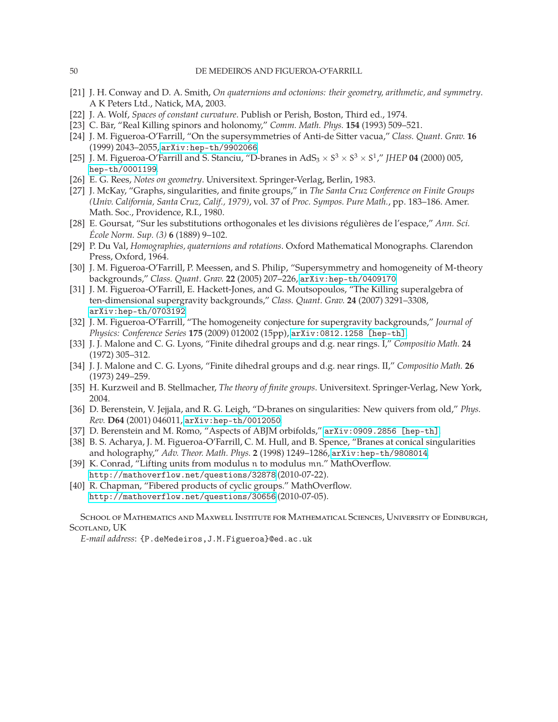- <span id="page-50-1"></span><span id="page-50-0"></span>[21] J. H. Conway and D. A. Smith, *On quaternions and octonions: their geometry, arithmetic, and symmetry*. A K Peters Ltd., Natick, MA, 2003.
- <span id="page-50-2"></span>[22] J. A. Wolf, *Spaces of constant curvature*. Publish or Perish, Boston, Third ed., 1974.
- <span id="page-50-3"></span>[23] C. Bär, "Real Killing spinors and holonomy," *Comm. Math. Phys.* **154** (1993) 509–521.
- <span id="page-50-4"></span>[24] J. M. Figueroa-O'Farrill, "On the supersymmetries of Anti-de Sitter vacua," *Class. Quant. Grav.* **16** (1999) 2043–2055, [arXiv:hep-th/9902066](http://arxiv.org/abs/hep-th/9902066).
- <span id="page-50-5"></span>[25] J. M. Figueroa-O'Farrill and S. Stanciu, "D-branes in  $AdS_3 \times S^3 \times S^3 \times S^1$ ," *JHEP* **04** (2000) 005, [hep-th/0001199](http://arxiv.org/abs/hep-th/0001199).
- <span id="page-50-6"></span>[26] E. G. Rees, *Notes on geometry*. Universitext. Springer-Verlag, Berlin, 1983.
- [27] J. McKay, "Graphs, singularities, and finite groups," in *The Santa Cruz Conference on Finite Groups (Univ. California, Santa Cruz, Calif., 1979)*, vol. 37 of *Proc. Sympos. Pure Math.*, pp. 183–186. Amer. Math. Soc., Providence, R.I., 1980.
- <span id="page-50-7"></span>[28] E. Goursat, "Sur les substitutions orthogonales et les divisions régulières de l'espace," *Ann. Sci. École Norm. Sup. (3)* **6** (1889) 9–102.
- <span id="page-50-9"></span><span id="page-50-8"></span>[29] P. Du Val, *Homographies, quaternions and rotations*. Oxford Mathematical Monographs. Clarendon Press, Oxford, 1964.
- [30] J. M. Figueroa-O'Farrill, P. Meessen, and S. Philip, "Supersymmetry and homogeneity of M-theory backgrounds," *Class. Quant. Grav.* **22** (2005) 207–226, [arXiv:hep-th/0409170](http://arxiv.org/abs/hep-th/0409170).
- [31] J. M. Figueroa-O'Farrill, E. Hackett-Jones, and G. Moutsopoulos, "The Killing superalgebra of ten-dimensional supergravity backgrounds," *Class. Quant. Grav.* **24** (2007) 3291–3308, [arXiv:hep-th/0703192](http://arxiv.org/abs/hep-th/0703192).
- <span id="page-50-10"></span>[32] J. M. Figueroa-O'Farrill, "The homogeneity conjecture for supergravity backgrounds," *Journal of Physics: Conference Series* **175** (2009) 012002 (15pp), [arXiv:0812.1258 \[hep-th\]](http://arxiv.org/abs/0812.1258).
- <span id="page-50-11"></span>[33] J. J. Malone and C. G. Lyons, "Finite dihedral groups and d.g. near rings. I," *Compositio Math.* **24** (1972) 305–312.
- <span id="page-50-12"></span>[34] J. J. Malone and C. G. Lyons, "Finite dihedral groups and d.g. near rings. II," *Compositio Math.* **26** (1973) 249–259.
- <span id="page-50-14"></span><span id="page-50-13"></span>[35] H. Kurzweil and B. Stellmacher, *The theory of finite groups*. Universitext. Springer-Verlag, New York, 2004.
- [36] D. Berenstein, V. Jejjala, and R. G. Leigh, "D-branes on singularities: New quivers from old," *Phys. Rev.* **D64** (2001) 046011, [arXiv:hep-th/0012050](http://arxiv.org/abs/hep-th/0012050).
- <span id="page-50-16"></span><span id="page-50-15"></span>[37] D. Berenstein and M. Romo, "Aspects of ABJM orbifolds," [arXiv:0909.2856 \[hep-th\]](http://arxiv.org/abs/0909.2856).
- [38] B. S. Acharya, J. M. Figueroa-O'Farrill, C. M. Hull, and B. Spence, "Branes at conical singularities and holography," *Adv. Theor. Math. Phys.* **2** (1998) 1249–1286, [arXiv:hep-th/9808014](http://arxiv.org/abs/hep-th/9808014).
- <span id="page-50-17"></span>[39] K. Conrad, "Lifting units from modulus n to modulus mn." MathOverflow. <http://mathoverflow.net/questions/32878> (2010-07-22).
- <span id="page-50-18"></span>[40] R. Chapman, "Fibered products of cyclic groups." MathOverflow. <http://mathoverflow.net/questions/30656> (2010-07-05).

School of Mathematics and Maxwell Institute for Mathematical Sciences, University of Edinburgh, SCOTLAND, UK

*E-mail address*: {P.deMedeiros,J.M.Figueroa}@ed.ac.uk